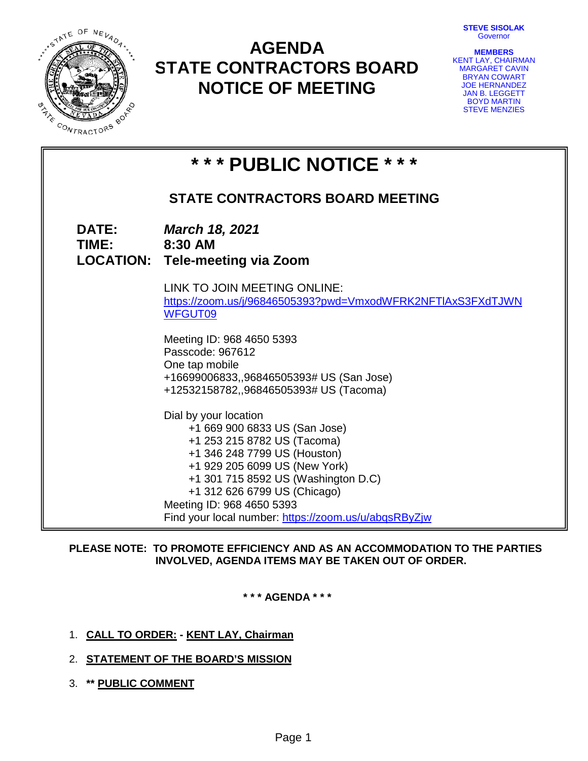**STEVE SISOLAK Governor** 



# **AGENDA STATE CONTRACTORS BOARD NOTICE OF MEETING**

| <b>MEMBERS</b>        |  |
|-----------------------|--|
| KENT LAY, CHAIRMAN    |  |
| <b>MARGARET CAVIN</b> |  |
| <b>BRYAN COWART</b>   |  |
| <b>JOE HERNANDEZ</b>  |  |
| <b>JAN B. LEGGETT</b> |  |
| <b>BOYD MARTIN</b>    |  |
| <b>STEVE MENZIES</b>  |  |

| * * * PUBLIC NOTICE * * * |                                                                                                                                                                                                                                                                                                                    |  |  |  |
|---------------------------|--------------------------------------------------------------------------------------------------------------------------------------------------------------------------------------------------------------------------------------------------------------------------------------------------------------------|--|--|--|
|                           | <b>STATE CONTRACTORS BOARD MEETING</b>                                                                                                                                                                                                                                                                             |  |  |  |
| <b>DATE:</b><br>TIME:     | <b>March 18, 2021</b><br>8:30 AM<br><b>LOCATION: Tele-meeting via Zoom</b>                                                                                                                                                                                                                                         |  |  |  |
|                           | LINK TO JOIN MEETING ONLINE:<br>https://zoom.us/j/96846505393?pwd=VmxodWFRK2NFTIAxS3FXdTJWN<br><b>WFGUT09</b>                                                                                                                                                                                                      |  |  |  |
|                           | Meeting ID: 968 4650 5393<br>Passcode: 967612<br>One tap mobile<br>+16699006833,,96846505393# US (San Jose)<br>+12532158782,,96846505393# US (Tacoma)                                                                                                                                                              |  |  |  |
|                           | Dial by your location<br>+1 669 900 6833 US (San Jose)<br>+1 253 215 8782 US (Tacoma)<br>+1 346 248 7799 US (Houston)<br>+1 929 205 6099 US (New York)<br>+1 301 715 8592 US (Washington D.C)<br>+1 312 626 6799 US (Chicago)<br>Meeting ID: 968 4650 5393<br>Find your local number: https://zoom.us/u/abqsRByZjw |  |  |  |

# **PLEASE NOTE: TO PROMOTE EFFICIENCY AND AS AN ACCOMMODATION TO THE PARTIES INVOLVED, AGENDA ITEMS MAY BE TAKEN OUT OF ORDER.**

**\* \* \* AGENDA \* \* \***

- 1. **CALL TO ORDER: - KENT LAY, Chairman**
- 2. **STATEMENT OF THE BOARD'S MISSION**
- 3. **\*\* PUBLIC COMMENT**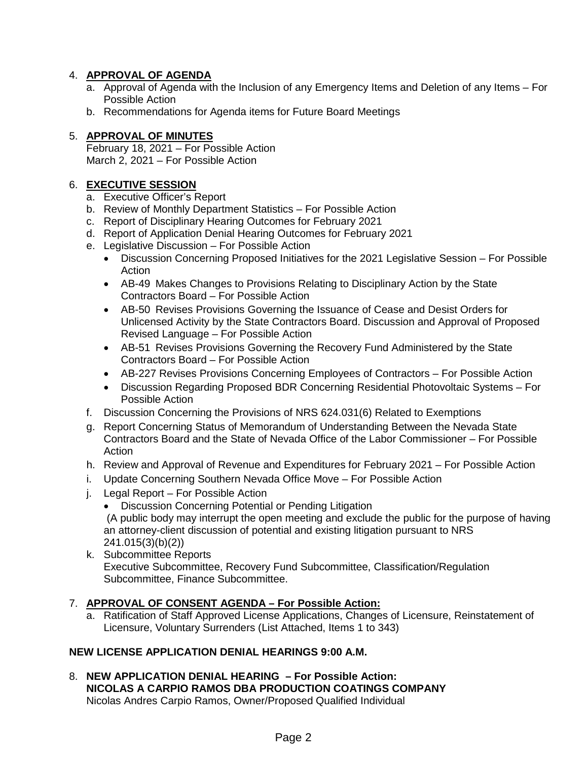# 4. **APPROVAL OF AGENDA**

- a. Approval of Agenda with the Inclusion of any Emergency Items and Deletion of any Items For Possible Action
- b. Recommendations for Agenda items for Future Board Meetings

# 5. **APPROVAL OF MINUTES**

February 18, 2021 – For Possible Action March 2, 2021 – For Possible Action

# 6. **EXECUTIVE SESSION**

- a. Executive Officer's Report
- b. Review of Monthly Department Statistics For Possible Action
- c. Report of Disciplinary Hearing Outcomes for February 2021
- d. Report of Application Denial Hearing Outcomes for February 2021
- e. Legislative Discussion For Possible Action
	- Discussion Concerning Proposed Initiatives for the 2021 Legislative Session For Possible Action
	- AB-49 Makes Changes to Provisions Relating to Disciplinary Action by the State Contractors Board – For Possible Action
	- AB-50 Revises Provisions Governing the Issuance of Cease and Desist Orders for Unlicensed Activity by the State Contractors Board. Discussion and Approval of Proposed Revised Language – For Possible Action
	- AB-51 Revises Provisions Governing the Recovery Fund Administered by the State Contractors Board – For Possible Action
	- AB-227 Revises Provisions Concerning Employees of Contractors For Possible Action
	- Discussion Regarding Proposed BDR Concerning Residential Photovoltaic Systems For Possible Action
- f. Discussion Concerning the Provisions of NRS 624.031(6) Related to Exemptions
- g. Report Concerning Status of Memorandum of Understanding Between the Nevada State Contractors Board and the State of Nevada Office of the Labor Commissioner – For Possible Action
- h. Review and Approval of Revenue and Expenditures for February 2021 For Possible Action
- i. Update Concerning Southern Nevada Office Move For Possible Action
- j. Legal Report For Possible Action
	- Discussion Concerning Potential or Pending Litigation

(A public body may interrupt the open meeting and exclude the public for the purpose of having an attorney-client discussion of potential and existing litigation pursuant to NRS 241.015(3)(b)(2))

k. Subcommittee Reports Executive Subcommittee, Recovery Fund Subcommittee, Classification/Regulation Subcommittee, Finance Subcommittee.

# 7. **APPROVAL OF CONSENT AGENDA – For Possible Action:**

a. Ratification of Staff Approved License Applications, Changes of Licensure, Reinstatement of Licensure, Voluntary Surrenders (List Attached, Items 1 to 343)

# **NEW LICENSE APPLICATION DENIAL HEARINGS 9:00 A.M.**

8. **NEW APPLICATION DENIAL HEARING – For Possible Action: NICOLAS A CARPIO RAMOS DBA PRODUCTION COATINGS COMPANY** Nicolas Andres Carpio Ramos, Owner/Proposed Qualified Individual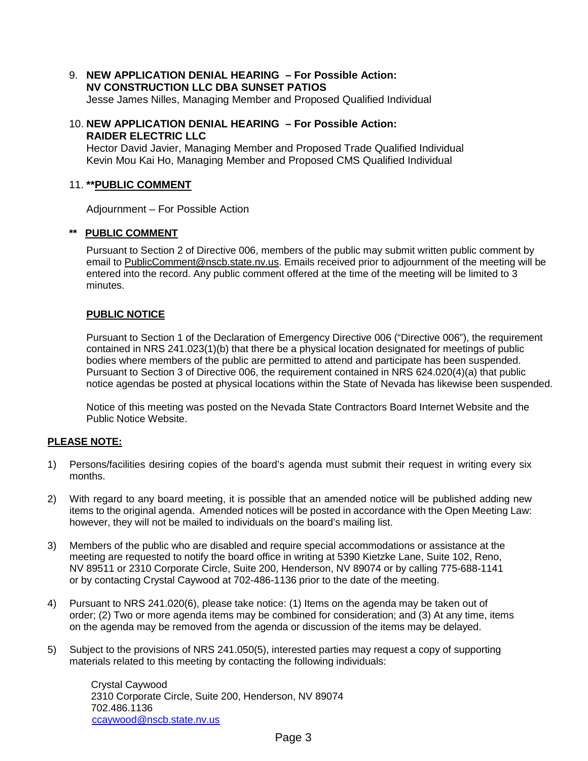9. **NEW APPLICATION DENIAL HEARING – For Possible Action: NV CONSTRUCTION LLC DBA SUNSET PATIOS**

Jesse James Nilles, Managing Member and Proposed Qualified Individual

10. **NEW APPLICATION DENIAL HEARING – For Possible Action: RAIDER ELECTRIC LLC**

Hector David Javier, Managing Member and Proposed Trade Qualified Individual Kevin Mou Kai Ho, Managing Member and Proposed CMS Qualified Individual

# 11. **\*\*PUBLIC COMMENT**

Adjournment – For Possible Action

## **\*\* PUBLIC COMMENT**

Pursuant to Section 2 of Directive 006, members of the public may submit written public comment by email to [PublicComment@nscb.state.nv.us.](mailto:PublicComment@nscb.state.nv.us) Emails received prior to adjournment of the meeting will be entered into the record. Any public comment offered at the time of the meeting will be limited to 3 minutes.

## **PUBLIC NOTICE**

Pursuant to Section 1 of the Declaration of Emergency Directive 006 ("Directive 006"), the requirement contained in NRS 241.023(1)(b) that there be a physical location designated for meetings of public bodies where members of the public are permitted to attend and participate has been suspended. Pursuant to Section 3 of Directive 006, the requirement contained in NRS 624.020(4)(a) that public notice agendas be posted at physical locations within the State of Nevada has likewise been suspended.

Notice of this meeting was posted on the Nevada State Contractors Board Internet Website and the Public Notice Website.

### **PLEASE NOTE:**

- 1) Persons/facilities desiring copies of the board's agenda must submit their request in writing every six months.
- 2) With regard to any board meeting, it is possible that an amended notice will be published adding new items to the original agenda. Amended notices will be posted in accordance with the Open Meeting Law: however, they will not be mailed to individuals on the board's mailing list.
- 3) Members of the public who are disabled and require special accommodations or assistance at the meeting are requested to notify the board office in writing at 5390 Kietzke Lane, Suite 102, Reno, NV 89511 or 2310 Corporate Circle, Suite 200, Henderson, NV 89074 or by calling 775-688-1141 or by contacting Crystal Caywood at 702-486-1136 prior to the date of the meeting.
- 4) Pursuant to NRS 241.020(6), please take notice: (1) Items on the agenda may be taken out of order; (2) Two or more agenda items may be combined for consideration; and (3) At any time, items on the agenda may be removed from the agenda or discussion of the items may be delayed.
- 5) Subject to the provisions of NRS 241.050(5), interested parties may request a copy of supporting materials related to this meeting by contacting the following individuals:

Crystal Caywood 2310 Corporate Circle, Suite 200, Henderson, NV 89074 702.486.1136 [ccaywood@nscb.state.nv.us](mailto:ccaywood@nscb.state.nv.us)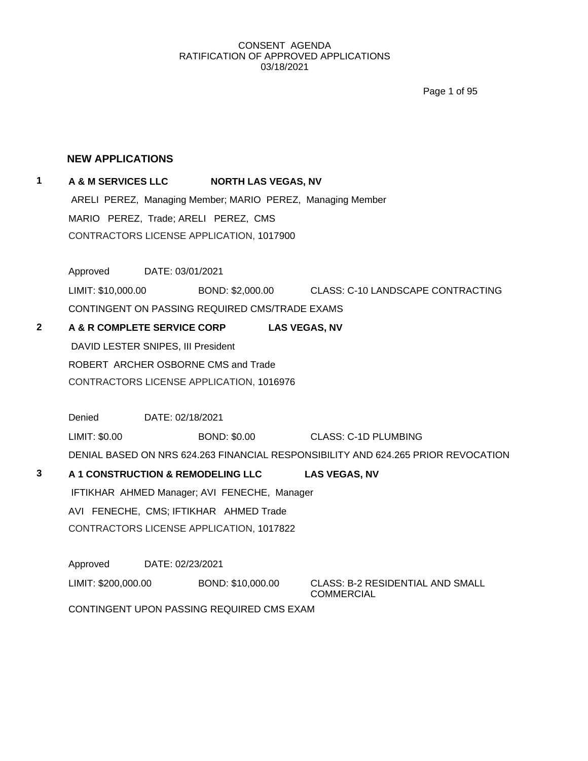Page 1 of 95

### **NEW APPLICATIONS**

## **1 A & M SERVICES LLC NORTH LAS VEGAS, NV**

ARELI PEREZ, Managing Member; MARIO PEREZ, Managing Member MARIO PEREZ, Trade; ARELI PEREZ, CMS CONTRACTORS LICENSE APPLICATION, 1017900

Approved DATE: 03/01/2021

LIMIT: \$10,000.00 BOND: \$2,000.00 CLASS: C-10 LANDSCAPE CONTRACTING CONTINGENT ON PASSING REQUIRED CMS/TRADE EXAMS

**2 A & R COMPLETE SERVICE CORP LAS VEGAS, NV** DAVID LESTER SNIPES, III President ROBERT ARCHER OSBORNE CMS and Trade

CONTRACTORS LICENSE APPLICATION, 1016976

Denied DATE: 02/18/2021

LIMIT: \$0.00 BOND: \$0.00 CLASS: C-1D PLUMBING

DENIAL BASED ON NRS 624.263 FINANCIAL RESPONSIBILITY AND 624.265 PRIOR REVOCATION

**3 A 1 CONSTRUCTION & REMODELING LLC LAS VEGAS, NV** IFTIKHAR AHMED Manager; AVI FENECHE, Manager AVI FENECHE, CMS; IFTIKHAR AHMED Trade CONTRACTORS LICENSE APPLICATION, 1017822

Approved DATE: 02/23/2021

LIMIT: \$200,000.00 BOND: \$10,000.00 CLASS: B-2 RESIDENTIAL AND SMALL

**COMMERCIAL** 

CONTINGENT UPON PASSING REQUIRED CMS EXAM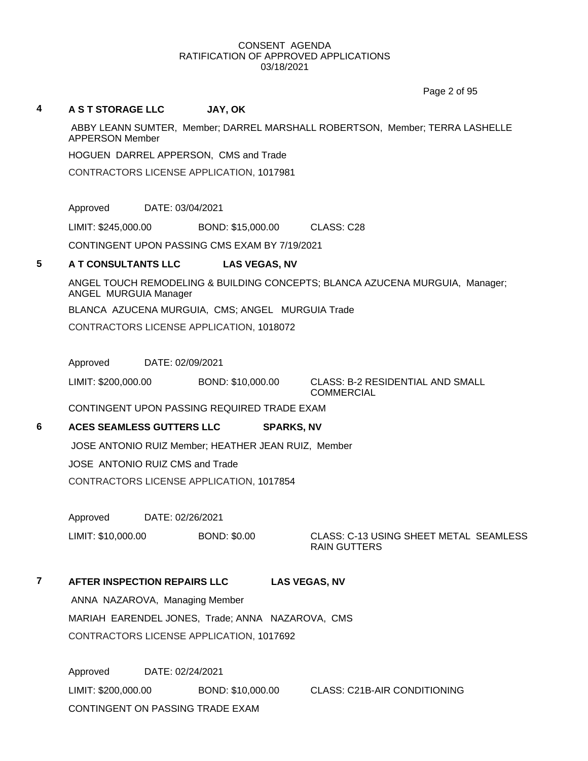Page 2 of 95

#### **4 A S T STORAGE LLC JAY, OK**

ABBY LEANN SUMTER, Member; DARREL MARSHALL ROBERTSON, Member; TERRA LASHELLE APPERSON Member

HOGUEN DARREL APPERSON, CMS and Trade

CONTRACTORS LICENSE APPLICATION, 1017981

Approved DATE: 03/04/2021

LIMIT: \$245,000.00 BOND: \$15,000.00 CLASS: C28

CONTINGENT UPON PASSING CMS EXAM BY 7/19/2021

## **5 A T CONSULTANTS LLC LAS VEGAS, NV**

ANGEL TOUCH REMODELING & BUILDING CONCEPTS; BLANCA AZUCENA MURGUIA, Manager; ANGEL MURGUIA Manager

BLANCA AZUCENA MURGUIA, CMS; ANGEL MURGUIA Trade

CONTRACTORS LICENSE APPLICATION, 1018072

Approved DATE: 02/09/2021

LIMIT: \$200,000.00 BOND: \$10,000.00 CLASS: B-2 RESIDENTIAL AND SMALL **COMMERCIAL** 

CONTINGENT UPON PASSING REQUIRED TRADE EXAM

## **6 ACES SEAMLESS GUTTERS LLC SPARKS, NV**

JOSE ANTONIO RUIZ Member; HEATHER JEAN RUIZ, Member

JOSE ANTONIO RUIZ CMS and Trade

CONTRACTORS LICENSE APPLICATION, 1017854

Approved DATE: 02/26/2021

LIMIT: \$10,000.00 BOND: \$0.00 CLASS: C-13 USING SHEET METAL SEAMLESS RAIN GUTTERS

# **7 AFTER INSPECTION REPAIRS LLC LAS VEGAS, NV**

ANNA NAZAROVA, Managing Member MARIAH EARENDEL JONES, Trade; ANNA NAZAROVA, CMS CONTRACTORS LICENSE APPLICATION, 1017692

Approved DATE: 02/24/2021 LIMIT: \$200,000.00 BOND: \$10,000.00 CLASS: C21B-AIR CONDITIONING CONTINGENT ON PASSING TRADE EXAM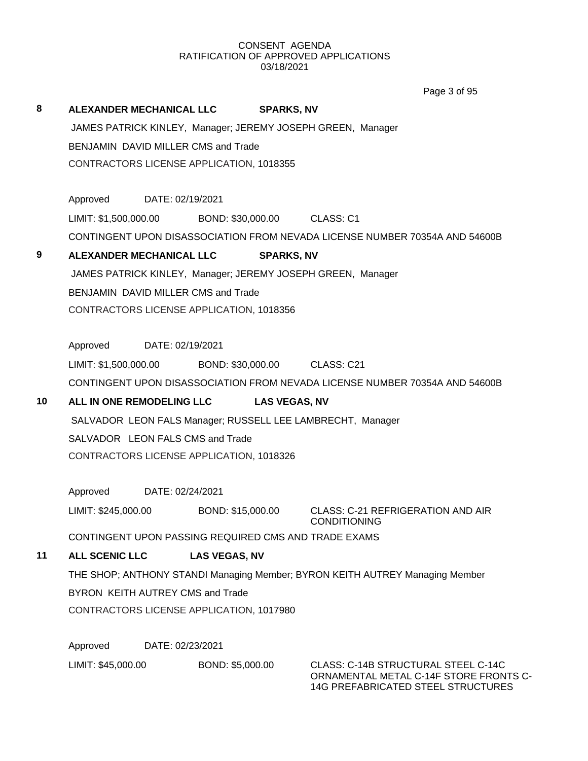Page 3 of 95

|    |                                                             |                      | Page 3 01 95                                                                  |
|----|-------------------------------------------------------------|----------------------|-------------------------------------------------------------------------------|
| 8  | <b>ALEXANDER MECHANICAL LLC</b>                             | <b>SPARKS, NV</b>    |                                                                               |
|    | JAMES PATRICK KINLEY, Manager; JEREMY JOSEPH GREEN, Manager |                      |                                                                               |
|    | BENJAMIN DAVID MILLER CMS and Trade                         |                      |                                                                               |
|    | CONTRACTORS LICENSE APPLICATION, 1018355                    |                      |                                                                               |
|    |                                                             |                      |                                                                               |
|    | Approved<br>DATE: 02/19/2021                                |                      |                                                                               |
|    | LIMIT: \$1,500,000.00                                       | BOND: \$30,000.00    | CLASS: C1                                                                     |
|    |                                                             |                      | CONTINGENT UPON DISASSOCIATION FROM NEVADA LICENSE NUMBER 70354A AND 54600B   |
| 9  | <b>ALEXANDER MECHANICAL LLC</b>                             | <b>SPARKS, NV</b>    |                                                                               |
|    | JAMES PATRICK KINLEY, Manager; JEREMY JOSEPH GREEN, Manager |                      |                                                                               |
|    | BENJAMIN DAVID MILLER CMS and Trade                         |                      |                                                                               |
|    | CONTRACTORS LICENSE APPLICATION, 1018356                    |                      |                                                                               |
|    |                                                             |                      |                                                                               |
|    | Approved<br>DATE: 02/19/2021                                |                      |                                                                               |
|    | LIMIT: \$1,500,000.00 BOND: \$30,000.00                     |                      | CLASS: C21                                                                    |
|    |                                                             |                      | CONTINGENT UPON DISASSOCIATION FROM NEVADA LICENSE NUMBER 70354A AND 54600B   |
| 10 | ALL IN ONE REMODELING LLC                                   | <b>LAS VEGAS, NV</b> |                                                                               |
|    | SALVADOR LEON FALS Manager; RUSSELL LEE LAMBRECHT, Manager  |                      |                                                                               |
|    | SALVADOR LEON FALS CMS and Trade                            |                      |                                                                               |
|    | CONTRACTORS LICENSE APPLICATION, 1018326                    |                      |                                                                               |
|    |                                                             |                      |                                                                               |
|    | Approved DATE: 02/24/2021                                   |                      |                                                                               |
|    | LIMIT: \$245,000.00                                         | BOND: \$15,000.00    | <b>CLASS: C-21 REFRIGERATION AND AIR</b><br><b>CONDITIONING</b>               |
|    | CONTINGENT UPON PASSING REQUIRED CMS AND TRADE EXAMS        |                      |                                                                               |
| 11 | <b>ALL SCENIC LLC</b>                                       | <b>LAS VEGAS, NV</b> |                                                                               |
|    |                                                             |                      | THE SHOP; ANTHONY STANDI Managing Member; BYRON KEITH AUTREY Managing Member  |
|    | BYRON KEITH AUTREY CMS and Trade                            |                      |                                                                               |
|    | CONTRACTORS LICENSE APPLICATION, 1017980                    |                      |                                                                               |
|    |                                                             |                      |                                                                               |
|    | Approved<br>DATE: 02/23/2021                                |                      |                                                                               |
|    | LIMIT: \$45,000.00                                          | BOND: \$5,000.00     | CLASS: C-14B STRUCTURAL STEEL C-14C<br>ORNAMENTAL METAL C-14F STORE FRONTS C- |

14G PREFABRICATED STEEL STRUCTURES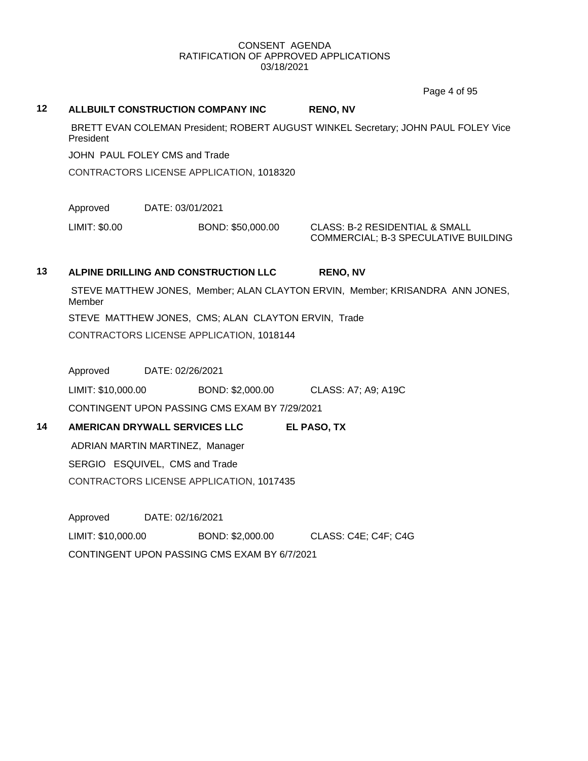Page 4 of 95

# **12 ALLBUILT CONSTRUCTION COMPANY INC RENO, NV** BRETT EVAN COLEMAN President; ROBERT AUGUST WINKEL Secretary; JOHN PAUL FOLEY Vice **President** JOHN PAUL FOLEY CMS and Trade CONTRACTORS LICENSE APPLICATION, 1018320 Approved DATE: 03/01/2021 LIMIT: \$0.00 BOND: \$50,000.00 CLASS: B-2 RESIDENTIAL & SMALL COMMERCIAL; B-3 SPECULATIVE BUILDING **13 ALPINE DRILLING AND CONSTRUCTION LLC RENO, NV** STEVE MATTHEW JONES, Member; ALAN CLAYTON ERVIN, Member; KRISANDRA ANN JONES, Member STEVE MATTHEW JONES, CMS; ALAN CLAYTON ERVIN, Trade CONTRACTORS LICENSE APPLICATION, 1018144 Approved DATE: 02/26/2021 LIMIT: \$10,000.00 BOND: \$2,000.00 CLASS: A7; A9; A19C CONTINGENT UPON PASSING CMS EXAM BY 7/29/2021 **14 AMERICAN DRYWALL SERVICES LLC EL PASO, TX** ADRIAN MARTIN MARTINEZ, Manager SERGIO ESQUIVEL, CMS and Trade CONTRACTORS LICENSE APPLICATION, 1017435 Approved DATE: 02/16/2021 LIMIT: \$10,000.00 BOND: \$2,000.00 CLASS: C4E; C4F; C4G

CONTINGENT UPON PASSING CMS EXAM BY 6/7/2021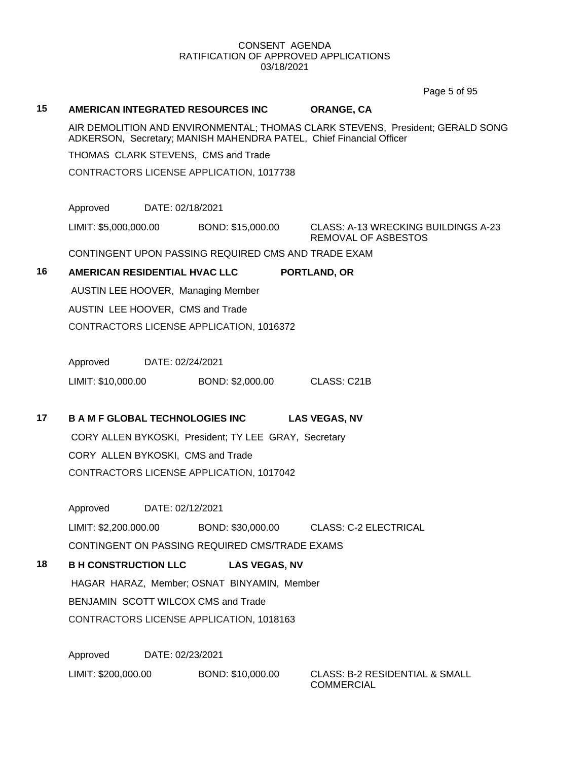Page 5 of 95

#### **15 AMERICAN INTEGRATED RESOURCES INC ORANGE, CA**

AIR DEMOLITION AND ENVIRONMENTAL; THOMAS CLARK STEVENS, President; GERALD SONG ADKERSON, Secretary; MANISH MAHENDRA PATEL, Chief Financial Officer

THOMAS CLARK STEVENS, CMS and Trade

CONTRACTORS LICENSE APPLICATION, 1017738

Approved DATE: 02/18/2021

LIMIT: \$5,000,000.00 BOND: \$15,000.00 CLASS: A-13 WRECKING BUILDINGS A-23

REMOVAL OF ASBESTOS

CONTINGENT UPON PASSING REQUIRED CMS AND TRADE EXAM

### **16 AMERICAN RESIDENTIAL HVAC LLC PORTLAND, OR**

AUSTIN LEE HOOVER, Managing Member AUSTIN LEE HOOVER, CMS and Trade CONTRACTORS LICENSE APPLICATION, 1016372

Approved DATE: 02/24/2021

LIMIT: \$10,000.00 BOND: \$2,000.00 CLASS: C21B

# **17 B A M F GLOBAL TECHNOLOGIES INC LAS VEGAS, NV**

CORY ALLEN BYKOSKI, President; TY LEE GRAY, Secretary CORY ALLEN BYKOSKI, CMS and Trade CONTRACTORS LICENSE APPLICATION, 1017042

Approved DATE: 02/12/2021 LIMIT: \$2,200,000.00 BOND: \$30,000.00 CLASS: C-2 ELECTRICAL

CONTINGENT ON PASSING REQUIRED CMS/TRADE EXAMS

**18 B H CONSTRUCTION LLC LAS VEGAS, NV**

HAGAR HARAZ, Member; OSNAT BINYAMIN, Member BENJAMIN SCOTT WILCOX CMS and Trade CONTRACTORS LICENSE APPLICATION, 1018163

Approved DATE: 02/23/2021 LIMIT: \$200,000.00 BOND: \$10,000.00 CLASS: B-2 RESIDENTIAL & SMALL

COMMERCIAL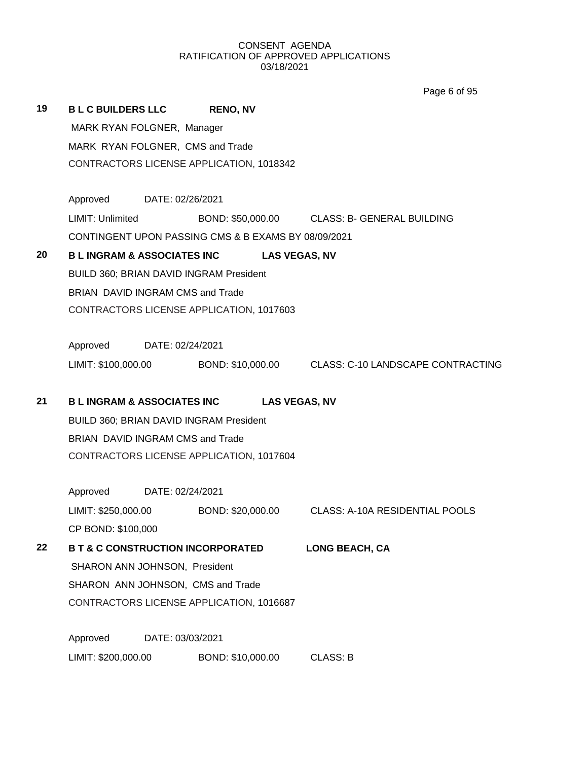Page 6 of 95

| 19 | <b>BLC BUILDERS LLC</b>                |                                   | <b>RENO, NV</b>                                     |                      |                                                     |  |  |
|----|----------------------------------------|-----------------------------------|-----------------------------------------------------|----------------------|-----------------------------------------------------|--|--|
|    | MARK RYAN FOLGNER, Manager             |                                   |                                                     |                      |                                                     |  |  |
|    | MARK RYAN FOLGNER, CMS and Trade       |                                   |                                                     |                      |                                                     |  |  |
|    |                                        |                                   | CONTRACTORS LICENSE APPLICATION, 1018342            |                      |                                                     |  |  |
|    | Approved DATE: 02/26/2021              |                                   |                                                     |                      |                                                     |  |  |
|    | <b>LIMIT: Unlimited</b>                |                                   |                                                     |                      | BOND: \$50,000.00 CLASS: B- GENERAL BUILDING        |  |  |
|    |                                        |                                   | CONTINGENT UPON PASSING CMS & B EXAMS BY 08/09/2021 |                      |                                                     |  |  |
| 20 | <b>B L INGRAM &amp; ASSOCIATES INC</b> |                                   |                                                     | <b>LAS VEGAS, NV</b> |                                                     |  |  |
|    |                                        |                                   | BUILD 360; BRIAN DAVID INGRAM President             |                      |                                                     |  |  |
|    | BRIAN DAVID INGRAM CMS and Trade       |                                   |                                                     |                      |                                                     |  |  |
|    |                                        |                                   | CONTRACTORS LICENSE APPLICATION, 1017603            |                      |                                                     |  |  |
|    | Approved DATE: 02/24/2021              |                                   |                                                     |                      |                                                     |  |  |
|    | LIMIT: \$100,000.00                    |                                   |                                                     |                      | BOND: \$10,000.00 CLASS: C-10 LANDSCAPE CONTRACTING |  |  |
| 21 | <b>B L INGRAM &amp; ASSOCIATES INC</b> |                                   |                                                     | <b>LAS VEGAS, NV</b> |                                                     |  |  |
|    |                                        |                                   | BUILD 360; BRIAN DAVID INGRAM President             |                      |                                                     |  |  |
|    | BRIAN DAVID INGRAM CMS and Trade       |                                   |                                                     |                      |                                                     |  |  |
|    |                                        |                                   | CONTRACTORS LICENSE APPLICATION, 1017604            |                      |                                                     |  |  |
|    | Approved                               | DATE: 02/24/2021                  |                                                     |                      |                                                     |  |  |
|    | LIMIT: \$250,000.00                    |                                   | BOND: \$20,000.00                                   |                      | <b>CLASS: A-10A RESIDENTIAL POOLS</b>               |  |  |
|    | CP BOND: \$100,000                     |                                   |                                                     |                      |                                                     |  |  |
| 22 |                                        |                                   | <b>B T &amp; C CONSTRUCTION INCORPORATED</b>        |                      | <b>LONG BEACH, CA</b>                               |  |  |
|    | SHARON ANN JOHNSON, President          |                                   |                                                     |                      |                                                     |  |  |
|    |                                        | SHARON ANN JOHNSON, CMS and Trade |                                                     |                      |                                                     |  |  |
|    |                                        |                                   | CONTRACTORS LICENSE APPLICATION, 1016687            |                      |                                                     |  |  |
|    | Approved                               | DATE: 03/03/2021                  |                                                     |                      |                                                     |  |  |
|    | LIMIT: \$200,000.00                    |                                   | BOND: \$10,000.00                                   |                      | <b>CLASS: B</b>                                     |  |  |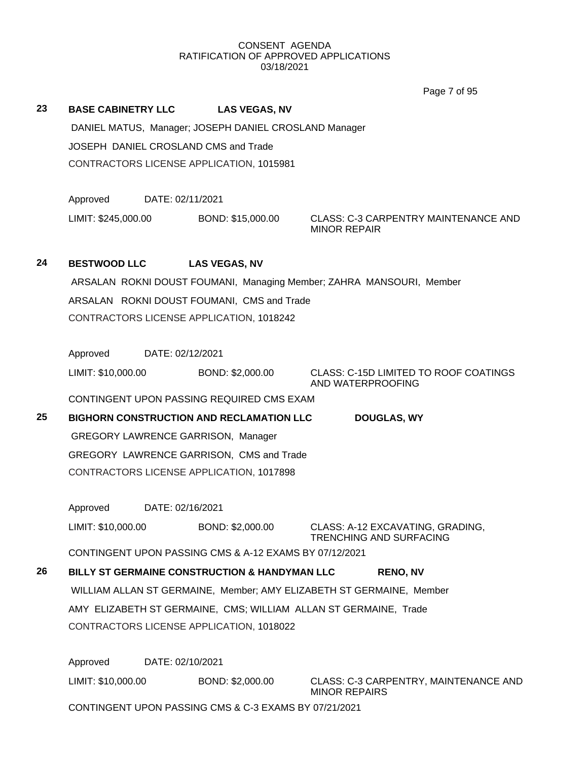|    |                                           |                                                        | Page 7 of 95                                                         |
|----|-------------------------------------------|--------------------------------------------------------|----------------------------------------------------------------------|
| 23 | <b>BASE CABINETRY LLC</b>                 | <b>LAS VEGAS, NV</b>                                   |                                                                      |
|    |                                           | DANIEL MATUS, Manager; JOSEPH DANIEL CROSLAND Manager  |                                                                      |
|    | JOSEPH DANIEL CROSLAND CMS and Trade      |                                                        |                                                                      |
|    |                                           | CONTRACTORS LICENSE APPLICATION, 1015981               |                                                                      |
|    |                                           |                                                        |                                                                      |
|    | Approved                                  | DATE: 02/11/2021                                       |                                                                      |
|    | LIMIT: \$245,000.00                       | BOND: \$15,000.00                                      | CLASS: C-3 CARPENTRY MAINTENANCE AND<br><b>MINOR REPAIR</b>          |
| 24 | <b>BESTWOOD LLC</b>                       | <b>LAS VEGAS, NV</b>                                   |                                                                      |
|    |                                           |                                                        | ARSALAN ROKNI DOUST FOUMANI, Managing Member; ZAHRA MANSOURI, Member |
|    |                                           | ARSALAN ROKNI DOUST FOUMANI, CMS and Trade             |                                                                      |
|    |                                           | CONTRACTORS LICENSE APPLICATION, 1018242               |                                                                      |
|    |                                           |                                                        |                                                                      |
|    | Approved                                  | DATE: 02/12/2021                                       |                                                                      |
|    | LIMIT: \$10,000.00                        | BOND: \$2,000.00                                       | CLASS: C-15D LIMITED TO ROOF COATINGS<br>AND WATERPROOFING           |
|    |                                           | CONTINGENT UPON PASSING REQUIRED CMS EXAM              |                                                                      |
| 25 |                                           | <b>BIGHORN CONSTRUCTION AND RECLAMATION LLC</b>        | <b>DOUGLAS, WY</b>                                                   |
|    | <b>GREGORY LAWRENCE GARRISON, Manager</b> |                                                        |                                                                      |
|    |                                           | GREGORY LAWRENCE GARRISON, CMS and Trade               |                                                                      |
|    |                                           | CONTRACTORS LICENSE APPLICATION, 1017898               |                                                                      |
|    | Approved                                  | DATE: 02/16/2021                                       |                                                                      |
|    | LIMIT: \$10,000.00                        | BOND: \$2,000.00                                       | CLASS: A-12 EXCAVATING, GRADING,                                     |
|    |                                           | CONTINGENT UPON PASSING CMS & A-12 EXAMS BY 07/12/2021 | <b>TRENCHING AND SURFACING</b>                                       |
| 26 |                                           | BILLY ST GERMAINE CONSTRUCTION & HANDYMAN LLC          | <b>RENO, NV</b>                                                      |
|    |                                           |                                                        | WILLIAM ALLAN ST GERMAINE, Member; AMY ELIZABETH ST GERMAINE, Member |
|    |                                           |                                                        | AMY ELIZABETH ST GERMAINE, CMS; WILLIAM ALLAN ST GERMAINE, Trade     |
|    |                                           | CONTRACTORS LICENSE APPLICATION, 1018022               |                                                                      |
|    |                                           |                                                        |                                                                      |
|    | Approved                                  | DATE: 02/10/2021                                       |                                                                      |
|    | LIMIT: \$10,000.00                        | BOND: \$2,000.00                                       | CLASS: C-3 CARPENTRY, MAINTENANCE AND<br><b>MINOR REPAIRS</b>        |
|    |                                           | CONTINGENT UPON PASSING CMS & C-3 EXAMS BY 07/21/2021  |                                                                      |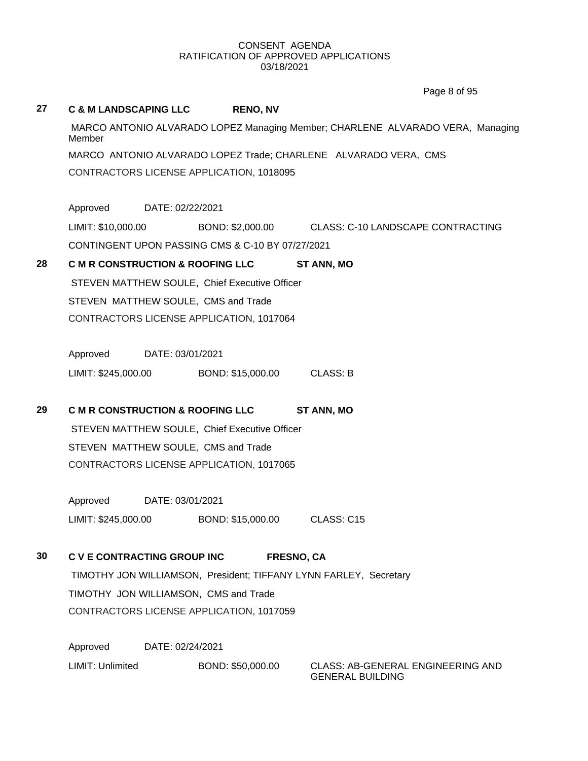Page 8 of 95

# **27 C & M LANDSCAPING LLC RENO, NV** MARCO ANTONIO ALVARADO LOPEZ Managing Member; CHARLENE ALVARADO VERA, Managing Member MARCO ANTONIO ALVARADO LOPEZ Trade; CHARLENE ALVARADO VERA, CMS CONTRACTORS LICENSE APPLICATION, 1018095 Approved DATE: 02/22/2021 LIMIT: \$10,000.00 BOND: \$2,000.00 CLASS: C-10 LANDSCAPE CONTRACTING CONTINGENT UPON PASSING CMS & C-10 BY 07/27/2021 **28 C M R CONSTRUCTION & ROOFING LLC ST ANN, MO** STEVEN MATTHEW SOULE, Chief Executive Officer STEVEN MATTHEW SOULE, CMS and Trade CONTRACTORS LICENSE APPLICATION, 1017064 Approved DATE: 03/01/2021 LIMIT: \$245,000.00 BOND: \$15,000.00 CLASS: B **29 C M R CONSTRUCTION & ROOFING LLC ST ANN, MO** STEVEN MATTHEW SOULE, Chief Executive Officer STEVEN MATTHEW SOULE, CMS and Trade CONTRACTORS LICENSE APPLICATION, 1017065 Approved DATE: 03/01/2021 LIMIT: \$245,000.00 BOND: \$15,000.00 CLASS: C15 **30 C V E CONTRACTING GROUP INC FRESNO, CA** TIMOTHY JON WILLIAMSON, President; TIFFANY LYNN FARLEY, Secretary TIMOTHY JON WILLIAMSON, CMS and Trade CONTRACTORS LICENSE APPLICATION, 1017059 Approved DATE: 02/24/2021 LIMIT: Unlimited BOND: \$50,000.00 CLASS: AB-GENERAL ENGINEERING AND GENERAL BUILDING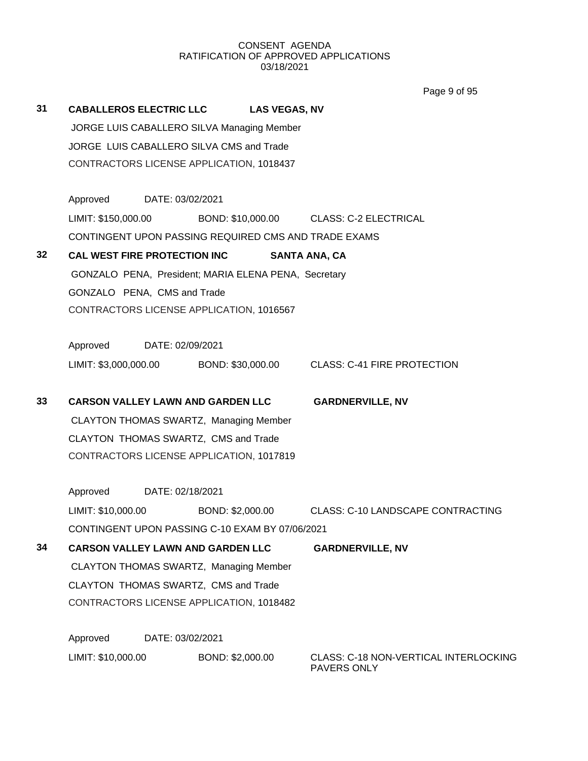Page 9 of 95

| 31 | CABALLEROS ELECTRIC LLC LAS VEGAS, NV                |                  |                  |                                                                     |
|----|------------------------------------------------------|------------------|------------------|---------------------------------------------------------------------|
|    | JORGE LUIS CABALLERO SILVA Managing Member           |                  |                  |                                                                     |
|    | JORGE LUIS CABALLERO SILVA CMS and Trade             |                  |                  |                                                                     |
|    | CONTRACTORS LICENSE APPLICATION, 1018437             |                  |                  |                                                                     |
|    | Approved DATE: 03/02/2021                            |                  |                  |                                                                     |
|    | LIMIT: \$150,000.00                                  |                  |                  | BOND: \$10,000.00 CLASS: C-2 ELECTRICAL                             |
|    |                                                      |                  |                  | CONTINGENT UPON PASSING REQUIRED CMS AND TRADE EXAMS                |
| 32 | CAL WEST FIRE PROTECTION INC                         |                  |                  | <b>SANTA ANA, CA</b>                                                |
|    | GONZALO PENA, President; MARIA ELENA PENA, Secretary |                  |                  |                                                                     |
|    | GONZALO PENA, CMS and Trade                          |                  |                  |                                                                     |
|    | CONTRACTORS LICENSE APPLICATION, 1016567             |                  |                  |                                                                     |
|    | Approved DATE: 02/09/2021                            |                  |                  |                                                                     |
|    |                                                      |                  |                  | LIMIT: \$3,000,000.00 BOND: \$30,000.00 CLASS: C-41 FIRE PROTECTION |
| 33 | <b>CARSON VALLEY LAWN AND GARDEN LLC</b>             |                  |                  | <b>GARDNERVILLE, NV</b>                                             |
|    | CLAYTON THOMAS SWARTZ, Managing Member               |                  |                  |                                                                     |
|    | CLAYTON THOMAS SWARTZ, CMS and Trade                 |                  |                  |                                                                     |
|    | CONTRACTORS LICENSE APPLICATION, 1017819             |                  |                  |                                                                     |
|    | Approved DATE: 02/18/2021                            |                  |                  |                                                                     |
|    | LIMIT: \$10,000.00                                   |                  |                  | BOND: \$2,000.00 CLASS: C-10 LANDSCAPE CONTRACTING                  |
|    | CONTINGENT UPON PASSING C-10 EXAM BY 07/06/2021      |                  |                  |                                                                     |
| 34 | <b>CARSON VALLEY LAWN AND GARDEN LLC</b>             |                  |                  | <b>GARDNERVILLE, NV</b>                                             |
|    | CLAYTON THOMAS SWARTZ, Managing Member               |                  |                  |                                                                     |
|    | CLAYTON THOMAS SWARTZ, CMS and Trade                 |                  |                  |                                                                     |
|    | CONTRACTORS LICENSE APPLICATION, 1018482             |                  |                  |                                                                     |
|    | Approved                                             | DATE: 03/02/2021 |                  |                                                                     |
|    | LIMIT: \$10,000.00                                   |                  | BOND: \$2,000.00 | CLASS: C-18 NON-VERTICAL INTERLOCKING                               |

PAVERS ONLY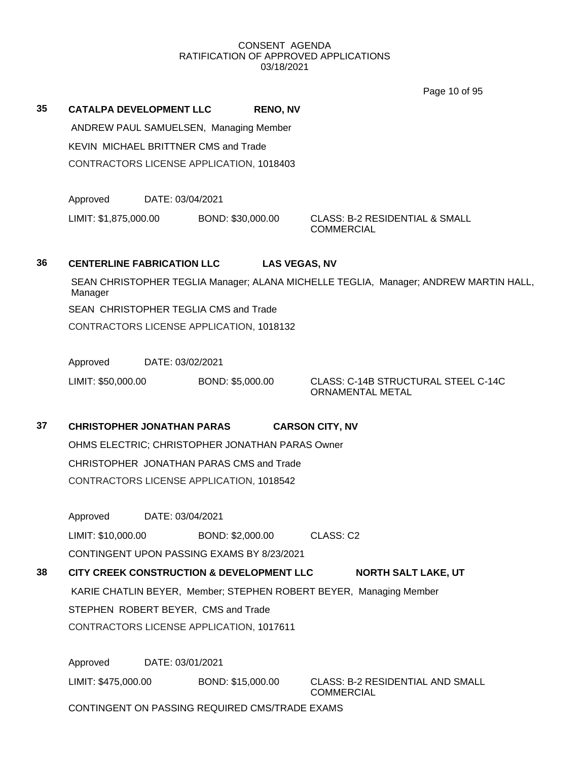Page 10 of 95

**35 CATALPA DEVELOPMENT LLC RENO, NV**

ANDREW PAUL SAMUELSEN, Managing Member KEVIN MICHAEL BRITTNER CMS and Trade CONTRACTORS LICENSE APPLICATION, 1018403

Approved DATE: 03/04/2021

LIMIT: \$1,875,000.00 BOND: \$30,000.00 CLASS: B-2 RESIDENTIAL & SMALL

**COMMERCIAL** 

# **36 CENTERLINE FABRICATION LLC LAS VEGAS, NV**

SEAN CHRISTOPHER TEGLIA Manager; ALANA MICHELLE TEGLIA, Manager; ANDREW MARTIN HALL, Manager SEAN CHRISTOPHER TEGLIA CMS and Trade CONTRACTORS LICENSE APPLICATION, 1018132

Approved DATE: 03/02/2021

LIMIT: \$50,000.00 BOND: \$5,000.00 CLASS: C-14B STRUCTURAL STEEL C-14C

ORNAMENTAL METAL

# **37 CHRISTOPHER JONATHAN PARAS CARSON CITY, NV**

OHMS ELECTRIC; CHRISTOPHER JONATHAN PARAS Owner CHRISTOPHER JONATHAN PARAS CMS and Trade CONTRACTORS LICENSE APPLICATION, 1018542

Approved DATE: 03/04/2021

LIMIT: \$10,000.00 BOND: \$2,000.00 CLASS: C2

CONTINGENT UPON PASSING EXAMS BY 8/23/2021

# **38 CITY CREEK CONSTRUCTION & DEVELOPMENT LLC NORTH SALT LAKE, UT** KARIE CHATLIN BEYER, Member; STEPHEN ROBERT BEYER, Managing Member STEPHEN ROBERT BEYER, CMS and Trade CONTRACTORS LICENSE APPLICATION, 1017611

Approved DATE: 03/01/2021 LIMIT: \$475,000.00 BOND: \$15,000.00 CLASS: B-2 RESIDENTIAL AND SMALL

COMMERCIAL

CONTINGENT ON PASSING REQUIRED CMS/TRADE EXAMS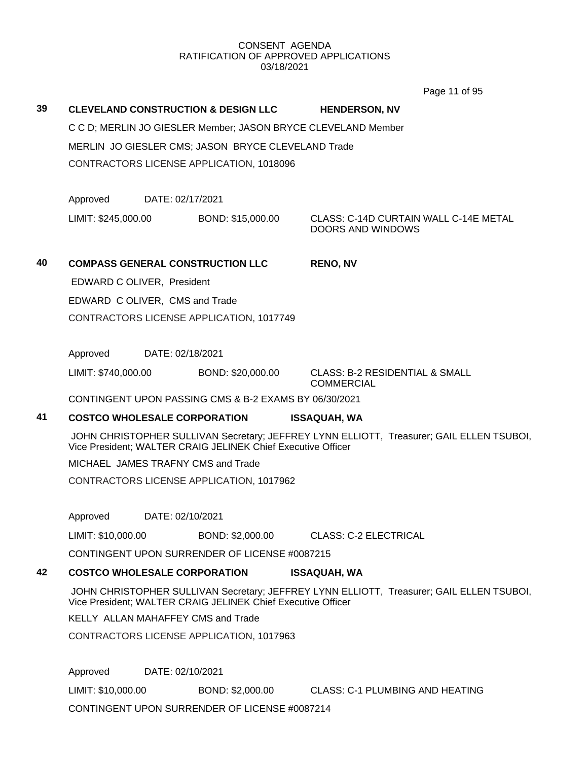Page 11 of 95

**39 CLEVELAND CONSTRUCTION & DESIGN LLC HENDERSON, NV** C C D; MERLIN JO GIESLER Member; JASON BRYCE CLEVELAND Member MERLIN JO GIESLER CMS; JASON BRYCE CLEVELAND Trade CONTRACTORS LICENSE APPLICATION, 1018096 Approved DATE: 02/17/2021 LIMIT: \$245,000.00 BOND: \$15,000.00 CLASS: C-14D CURTAIN WALL C-14E METAL DOORS AND WINDOWS **40 COMPASS GENERAL CONSTRUCTION LLC RENO, NV** EDWARD C OLIVER, President EDWARD C OLIVER, CMS and Trade CONTRACTORS LICENSE APPLICATION, 1017749 Approved DATE: 02/18/2021 LIMIT: \$740,000.00 BOND: \$20,000.00 CLASS: B-2 RESIDENTIAL & SMALL **COMMERCIAL** CONTINGENT UPON PASSING CMS & B-2 EXAMS BY 06/30/2021 **41 COSTCO WHOLESALE CORPORATION ISSAQUAH, WA** JOHN CHRISTOPHER SULLIVAN Secretary; JEFFREY LYNN ELLIOTT, Treasurer; GAIL ELLEN TSUBOI, Vice President; WALTER CRAIG JELINEK Chief Executive Officer MICHAEL JAMES TRAFNY CMS and Trade CONTRACTORS LICENSE APPLICATION, 1017962 Approved DATE: 02/10/2021 LIMIT: \$10,000.00 BOND: \$2,000.00 CLASS: C-2 ELECTRICAL CONTINGENT UPON SURRENDER OF LICENSE #0087215 **42 COSTCO WHOLESALE CORPORATION ISSAQUAH, WA** JOHN CHRISTOPHER SULLIVAN Secretary; JEFFREY LYNN ELLIOTT, Treasurer; GAIL ELLEN TSUBOI, Vice President; WALTER CRAIG JELINEK Chief Executive Officer

KELLY ALLAN MAHAFFEY CMS and Trade

CONTRACTORS LICENSE APPLICATION, 1017963

Approved DATE: 02/10/2021

LIMIT: \$10,000.00 BOND: \$2,000.00 CLASS: C-1 PLUMBING AND HEATING

CONTINGENT UPON SURRENDER OF LICENSE #0087214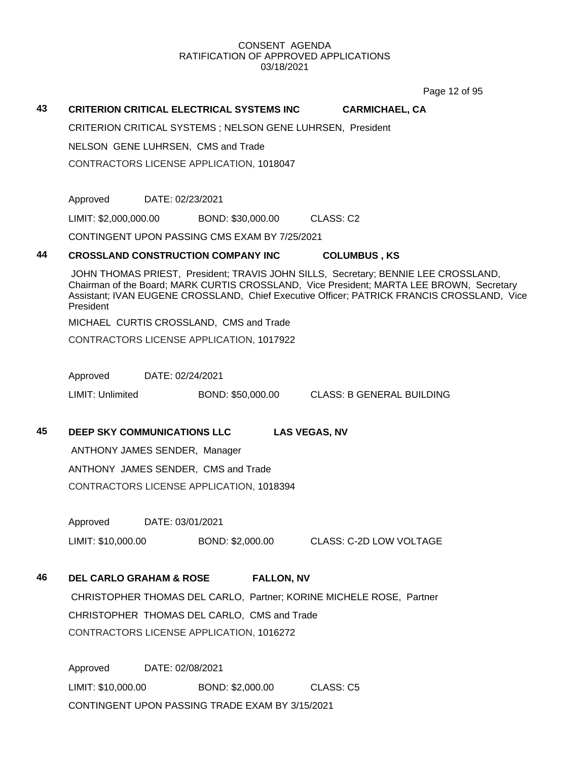Page 12 of 95

#### **43 CRITERION CRITICAL ELECTRICAL SYSTEMS INC CARMICHAEL, CA**

CRITERION CRITICAL SYSTEMS ; NELSON GENE LUHRSEN, President

NELSON GENE LUHRSEN, CMS and Trade

CONTRACTORS LICENSE APPLICATION, 1018047

Approved DATE: 02/23/2021

LIMIT: \$2,000,000.00 BOND: \$30,000.00 CLASS: C2

CONTINGENT UPON PASSING CMS EXAM BY 7/25/2021

#### **44 CROSSLAND CONSTRUCTION COMPANY INC COLUMBUS , KS**

JOHN THOMAS PRIEST, President; TRAVIS JOHN SILLS, Secretary; BENNIE LEE CROSSLAND, Chairman of the Board; MARK CURTIS CROSSLAND, Vice President; MARTA LEE BROWN, Secretary Assistant; IVAN EUGENE CROSSLAND, Chief Executive Officer; PATRICK FRANCIS CROSSLAND, Vice President

MICHAEL CURTIS CROSSLAND, CMS and Trade

CONTRACTORS LICENSE APPLICATION, 1017922

Approved DATE: 02/24/2021

LIMIT: Unlimited BOND: \$50,000.00 CLASS: B GENERAL BUILDING

### **45 DEEP SKY COMMUNICATIONS LLC LAS VEGAS, NV**

ANTHONY JAMES SENDER, Manager ANTHONY JAMES SENDER, CMS and Trade CONTRACTORS LICENSE APPLICATION, 1018394

Approved DATE: 03/01/2021

LIMIT: \$10,000.00 BOND: \$2,000.00 CLASS: C-2D LOW VOLTAGE

# **46 DEL CARLO GRAHAM & ROSE FALLON, NV**

CHRISTOPHER THOMAS DEL CARLO, Partner; KORINE MICHELE ROSE, Partner CHRISTOPHER THOMAS DEL CARLO, CMS and Trade CONTRACTORS LICENSE APPLICATION, 1016272

Approved DATE: 02/08/2021 LIMIT: \$10,000.00 BOND: \$2,000.00 CLASS: C5 CONTINGENT UPON PASSING TRADE EXAM BY 3/15/2021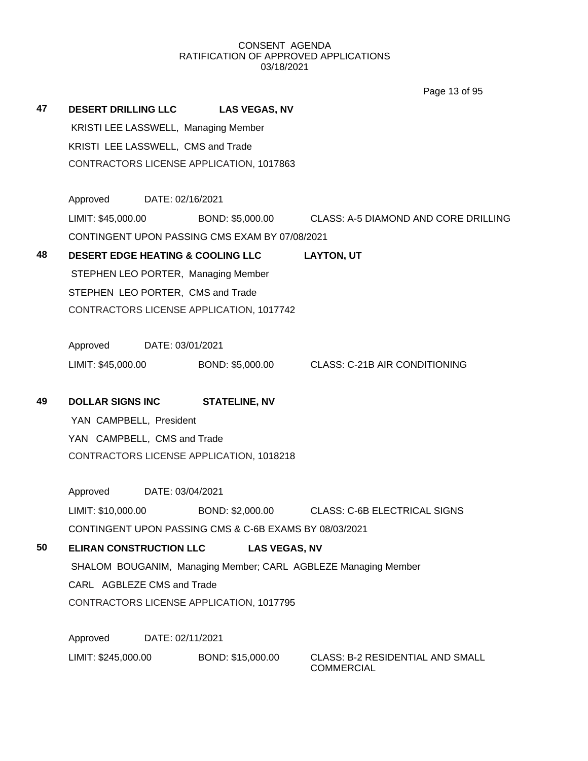**47 DESERT DRILLING LLC LAS VEGAS, NV** KRISTI LEE LASSWELL, Managing Member KRISTI LEE LASSWELL, CMS and Trade CONTRACTORS LICENSE APPLICATION, 1017863 Approved DATE: 02/16/2021 LIMIT: \$45,000.00 BOND: \$5,000.00 CLASS: A-5 DIAMOND AND CORE DRILLING CONTINGENT UPON PASSING CMS EXAM BY 07/08/2021 **48 DESERT EDGE HEATING & COOLING LLC LAYTON, UT** STEPHEN LEO PORTER, Managing Member STEPHEN LEO PORTER, CMS and Trade CONTRACTORS LICENSE APPLICATION, 1017742 Approved DATE: 03/01/2021 LIMIT: \$45,000.00 BOND: \$5,000.00 CLASS: C-21B AIR CONDITIONING **49 DOLLAR SIGNS INC STATELINE, NV** YAN CAMPBELL, President YAN CAMPBELL, CMS and Trade CONTRACTORS LICENSE APPLICATION, 1018218 Approved DATE: 03/04/2021 LIMIT: \$10,000.00 BOND: \$2,000.00 CLASS: C-6B ELECTRICAL SIGNS CONTINGENT UPON PASSING CMS & C-6B EXAMS BY 08/03/2021 **50 ELIRAN CONSTRUCTION LLC LAS VEGAS, NV** SHALOM BOUGANIM, Managing Member; CARL AGBLEZE Managing Member CARL AGBLEZE CMS and Trade CONTRACTORS LICENSE APPLICATION, 1017795 Approved DATE: 02/11/2021 Page 13 of 95

LIMIT: \$245,000.00 BOND: \$15,000.00 CLASS: B-2 RESIDENTIAL AND SMALL **COMMERCIAL**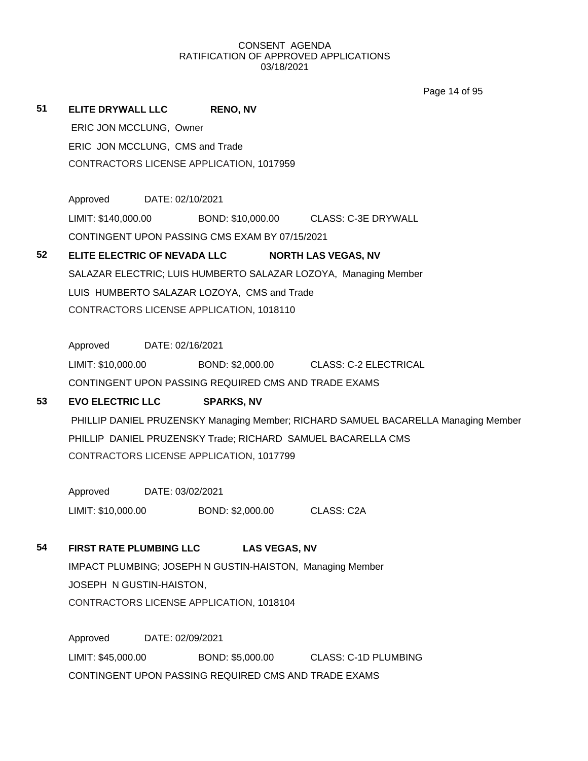Page 14 of 95

**51 ELITE DRYWALL LLC RENO, NV** ERIC JON MCCLUNG, Owner ERIC JON MCCLUNG, CMS and Trade CONTRACTORS LICENSE APPLICATION, 1017959 Approved DATE: 02/10/2021 LIMIT: \$140,000.00 BOND: \$10,000.00 CLASS: C-3E DRYWALL CONTINGENT UPON PASSING CMS EXAM BY 07/15/2021 **52 ELITE ELECTRIC OF NEVADA LLC NORTH LAS VEGAS, NV** SALAZAR ELECTRIC; LUIS HUMBERTO SALAZAR LOZOYA, Managing Member LUIS HUMBERTO SALAZAR LOZOYA, CMS and Trade CONTRACTORS LICENSE APPLICATION, 1018110 Approved DATE: 02/16/2021 LIMIT: \$10,000.00 BOND: \$2,000.00 CLASS: C-2 ELECTRICAL CONTINGENT UPON PASSING REQUIRED CMS AND TRADE EXAMS **53 EVO ELECTRIC LLC SPARKS, NV** PHILLIP DANIEL PRUZENSKY Managing Member; RICHARD SAMUEL BACARELLA Managing Member PHILLIP DANIEL PRUZENSKY Trade; RICHARD SAMUEL BACARELLA CMS CONTRACTORS LICENSE APPLICATION, 1017799 Approved DATE: 03/02/2021 LIMIT: \$10,000.00 BOND: \$2,000.00 CLASS: C2A **54 FIRST RATE PLUMBING LLC LAS VEGAS, NV** IMPACT PLUMBING; JOSEPH N GUSTIN-HAISTON, Managing Member JOSEPH N GUSTIN-HAISTON, CONTRACTORS LICENSE APPLICATION, 1018104 Approved DATE: 02/09/2021

LIMIT: \$45,000.00 BOND: \$5,000.00 CLASS: C-1D PLUMBING CONTINGENT UPON PASSING REQUIRED CMS AND TRADE EXAMS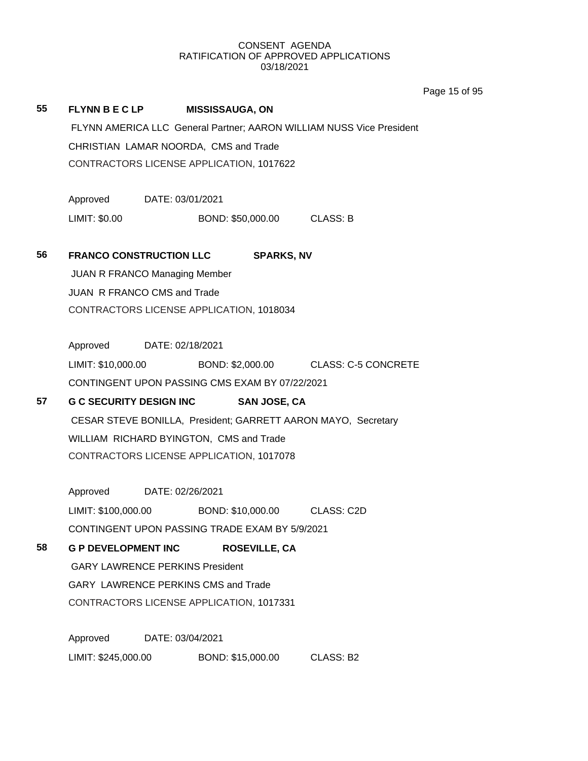Page 15 of 95

# **55 FLYNN B E C LP MISSISSAUGA, ON** FLYNN AMERICA LLC General Partner; AARON WILLIAM NUSS Vice President CHRISTIAN LAMAR NOORDA, CMS and Trade CONTRACTORS LICENSE APPLICATION, 1017622

Approved DATE: 03/01/2021 LIMIT: \$0.00 BOND: \$50,000.00 CLASS: B

## **56 FRANCO CONSTRUCTION LLC SPARKS, NV**

JUAN R FRANCO Managing Member JUAN R FRANCO CMS and Trade CONTRACTORS LICENSE APPLICATION, 1018034

Approved DATE: 02/18/2021 LIMIT: \$10,000.00 BOND: \$2,000.00 CLASS: C-5 CONCRETE CONTINGENT UPON PASSING CMS EXAM BY 07/22/2021

# **57 G C SECURITY DESIGN INC SAN JOSE, CA** CESAR STEVE BONILLA, President; GARRETT AARON MAYO, Secretary WILLIAM RICHARD BYINGTON, CMS and Trade CONTRACTORS LICENSE APPLICATION, 1017078

Approved DATE: 02/26/2021 LIMIT: \$100,000.00 BOND: \$10,000.00 CLASS: C2D CONTINGENT UPON PASSING TRADE EXAM BY 5/9/2021

# **58 G P DEVELOPMENT INC ROSEVILLE, CA**

GARY LAWRENCE PERKINS President GARY LAWRENCE PERKINS CMS and Trade CONTRACTORS LICENSE APPLICATION, 1017331

Approved DATE: 03/04/2021 LIMIT: \$245,000.00 BOND: \$15,000.00 CLASS: B2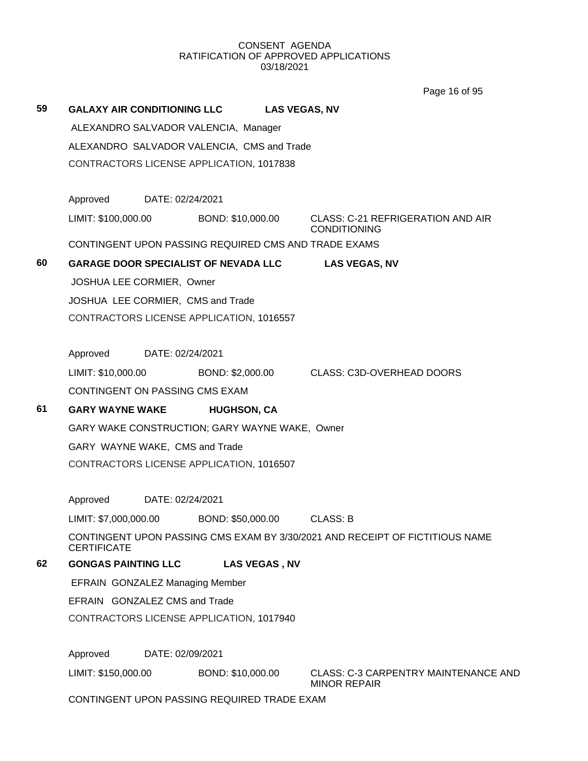Page 16 of 95

| 59 | <b>GALAXY AIR CONDITIONING LLC</b>             |                  |                                             | <b>LAS VEGAS, NV</b> |                                                                              |  |
|----|------------------------------------------------|------------------|---------------------------------------------|----------------------|------------------------------------------------------------------------------|--|
|    |                                                |                  | ALEXANDRO SALVADOR VALENCIA, Manager        |                      |                                                                              |  |
|    | ALEXANDRO SALVADOR VALENCIA, CMS and Trade     |                  |                                             |                      |                                                                              |  |
|    |                                                |                  | CONTRACTORS LICENSE APPLICATION, 1017838    |                      |                                                                              |  |
|    |                                                |                  |                                             |                      |                                                                              |  |
|    | Approved                                       | DATE: 02/24/2021 |                                             |                      |                                                                              |  |
|    | LIMIT: \$100,000.00                            |                  | BOND: \$10,000.00                           |                      | CLASS: C-21 REFRIGERATION AND AIR<br><b>CONDITIONING</b>                     |  |
|    |                                                |                  |                                             |                      | CONTINGENT UPON PASSING REQUIRED CMS AND TRADE EXAMS                         |  |
| 60 | <b>GARAGE DOOR SPECIALIST OF NEVADA LLC</b>    |                  |                                             |                      | <b>LAS VEGAS, NV</b>                                                         |  |
|    | JOSHUA LEE CORMIER, Owner                      |                  |                                             |                      |                                                                              |  |
|    | JOSHUA LEE CORMIER, CMS and Trade              |                  |                                             |                      |                                                                              |  |
|    | CONTRACTORS LICENSE APPLICATION, 1016557       |                  |                                             |                      |                                                                              |  |
|    | Approved DATE: 02/24/2021                      |                  |                                             |                      |                                                                              |  |
|    | LIMIT: \$10,000.00                             |                  |                                             |                      | BOND: \$2,000.00 CLASS: C3D-OVERHEAD DOORS                                   |  |
|    | CONTINGENT ON PASSING CMS EXAM                 |                  |                                             |                      |                                                                              |  |
| 61 | <b>GARY WAYNE WAKE</b>                         |                  | <b>HUGHSON, CA</b>                          |                      |                                                                              |  |
|    | GARY WAKE CONSTRUCTION; GARY WAYNE WAKE, Owner |                  |                                             |                      |                                                                              |  |
|    | GARY WAYNE WAKE, CMS and Trade                 |                  |                                             |                      |                                                                              |  |
|    |                                                |                  | CONTRACTORS LICENSE APPLICATION, 1016507    |                      |                                                                              |  |
|    | Approved                                       | DATE: 02/24/2021 |                                             |                      |                                                                              |  |
|    |                                                |                  | LIMIT: \$7,000,000.00 BOND: \$50,000.00     |                      | <b>CLASS: B</b>                                                              |  |
|    | <b>CERTIFICATE</b>                             |                  |                                             |                      | CONTINGENT UPON PASSING CMS EXAM BY 3/30/2021 AND RECEIPT OF FICTITIOUS NAME |  |
| 62 | <b>GONGAS PAINTING LLC</b>                     |                  | <b>LAS VEGAS, NV</b>                        |                      |                                                                              |  |
|    | EFRAIN GONZALEZ Managing Member                |                  |                                             |                      |                                                                              |  |
|    | EFRAIN GONZALEZ CMS and Trade                  |                  |                                             |                      |                                                                              |  |
|    |                                                |                  | CONTRACTORS LICENSE APPLICATION, 1017940    |                      |                                                                              |  |
|    | Approved                                       | DATE: 02/09/2021 |                                             |                      |                                                                              |  |
|    | LIMIT: \$150,000.00                            |                  | BOND: \$10,000.00                           |                      | <b>CLASS: C-3 CARPENTRY MAINTENANCE AND</b><br><b>MINOR REPAIR</b>           |  |
|    |                                                |                  | CONTINGENT UPON PASSING REQUIRED TRADE EXAM |                      |                                                                              |  |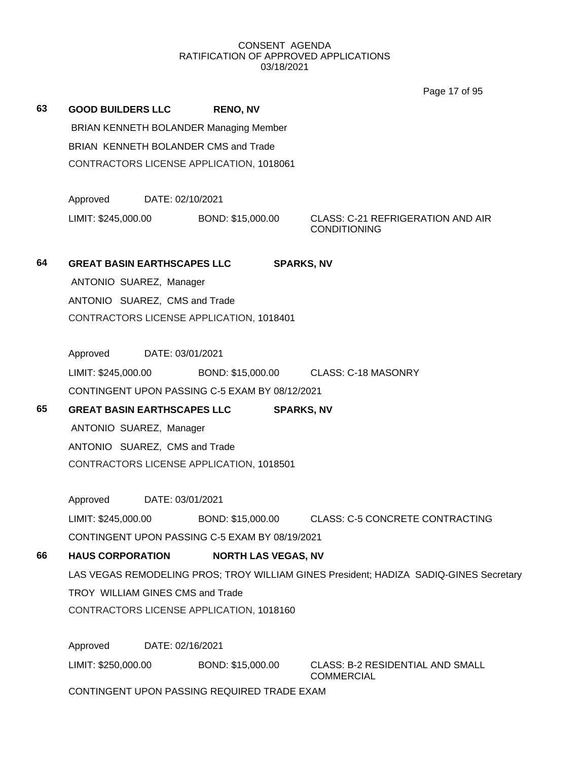Page 17 of 95

**63 GOOD BUILDERS LLC RENO, NV** BRIAN KENNETH BOLANDER Managing Member BRIAN KENNETH BOLANDER CMS and Trade CONTRACTORS LICENSE APPLICATION, 1018061 Approved DATE: 02/10/2021 LIMIT: \$245,000.00 BOND: \$15,000.00 CLASS: C-21 REFRIGERATION AND AIR CONDITIONING **64 GREAT BASIN EARTHSCAPES LLC SPARKS, NV** ANTONIO SUAREZ, Manager ANTONIO SUAREZ, CMS and Trade CONTRACTORS LICENSE APPLICATION, 1018401 Approved DATE: 03/01/2021 LIMIT: \$245,000.00 BOND: \$15,000.00 CLASS: C-18 MASONRY CONTINGENT UPON PASSING C-5 EXAM BY 08/12/2021 **65 GREAT BASIN EARTHSCAPES LLC SPARKS, NV** ANTONIO SUAREZ, Manager ANTONIO SUAREZ, CMS and Trade CONTRACTORS LICENSE APPLICATION, 1018501 Approved DATE: 03/01/2021 LIMIT: \$245,000.00 BOND: \$15,000.00 CLASS: C-5 CONCRETE CONTRACTING CONTINGENT UPON PASSING C-5 EXAM BY 08/19/2021 **66 HAUS CORPORATION NORTH LAS VEGAS, NV** LAS VEGAS REMODELING PROS; TROY WILLIAM GINES President; HADIZA SADIQ-GINES Secretary TROY WILLIAM GINES CMS and Trade CONTRACTORS LICENSE APPLICATION, 1018160 Approved DATE: 02/16/2021

LIMIT: \$250,000.00 BOND: \$15,000.00 CLASS: B-2 RESIDENTIAL AND SMALL COMMERCIAL

CONTINGENT UPON PASSING REQUIRED TRADE EXAM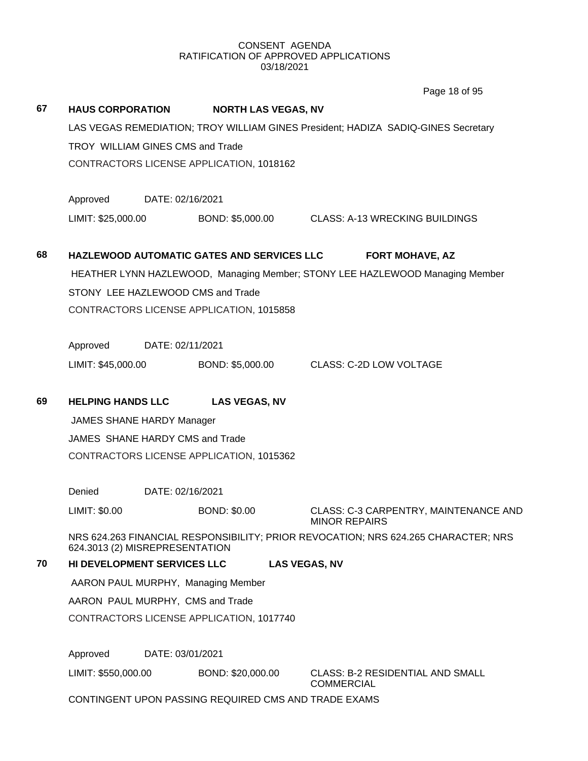# **67 HAUS CORPORATION NORTH LAS VEGAS, NV** LAS VEGAS REMEDIATION; TROY WILLIAM GINES President; HADIZA SADIQ-GINES Secretary TROY WILLIAM GINES CMS and Trade CONTRACTORS LICENSE APPLICATION, 1018162 Approved DATE: 02/16/2021 LIMIT: \$25,000.00 BOND: \$5,000.00 CLASS: A-13 WRECKING BUILDINGS **68 HAZLEWOOD AUTOMATIC GATES AND SERVICES LLC FORT MOHAVE, AZ** HEATHER LYNN HAZLEWOOD, Managing Member; STONY LEE HAZLEWOOD Managing Member STONY LEE HAZLEWOOD CMS and Trade CONTRACTORS LICENSE APPLICATION, 1015858 Approved DATE: 02/11/2021 LIMIT: \$45,000.00 BOND: \$5,000.00 CLASS: C-2D LOW VOLTAGE **69 HELPING HANDS LLC LAS VEGAS, NV** JAMES SHANE HARDY Manager JAMES SHANE HARDY CMS and Trade CONTRACTORS LICENSE APPLICATION, 1015362 Denied DATE: 02/16/2021 LIMIT: \$0.00 BOND: \$0.00 CLASS: C-3 CARPENTRY, MAINTENANCE AND MINOR REPAIRS NRS 624.263 FINANCIAL RESPONSIBILITY; PRIOR REVOCATION; NRS 624.265 CHARACTER; NRS 624.3013 (2) MISREPRESENTATION **70 HI DEVELOPMENT SERVICES LLC LAS VEGAS, NV** AARON PAUL MURPHY, Managing Member AARON PAUL MURPHY, CMS and Trade CONTRACTORS LICENSE APPLICATION, 1017740 Approved DATE: 03/01/2021 LIMIT: \$550,000.00 BOND: \$20,000.00 CLASS: B-2 RESIDENTIAL AND SMALL Page 18 of 95

**COMMERCIAL** 

CONTINGENT UPON PASSING REQUIRED CMS AND TRADE EXAMS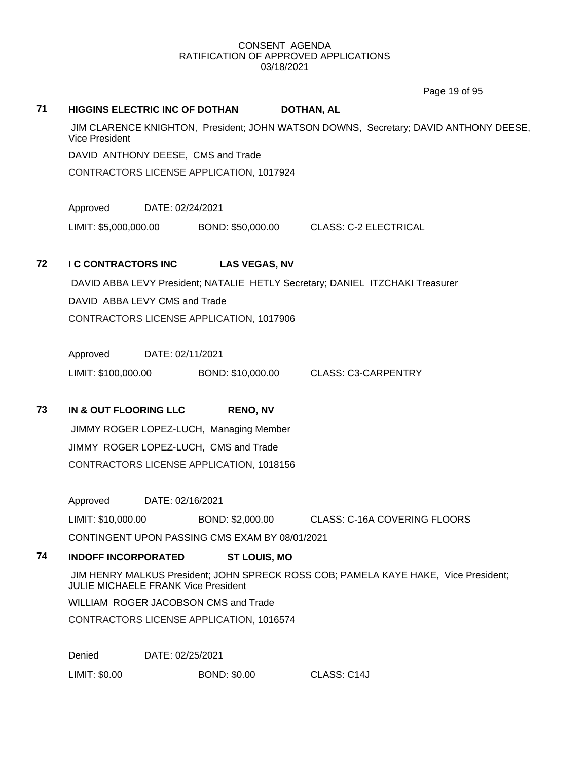**71 HIGGINS ELECTRIC INC OF DOTHAN DOTHAN, AL**

Page 19 of 95

# JIM CLARENCE KNIGHTON, President; JOHN WATSON DOWNS, Secretary; DAVID ANTHONY DEESE, Vice President DAVID ANTHONY DEESE, CMS and Trade CONTRACTORS LICENSE APPLICATION, 1017924 Approved DATE: 02/24/2021 LIMIT: \$5,000,000.00 BOND: \$50,000.00 CLASS: C-2 ELECTRICAL **72 I C CONTRACTORS INC LAS VEGAS, NV** DAVID ABBA LEVY President; NATALIE HETLY Secretary; DANIEL ITZCHAKI Treasurer DAVID ABBA LEVY CMS and Trade CONTRACTORS LICENSE APPLICATION, 1017906 Approved DATE: 02/11/2021 LIMIT: \$100,000.00 BOND: \$10,000.00 CLASS: C3-CARPENTRY **73 IN & OUT FLOORING LLC RENO, NV** JIMMY ROGER LOPEZ-LUCH, Managing Member JIMMY ROGER LOPEZ-LUCH, CMS and Trade CONTRACTORS LICENSE APPLICATION, 1018156 Approved DATE: 02/16/2021 LIMIT: \$10,000.00 BOND: \$2,000.00 CLASS: C-16A COVERING FLOORS CONTINGENT UPON PASSING CMS EXAM BY 08/01/2021 **74 INDOFF INCORPORATED ST LOUIS, MO** JIM HENRY MALKUS President; JOHN SPRECK ROSS COB; PAMELA KAYE HAKE, Vice President; JULIE MICHAELE FRANK Vice President WILLIAM ROGER JACOBSON CMS and Trade CONTRACTORS LICENSE APPLICATION, 1016574

Denied DATE: 02/25/2021

LIMIT: \$0.00 BOND: \$0.00 CLASS: C14J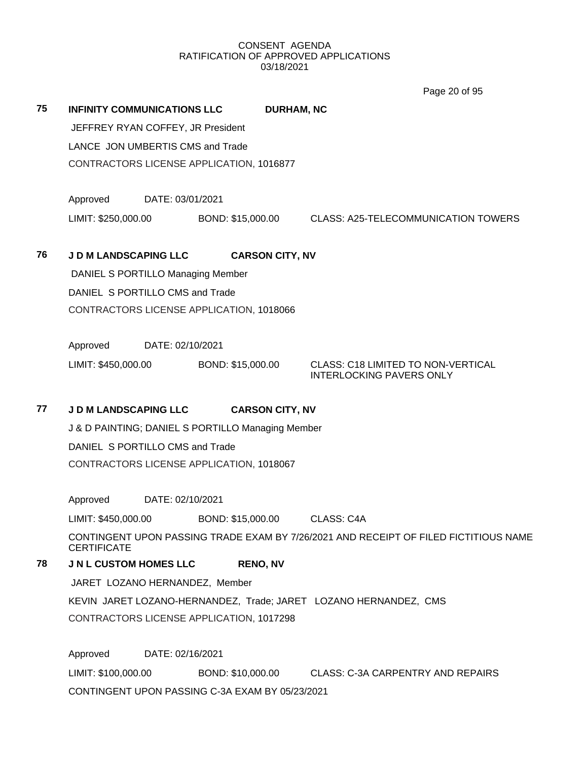Page 20 of 95

|    |                                                   |                  |                   |                        | $1$ agu $20$ VI VV                                                    |  |
|----|---------------------------------------------------|------------------|-------------------|------------------------|-----------------------------------------------------------------------|--|
| 75 | INFINITY COMMUNICATIONS LLC                       |                  |                   | <b>DURHAM, NC</b>      |                                                                       |  |
|    | JEFFREY RYAN COFFEY, JR President                 |                  |                   |                        |                                                                       |  |
|    | LANCE JON UMBERTIS CMS and Trade                  |                  |                   |                        |                                                                       |  |
|    | CONTRACTORS LICENSE APPLICATION, 1016877          |                  |                   |                        |                                                                       |  |
|    | Approved                                          | DATE: 03/01/2021 |                   |                        |                                                                       |  |
|    | LIMIT: \$250,000.00                               |                  | BOND: \$15,000.00 |                        | <b>CLASS: A25-TELECOMMUNICATION TOWERS</b>                            |  |
| 76 | <b>J D M LANDSCAPING LLC</b>                      |                  |                   | <b>CARSON CITY, NV</b> |                                                                       |  |
|    | DANIEL S PORTILLO Managing Member                 |                  |                   |                        |                                                                       |  |
|    | DANIEL S PORTILLO CMS and Trade                   |                  |                   |                        |                                                                       |  |
|    | CONTRACTORS LICENSE APPLICATION, 1018066          |                  |                   |                        |                                                                       |  |
|    | Approved                                          | DATE: 02/10/2021 |                   |                        |                                                                       |  |
|    | LIMIT: \$450,000.00                               |                  | BOND: \$15,000.00 |                        | CLASS: C18 LIMITED TO NON-VERTICAL<br><b>INTERLOCKING PAVERS ONLY</b> |  |
| 77 | <b>J D M LANDSCAPING LLC</b>                      |                  |                   | <b>CARSON CITY, NV</b> |                                                                       |  |
|    | J & D PAINTING; DANIEL S PORTILLO Managing Member |                  |                   |                        |                                                                       |  |
|    | DANIEL S PORTILLO CMS and Trade                   |                  |                   |                        |                                                                       |  |
|    | CONTRACTORS LICENSE APPLICATION, 1018067          |                  |                   |                        |                                                                       |  |

Approved DATE: 02/10/2021

LIMIT: \$450,000.00 BOND: \$15,000.00 CLASS: C4A

CONTINGENT UPON PASSING TRADE EXAM BY 7/26/2021 AND RECEIPT OF FILED FICTITIOUS NAME **CERTIFICATE** 

**78 J N L CUSTOM HOMES LLC RENO, NV**

JARET LOZANO HERNANDEZ, Member

KEVIN JARET LOZANO-HERNANDEZ, Trade; JARET LOZANO HERNANDEZ, CMS

CONTRACTORS LICENSE APPLICATION, 1017298

Approved DATE: 02/16/2021

LIMIT: \$100,000.00 BOND: \$10,000.00 CLASS: C-3A CARPENTRY AND REPAIRS CONTINGENT UPON PASSING C-3A EXAM BY 05/23/2021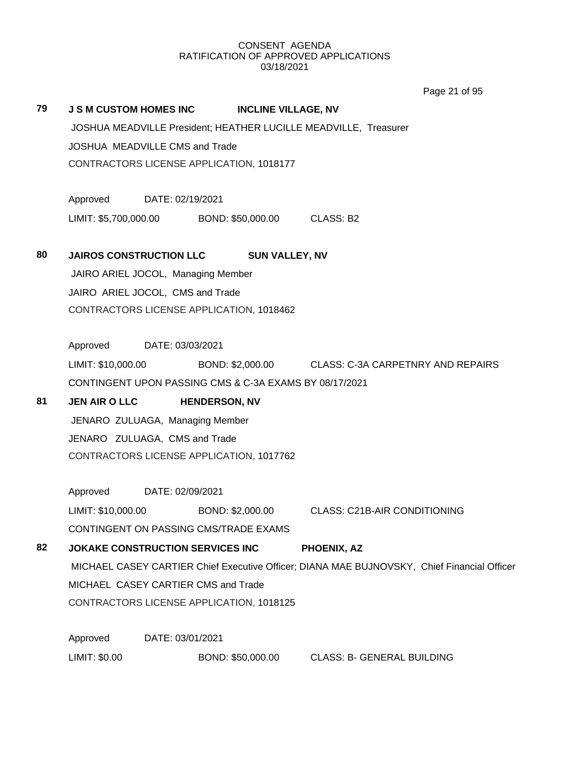Page 21 of 95

#### **79 J S M CUSTOM HOMES INC INCLINE VILLAGE, NV**

JOSHUA MEADVILLE President; HEATHER LUCILLE MEADVILLE, Treasurer JOSHUA MEADVILLE CMS and Trade CONTRACTORS LICENSE APPLICATION, 1018177

Approved DATE: 02/19/2021 LIMIT: \$5,700,000.00 BOND: \$50,000.00 CLASS: B2

**80 JAIROS CONSTRUCTION LLC SUN VALLEY, NV**

JAIRO ARIEL JOCOL, Managing Member JAIRO ARIEL JOCOL, CMS and Trade CONTRACTORS LICENSE APPLICATION, 1018462

Approved DATE: 03/03/2021 LIMIT: \$10,000.00 BOND: \$2,000.00 CLASS: C-3A CARPETNRY AND REPAIRS CONTINGENT UPON PASSING CMS & C-3A EXAMS BY 08/17/2021

# **81 JEN AIR O LLC HENDERSON, NV** JENARO ZULUAGA, Managing Member JENARO ZULUAGA, CMS and Trade CONTRACTORS LICENSE APPLICATION, 1017762

Approved DATE: 02/09/2021 LIMIT: \$10,000.00 BOND: \$2,000.00 CLASS: C21B-AIR CONDITIONING

CONTINGENT ON PASSING CMS/TRADE EXAMS

# **82 JOKAKE CONSTRUCTION SERVICES INC PHOENIX, AZ** MICHAEL CASEY CARTIER Chief Executive Officer; DIANA MAE BUJNOVSKY, Chief Financial Officer MICHAEL CASEY CARTIER CMS and Trade CONTRACTORS LICENSE APPLICATION, 1018125

Approved DATE: 03/01/2021 LIMIT: \$0.00 BOND: \$50,000.00 CLASS: B- GENERAL BUILDING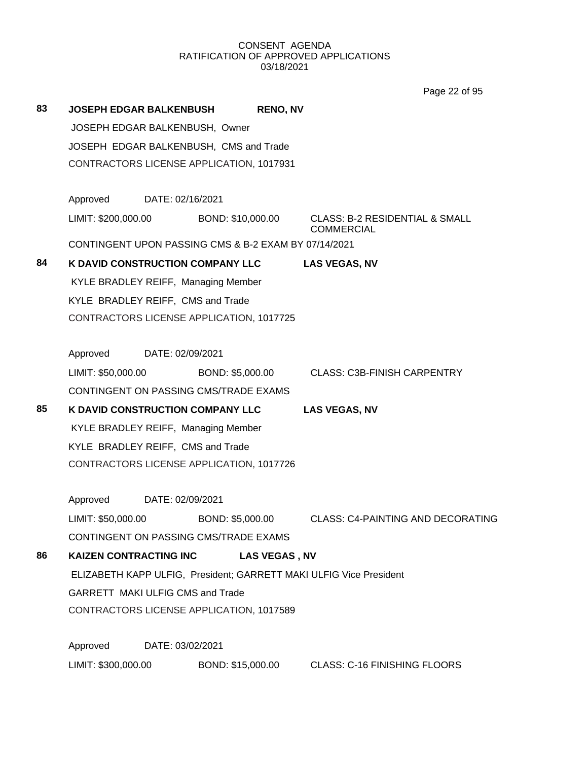Page 22 of 95

| 83                                       | <b>JOSEPH EDGAR BALKENBUSH</b>                       |                  |                   | <b>RENO, NV</b>      |                                                                    |
|------------------------------------------|------------------------------------------------------|------------------|-------------------|----------------------|--------------------------------------------------------------------|
|                                          | JOSEPH EDGAR BALKENBUSH, Owner                       |                  |                   |                      |                                                                    |
|                                          | JOSEPH EDGAR BALKENBUSH, CMS and Trade               |                  |                   |                      |                                                                    |
|                                          | CONTRACTORS LICENSE APPLICATION, 1017931             |                  |                   |                      |                                                                    |
|                                          |                                                      |                  |                   |                      |                                                                    |
|                                          | Approved                                             | DATE: 02/16/2021 |                   |                      |                                                                    |
|                                          | LIMIT: \$200,000.00                                  |                  | BOND: \$10,000.00 |                      | <b>CLASS: B-2 RESIDENTIAL &amp; SMALL</b><br><b>COMMERCIAL</b>     |
|                                          | CONTINGENT UPON PASSING CMS & B-2 EXAM BY 07/14/2021 |                  |                   |                      |                                                                    |
| 84                                       | K DAVID CONSTRUCTION COMPANY LLC                     |                  |                   |                      | <b>LAS VEGAS, NV</b>                                               |
|                                          | KYLE BRADLEY REIFF, Managing Member                  |                  |                   |                      |                                                                    |
|                                          | KYLE BRADLEY REIFF, CMS and Trade                    |                  |                   |                      |                                                                    |
| CONTRACTORS LICENSE APPLICATION, 1017725 |                                                      |                  |                   |                      |                                                                    |
|                                          |                                                      |                  |                   |                      |                                                                    |
|                                          | Approved                                             | DATE: 02/09/2021 |                   |                      |                                                                    |
|                                          | LIMIT: \$50,000.00                                   |                  | BOND: \$5,000.00  |                      | <b>CLASS: C3B-FINISH CARPENTRY</b>                                 |
|                                          | CONTINGENT ON PASSING CMS/TRADE EXAMS                |                  |                   |                      |                                                                    |
| 85                                       | <b>K DAVID CONSTRUCTION COMPANY LLC</b>              |                  |                   |                      | <b>LAS VEGAS, NV</b>                                               |
|                                          | KYLE BRADLEY REIFF, Managing Member                  |                  |                   |                      |                                                                    |
|                                          | KYLE BRADLEY REIFF, CMS and Trade                    |                  |                   |                      |                                                                    |
|                                          | CONTRACTORS LICENSE APPLICATION, 1017726             |                  |                   |                      |                                                                    |
|                                          |                                                      |                  |                   |                      |                                                                    |
|                                          | Approved                                             | DATE: 02/09/2021 |                   |                      |                                                                    |
|                                          | LIMIT: \$50,000.00                                   |                  | BOND: \$5,000.00  |                      | <b>CLASS: C4-PAINTING AND DECORATING</b>                           |
|                                          | CONTINGENT ON PASSING CMS/TRADE EXAMS                |                  |                   |                      |                                                                    |
| 86                                       | <b>KAIZEN CONTRACTING INC</b>                        |                  |                   | <b>LAS VEGAS, NV</b> |                                                                    |
|                                          |                                                      |                  |                   |                      | ELIZABETH KAPP ULFIG, President; GARRETT MAKI ULFIG Vice President |
|                                          | GARRETT MAKI ULFIG CMS and Trade                     |                  |                   |                      |                                                                    |
|                                          | CONTRACTORS LICENSE APPLICATION, 1017589             |                  |                   |                      |                                                                    |
|                                          | Approved                                             | DATE: 03/02/2021 |                   |                      |                                                                    |
|                                          | LIMIT: \$300,000.00                                  |                  | BOND: \$15,000.00 |                      | <b>CLASS: C-16 FINISHING FLOORS</b>                                |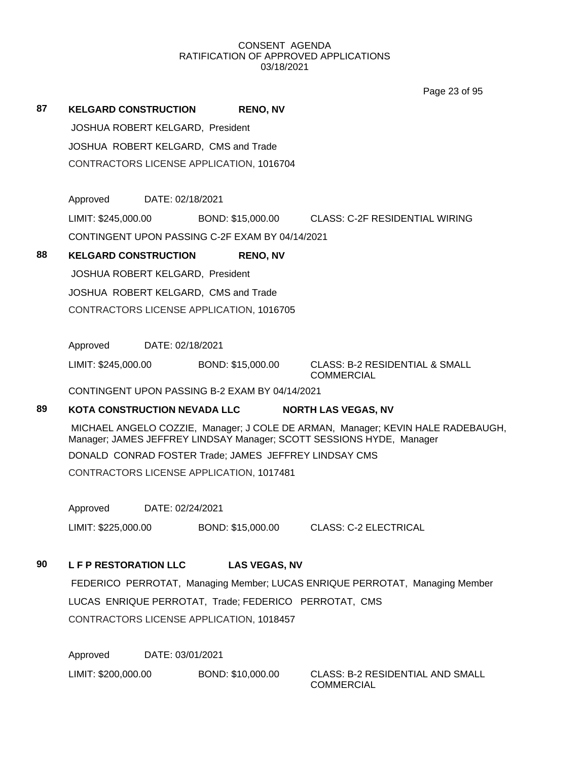Page 23 of 95

# **87 KELGARD CONSTRUCTION RENO, NV**

JOSHUA ROBERT KELGARD, President JOSHUA ROBERT KELGARD, CMS and Trade CONTRACTORS LICENSE APPLICATION, 1016704

Approved DATE: 02/18/2021

LIMIT: \$245,000.00 BOND: \$15,000.00 CLASS: C-2F RESIDENTIAL WIRING

CONTINGENT UPON PASSING C-2F EXAM BY 04/14/2021

### **88 KELGARD CONSTRUCTION RENO, NV**

JOSHUA ROBERT KELGARD, President JOSHUA ROBERT KELGARD, CMS and Trade CONTRACTORS LICENSE APPLICATION, 1016705

Approved DATE: 02/18/2021

LIMIT: \$245,000.00 BOND: \$15,000.00 CLASS: B-2 RESIDENTIAL & SMALL

COMMERCIAL

CONTINGENT UPON PASSING B-2 EXAM BY 04/14/2021

### **89 KOTA CONSTRUCTION NEVADA LLC NORTH LAS VEGAS, NV**

MICHAEL ANGELO COZZIE, Manager; J COLE DE ARMAN, Manager; KEVIN HALE RADEBAUGH, Manager; JAMES JEFFREY LINDSAY Manager; SCOTT SESSIONS HYDE, Manager

DONALD CONRAD FOSTER Trade; JAMES JEFFREY LINDSAY CMS

CONTRACTORS LICENSE APPLICATION, 1017481

Approved DATE: 02/24/2021

LIMIT: \$225,000.00 BOND: \$15,000.00 CLASS: C-2 ELECTRICAL

# **90 L F P RESTORATION LLC LAS VEGAS, NV**

FEDERICO PERROTAT, Managing Member; LUCAS ENRIQUE PERROTAT, Managing Member LUCAS ENRIQUE PERROTAT, Trade; FEDERICO PERROTAT, CMS CONTRACTORS LICENSE APPLICATION, 1018457

Approved DATE: 03/01/2021

LIMIT: \$200,000.00 BOND: \$10,000.00 CLASS: B-2 RESIDENTIAL AND SMALL

COMMERCIAL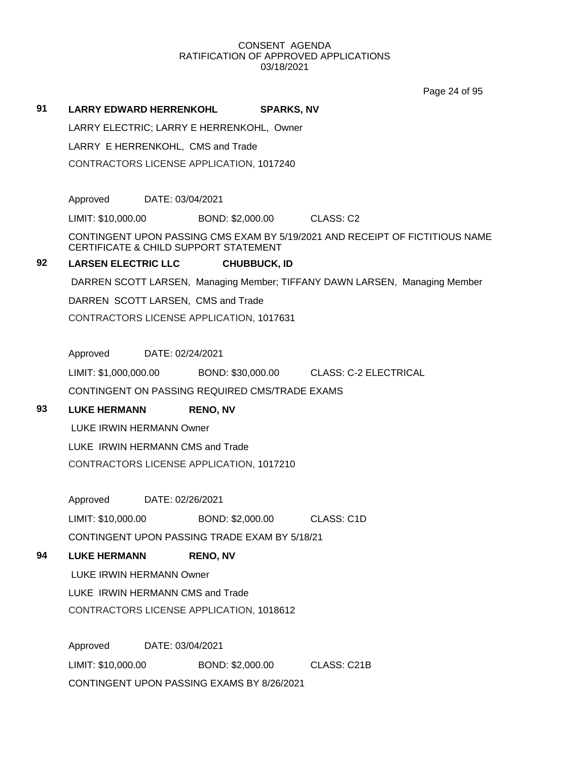Page 24 of 95

#### **91 LARRY EDWARD HERRENKOHL SPARKS, NV**

LARRY ELECTRIC; LARRY E HERRENKOHL, Owner

LARRY E HERRENKOHL, CMS and Trade

CONTRACTORS LICENSE APPLICATION, 1017240

Approved DATE: 03/04/2021

LIMIT: \$10,000.00 BOND: \$2,000.00 CLASS: C2

CONTINGENT UPON PASSING CMS EXAM BY 5/19/2021 AND RECEIPT OF FICTITIOUS NAME CERTIFICATE & CHILD SUPPORT STATEMENT

## **92 LARSEN ELECTRIC LLC CHUBBUCK, ID**

DARREN SCOTT LARSEN, Managing Member; TIFFANY DAWN LARSEN, Managing Member

DARREN SCOTT LARSEN, CMS and Trade

CONTRACTORS LICENSE APPLICATION, 1017631

Approved DATE: 02/24/2021

LIMIT: \$1,000,000.00 BOND: \$30,000.00 CLASS: C-2 ELECTRICAL

CONTINGENT ON PASSING REQUIRED CMS/TRADE EXAMS

### **93 LUKE HERMANN RENO, NV**

LUKE IRWIN HERMANN Owner

LUKE IRWIN HERMANN CMS and Trade

CONTRACTORS LICENSE APPLICATION, 1017210

Approved DATE: 02/26/2021

LIMIT: \$10,000.00 BOND: \$2,000.00 CLASS: C1D

CONTINGENT UPON PASSING TRADE EXAM BY 5/18/21

# **94 LUKE HERMANN RENO, NV**

LUKE IRWIN HERMANN Owner

LUKE IRWIN HERMANN CMS and Trade

CONTRACTORS LICENSE APPLICATION, 1018612

Approved DATE: 03/04/2021 LIMIT: \$10,000.00 BOND: \$2,000.00 CLASS: C21B CONTINGENT UPON PASSING EXAMS BY 8/26/2021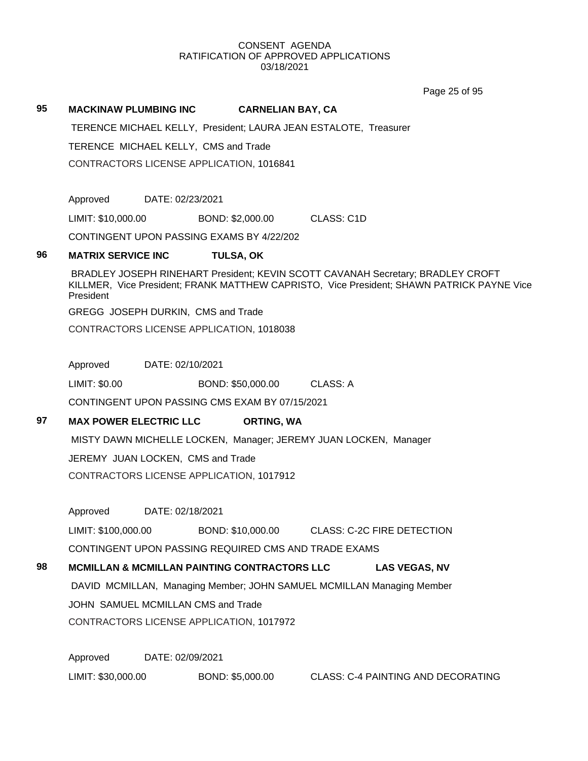Page 25 of 95

#### **95 MACKINAW PLUMBING INC CARNELIAN BAY, CA**

TERENCE MICHAEL KELLY, President; LAURA JEAN ESTALOTE, Treasurer

TERENCE MICHAEL KELLY, CMS and Trade

CONTRACTORS LICENSE APPLICATION, 1016841

Approved DATE: 02/23/2021

LIMIT: \$10,000.00 BOND: \$2,000.00 CLASS: C1D

CONTINGENT UPON PASSING EXAMS BY 4/22/202

#### **96 MATRIX SERVICE INC TULSA, OK**

BRADLEY JOSEPH RINEHART President; KEVIN SCOTT CAVANAH Secretary; BRADLEY CROFT KILLMER, Vice President; FRANK MATTHEW CAPRISTO, Vice President; SHAWN PATRICK PAYNE Vice President

GREGG JOSEPH DURKIN, CMS and Trade

CONTRACTORS LICENSE APPLICATION, 1018038

Approved DATE: 02/10/2021

LIMIT: \$0.00 BOND: \$50,000.00 CLASS: A

CONTINGENT UPON PASSING CMS EXAM BY 07/15/2021

### **97 MAX POWER ELECTRIC LLC ORTING, WA**

MISTY DAWN MICHELLE LOCKEN, Manager; JEREMY JUAN LOCKEN, Manager

JEREMY JUAN LOCKEN, CMS and Trade

CONTRACTORS LICENSE APPLICATION, 1017912

Approved DATE: 02/18/2021

LIMIT: \$100,000.00 BOND: \$10,000.00 CLASS: C-2C FIRE DETECTION CONTINGENT UPON PASSING REQUIRED CMS AND TRADE EXAMS

## **98 MCMILLAN & MCMILLAN PAINTING CONTRACTORS LLC LAS VEGAS, NV**

DAVID MCMILLAN, Managing Member; JOHN SAMUEL MCMILLAN Managing Member JOHN SAMUEL MCMILLAN CMS and Trade CONTRACTORS LICENSE APPLICATION, 1017972

Approved DATE: 02/09/2021

LIMIT: \$30,000.00 BOND: \$5,000.00 CLASS: C-4 PAINTING AND DECORATING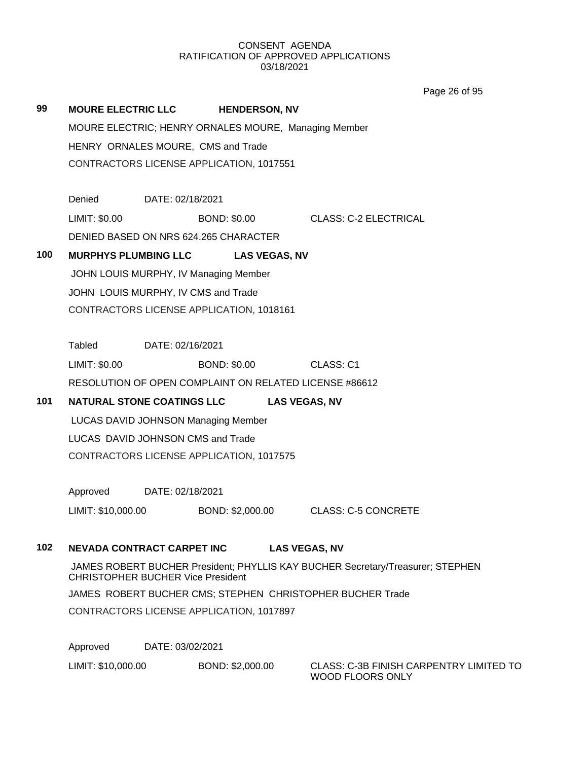Page 26 of 95

| 99  | <b>MOURE ELECTRIC LLC</b>                                                      |                                                      | <b>HENDERSON, NV</b> |  |                                                        |  |
|-----|--------------------------------------------------------------------------------|------------------------------------------------------|----------------------|--|--------------------------------------------------------|--|
|     |                                                                                | MOURE ELECTRIC; HENRY ORNALES MOURE, Managing Member |                      |  |                                                        |  |
|     |                                                                                | HENRY ORNALES MOURE, CMS and Trade                   |                      |  |                                                        |  |
|     |                                                                                | CONTRACTORS LICENSE APPLICATION, 1017551             |                      |  |                                                        |  |
|     |                                                                                |                                                      |                      |  |                                                        |  |
|     | Denied                                                                         | DATE: 02/18/2021                                     |                      |  |                                                        |  |
|     | LIMIT: \$0.00                                                                  |                                                      | <b>BOND: \$0.00</b>  |  | <b>CLASS: C-2 ELECTRICAL</b>                           |  |
|     |                                                                                | DENIED BASED ON NRS 624.265 CHARACTER                |                      |  |                                                        |  |
| 100 |                                                                                | <b>MURPHYS PLUMBING LLC</b>                          | <b>LAS VEGAS, NV</b> |  |                                                        |  |
|     |                                                                                | JOHN LOUIS MURPHY, IV Managing Member                |                      |  |                                                        |  |
|     |                                                                                | JOHN LOUIS MURPHY, IV CMS and Trade                  |                      |  |                                                        |  |
|     |                                                                                | CONTRACTORS LICENSE APPLICATION, 1018161             |                      |  |                                                        |  |
|     |                                                                                |                                                      |                      |  |                                                        |  |
|     | <b>Tabled</b>                                                                  | DATE: 02/16/2021                                     |                      |  |                                                        |  |
|     | LIMIT: \$0.00                                                                  |                                                      | <b>BOND: \$0.00</b>  |  | CLASS: C1                                              |  |
|     |                                                                                |                                                      |                      |  | RESOLUTION OF OPEN COMPLAINT ON RELATED LICENSE #86612 |  |
| 101 |                                                                                | <b>NATURAL STONE COATINGS LLC</b>                    |                      |  | <b>LAS VEGAS, NV</b>                                   |  |
|     |                                                                                | LUCAS DAVID JOHNSON Managing Member                  |                      |  |                                                        |  |
|     |                                                                                | LUCAS DAVID JOHNSON CMS and Trade                    |                      |  |                                                        |  |
|     |                                                                                | CONTRACTORS LICENSE APPLICATION, 1017575             |                      |  |                                                        |  |
|     |                                                                                |                                                      |                      |  |                                                        |  |
|     | Approved                                                                       | DATE: 02/18/2021                                     |                      |  |                                                        |  |
|     | LIMIT: \$10,000.00                                                             |                                                      | BOND: \$2,000.00     |  | <b>CLASS: C-5 CONCRETE</b>                             |  |
|     |                                                                                |                                                      |                      |  |                                                        |  |
| 102 |                                                                                | NEVADA CONTRACT CARPET INC                           |                      |  | <b>LAS VEGAS, NV</b>                                   |  |
|     | JAMES ROBERT BUCHER President; PHYLLIS KAY BUCHER Secretary/Treasurer; STEPHEN |                                                      |                      |  |                                                        |  |

CHRISTOPHER BUCHER Vice President

JAMES ROBERT BUCHER CMS; STEPHEN CHRISTOPHER BUCHER Trade

CONTRACTORS LICENSE APPLICATION, 1017897

Approved DATE: 03/02/2021

LIMIT: \$10,000.00 BOND: \$2,000.00 CLASS: C-3B FINISH CARPENTRY LIMITED TO

WOOD FLOORS ONLY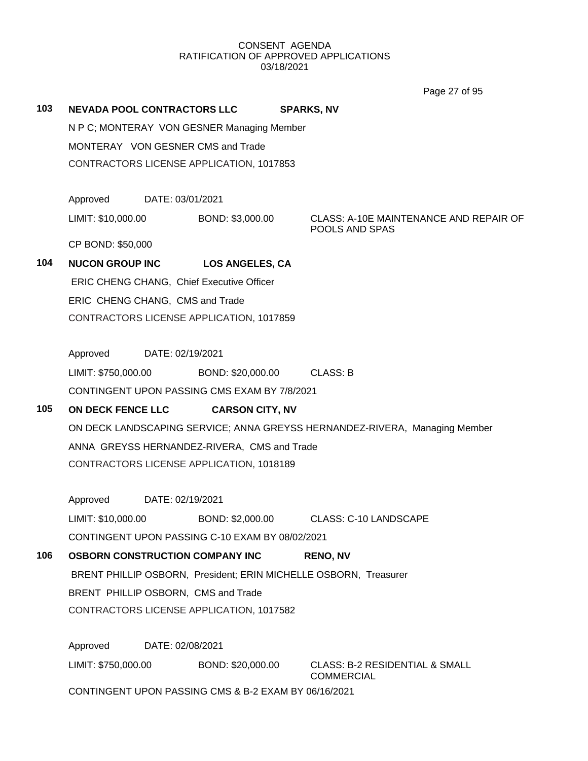Page 27 of 95

| 103 | <b>NEVADA POOL CONTRACTORS LLC</b>        |                  | N P C; MONTERAY VON GESNER Managing Member           | <b>SPARKS, NV</b>                                                          |
|-----|-------------------------------------------|------------------|------------------------------------------------------|----------------------------------------------------------------------------|
|     | MONTERAY VON GESNER CMS and Trade         |                  | CONTRACTORS LICENSE APPLICATION, 1017853             |                                                                            |
|     | Approved                                  | DATE: 03/01/2021 |                                                      |                                                                            |
|     | LIMIT: \$10,000.00                        |                  | BOND: \$3,000.00                                     | CLASS: A-10E MAINTENANCE AND REPAIR OF<br>POOLS AND SPAS                   |
|     | CP BOND: \$50,000                         |                  |                                                      |                                                                            |
| 104 |                                           |                  | NUCON GROUP INC LOS ANGELES, CA                      |                                                                            |
|     | ERIC CHENG CHANG, Chief Executive Officer |                  |                                                      |                                                                            |
|     | ERIC CHENG CHANG, CMS and Trade           |                  |                                                      |                                                                            |
|     |                                           |                  | CONTRACTORS LICENSE APPLICATION, 1017859             |                                                                            |
|     | Approved DATE: 02/19/2021                 |                  |                                                      |                                                                            |
|     |                                           |                  | LIMIT: \$750,000.00 BOND: \$20,000.00 CLASS: B       |                                                                            |
|     |                                           |                  | CONTINGENT UPON PASSING CMS EXAM BY 7/8/2021         |                                                                            |
| 105 | <b>ON DECK FENCE LLC</b>                  |                  | <b>CARSON CITY, NV</b>                               |                                                                            |
|     |                                           |                  |                                                      | ON DECK LANDSCAPING SERVICE; ANNA GREYSS HERNANDEZ-RIVERA, Managing Member |
|     |                                           |                  | ANNA GREYSS HERNANDEZ-RIVERA, CMS and Trade          |                                                                            |
|     |                                           |                  | CONTRACTORS LICENSE APPLICATION, 1018189             |                                                                            |
|     | Approved                                  | DATE: 02/19/2021 |                                                      |                                                                            |
|     | LIMIT: \$10,000.00                        |                  | BOND: \$2,000.00                                     | <b>CLASS: C-10 LANDSCAPE</b>                                               |
|     |                                           |                  | CONTINGENT UPON PASSING C-10 EXAM BY 08/02/2021      |                                                                            |
| 106 | <b>OSBORN CONSTRUCTION COMPANY INC</b>    |                  |                                                      | <b>RENO, NV</b>                                                            |
|     |                                           |                  |                                                      | BRENT PHILLIP OSBORN, President; ERIN MICHELLE OSBORN, Treasurer           |
|     | BRENT PHILLIP OSBORN, CMS and Trade       |                  |                                                      |                                                                            |
|     |                                           |                  | CONTRACTORS LICENSE APPLICATION, 1017582             |                                                                            |
|     | Approved                                  | DATE: 02/08/2021 |                                                      |                                                                            |
|     | LIMIT: \$750,000.00                       |                  | BOND: \$20,000.00                                    | <b>CLASS: B-2 RESIDENTIAL &amp; SMALL</b><br><b>COMMERCIAL</b>             |
|     |                                           |                  | CONTINGENT UPON PASSING CMS & B-2 EXAM BY 06/16/2021 |                                                                            |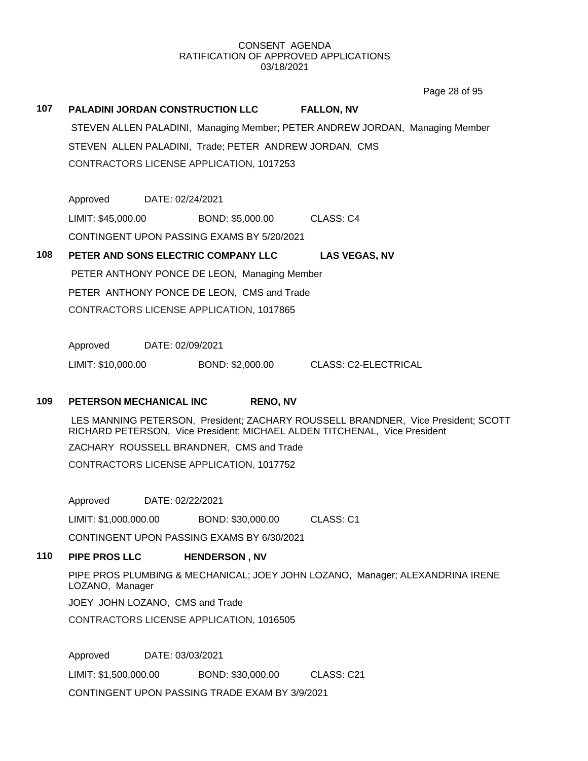Page 28 of 95

**107 PALADINI JORDAN CONSTRUCTION LLC FALLON, NV** STEVEN ALLEN PALADINI, Managing Member; PETER ANDREW JORDAN, Managing Member STEVEN ALLEN PALADINI, Trade; PETER ANDREW JORDAN, CMS CONTRACTORS LICENSE APPLICATION, 1017253

Approved DATE: 02/24/2021 LIMIT: \$45,000.00 BOND: \$5,000.00 CLASS: C4 CONTINGENT UPON PASSING EXAMS BY 5/20/2021

**108 PETER AND SONS ELECTRIC COMPANY LLC LAS VEGAS, NV** PETER ANTHONY PONCE DE LEON, Managing Member PETER ANTHONY PONCE DE LEON, CMS and Trade CONTRACTORS LICENSE APPLICATION, 1017865

Approved DATE: 02/09/2021

LIMIT: \$10,000.00 BOND: \$2,000.00 CLASS: C2-ELECTRICAL

### **109 PETERSON MECHANICAL INC RENO, NV**

LES MANNING PETERSON, President; ZACHARY ROUSSELL BRANDNER, Vice President; SCOTT RICHARD PETERSON, Vice President; MICHAEL ALDEN TITCHENAL, Vice President ZACHARY ROUSSELL BRANDNER, CMS and Trade CONTRACTORS LICENSE APPLICATION, 1017752

Approved DATE: 02/22/2021

LIMIT: \$1,000,000.00 BOND: \$30,000.00 CLASS: C1

CONTINGENT UPON PASSING EXAMS BY 6/30/2021

#### **110 PIPE PROS LLC HENDERSON , NV**

PIPE PROS PLUMBING & MECHANICAL; JOEY JOHN LOZANO, Manager; ALEXANDRINA IRENE LOZANO, Manager

JOEY JOHN LOZANO, CMS and Trade

CONTRACTORS LICENSE APPLICATION, 1016505

Approved DATE: 03/03/2021 LIMIT: \$1,500,000.00 BOND: \$30,000.00 CLASS: C21 CONTINGENT UPON PASSING TRADE EXAM BY 3/9/2021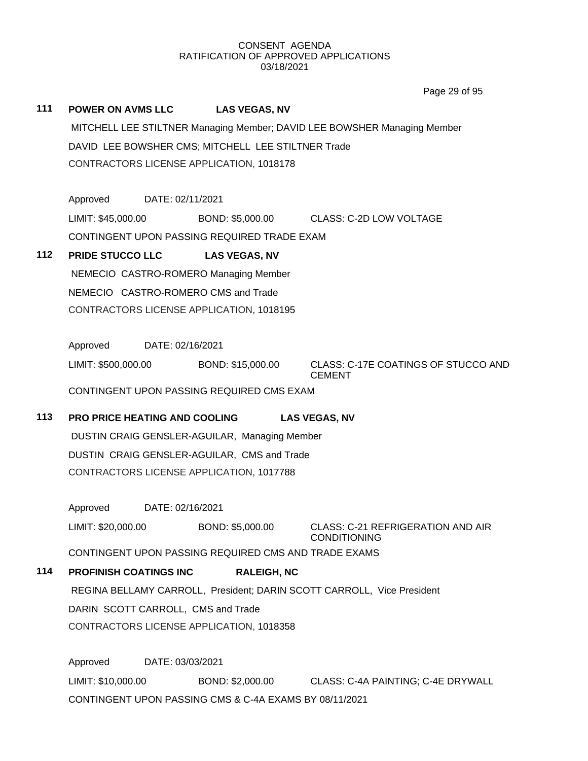Page 29 of 95

|       |                               |                  |                                                        | Page 29 or 95                                                            |
|-------|-------------------------------|------------------|--------------------------------------------------------|--------------------------------------------------------------------------|
| 111   | <b>POWER ON AVMS LLC</b>      |                  | <b>LAS VEGAS, NV</b>                                   |                                                                          |
|       |                               |                  |                                                        | MITCHELL LEE STILTNER Managing Member; DAVID LEE BOWSHER Managing Member |
|       |                               |                  | DAVID LEE BOWSHER CMS; MITCHELL LEE STILTNER Trade     |                                                                          |
|       |                               |                  | CONTRACTORS LICENSE APPLICATION, 1018178               |                                                                          |
|       |                               |                  |                                                        |                                                                          |
|       | Approved DATE: 02/11/2021     |                  |                                                        |                                                                          |
|       | LIMIT: \$45,000.00            |                  |                                                        | BOND: \$5,000.00 CLASS: C-2D LOW VOLTAGE                                 |
|       |                               |                  | CONTINGENT UPON PASSING REQUIRED TRADE EXAM            |                                                                          |
| $112$ | <b>PRIDE STUCCO LLC</b>       |                  | <b>LAS VEGAS, NV</b>                                   |                                                                          |
|       |                               |                  | NEMECIO CASTRO-ROMERO Managing Member                  |                                                                          |
|       |                               |                  | NEMECIO CASTRO-ROMERO CMS and Trade                    |                                                                          |
|       |                               |                  | CONTRACTORS LICENSE APPLICATION, 1018195               |                                                                          |
|       |                               |                  |                                                        |                                                                          |
|       | Approved DATE: 02/16/2021     |                  |                                                        |                                                                          |
|       | LIMIT: \$500,000.00           |                  | BOND: \$15,000.00                                      | CLASS: C-17E COATINGS OF STUCCO AND<br><b>CEMENT</b>                     |
|       |                               |                  | CONTINGENT UPON PASSING REQUIRED CMS EXAM              |                                                                          |
| 113   | PRO PRICE HEATING AND COOLING |                  |                                                        | <b>LAS VEGAS, NV</b>                                                     |
|       |                               |                  | DUSTIN CRAIG GENSLER-AGUILAR, Managing Member          |                                                                          |
|       |                               |                  | DUSTIN CRAIG GENSLER-AGUILAR, CMS and Trade            |                                                                          |
|       |                               |                  | CONTRACTORS LICENSE APPLICATION, 1017788               |                                                                          |
|       |                               |                  |                                                        |                                                                          |
|       | Approved                      | DATE: 02/16/2021 |                                                        |                                                                          |
|       | LIMIT: \$20,000.00            |                  | BOND: \$5,000.00                                       | <b>CLASS: C-21 REFRIGERATION AND AIR</b><br><b>CONDITIONING</b>          |
|       |                               |                  | CONTINGENT UPON PASSING REQUIRED CMS AND TRADE EXAMS   |                                                                          |
| 114   | <b>PROFINISH COATINGS INC</b> |                  | <b>RALEIGH, NC</b>                                     |                                                                          |
|       |                               |                  |                                                        | REGINA BELLAMY CARROLL, President; DARIN SCOTT CARROLL, Vice President   |
|       |                               |                  | DARIN SCOTT CARROLL, CMS and Trade                     |                                                                          |
|       |                               |                  | CONTRACTORS LICENSE APPLICATION, 1018358               |                                                                          |
|       |                               |                  |                                                        |                                                                          |
|       | Approved                      | DATE: 03/03/2021 |                                                        |                                                                          |
|       | LIMIT: \$10,000.00            |                  | BOND: \$2,000.00                                       | CLASS: C-4A PAINTING; C-4E DRYWALL                                       |
|       |                               |                  | CONTINGENT UPON PASSING CMS & C-4A EXAMS BY 08/11/2021 |                                                                          |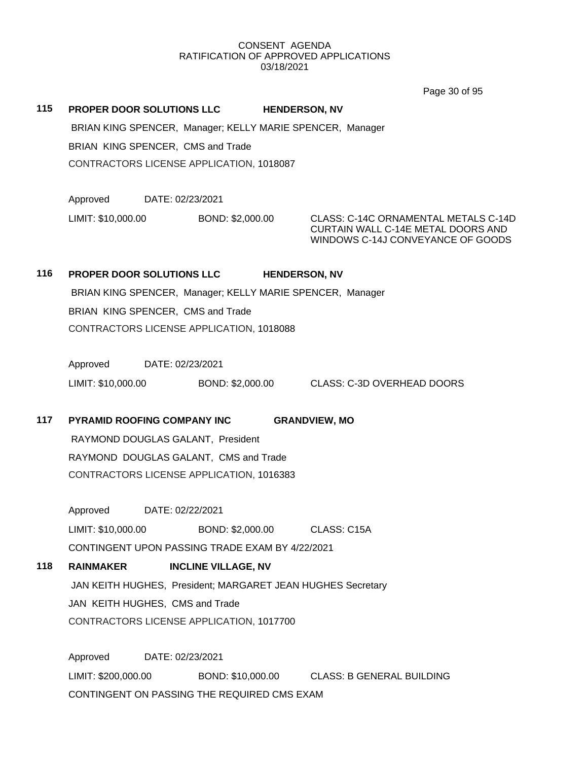Page 30 of 95

**115 PROPER DOOR SOLUTIONS LLC HENDERSON, NV** BRIAN KING SPENCER, Manager; KELLY MARIE SPENCER, Manager BRIAN KING SPENCER, CMS and Trade

CONTRACTORS LICENSE APPLICATION, 1018087

Approved DATE: 02/23/2021

LIMIT: \$10,000.00 BOND: \$2,000.00 CLASS: C-14C ORNAMENTAL METALS C-14D

CURTAIN WALL C-14E METAL DOORS AND WINDOWS C-14J CONVEYANCE OF GOODS

# **116 PROPER DOOR SOLUTIONS LLC HENDERSON, NV** BRIAN KING SPENCER, Manager; KELLY MARIE SPENCER, Manager BRIAN KING SPENCER, CMS and Trade CONTRACTORS LICENSE APPLICATION, 1018088

Approved DATE: 02/23/2021 LIMIT: \$10,000.00 BOND: \$2,000.00 CLASS: C-3D OVERHEAD DOORS

# **117 PYRAMID ROOFING COMPANY INC GRANDVIEW, MO**

RAYMOND DOUGLAS GALANT, President RAYMOND DOUGLAS GALANT, CMS and Trade CONTRACTORS LICENSE APPLICATION, 1016383

Approved DATE: 02/22/2021 LIMIT: \$10,000.00 BOND: \$2,000.00 CLASS: C15A CONTINGENT UPON PASSING TRADE EXAM BY 4/22/2021

# **118 RAINMAKER INCLINE VILLAGE, NV** JAN KEITH HUGHES, President; MARGARET JEAN HUGHES Secretary JAN KEITH HUGHES, CMS and Trade CONTRACTORS LICENSE APPLICATION, 1017700

Approved DATE: 02/23/2021 LIMIT: \$200,000.00 BOND: \$10,000.00 CLASS: B GENERAL BUILDING CONTINGENT ON PASSING THE REQUIRED CMS EXAM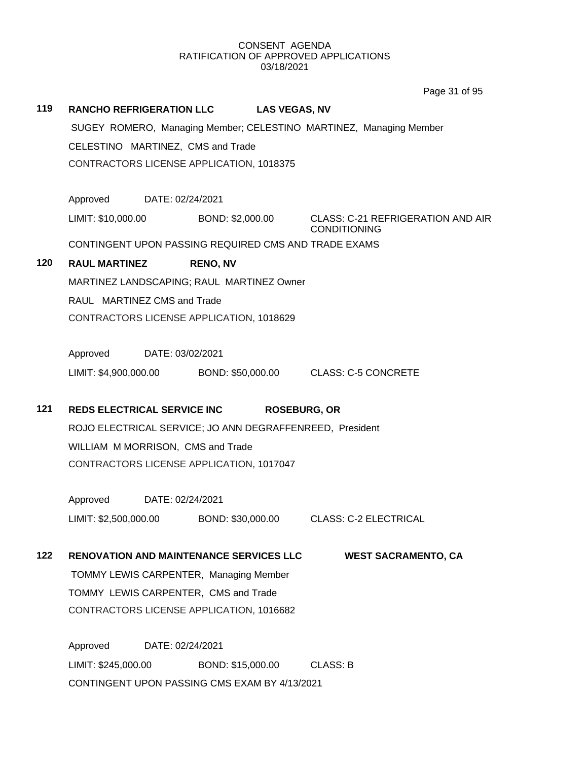Page 31 of 95

# **119 RANCHO REFRIGERATION LLC LAS VEGAS, NV** SUGEY ROMERO, Managing Member; CELESTINO MARTINEZ, Managing Member CELESTINO MARTINEZ, CMS and Trade CONTRACTORS LICENSE APPLICATION, 1018375 Approved DATE: 02/24/2021 LIMIT: \$10,000.00 BOND: \$2,000.00 CLASS: C-21 REFRIGERATION AND AIR CONDITIONING CONTINGENT UPON PASSING REQUIRED CMS AND TRADE EXAMS **120 RAUL MARTINEZ RENO, NV** MARTINEZ LANDSCAPING; RAUL MARTINEZ Owner RAUL MARTINEZ CMS and Trade CONTRACTORS LICENSE APPLICATION, 1018629 Approved DATE: 03/02/2021 LIMIT: \$4,900,000.00 BOND: \$50,000.00 CLASS: C-5 CONCRETE **121 REDS ELECTRICAL SERVICE INC ROSEBURG, OR** ROJO ELECTRICAL SERVICE; JO ANN DEGRAFFENREED, President WILLIAM M MORRISON, CMS and Trade CONTRACTORS LICENSE APPLICATION, 1017047 Approved DATE: 02/24/2021 LIMIT: \$2,500,000.00 BOND: \$30,000.00 CLASS: C-2 ELECTRICAL **122 RENOVATION AND MAINTENANCE SERVICES LLC WEST SACRAMENTO, CA** TOMMY LEWIS CARPENTER, Managing Member TOMMY LEWIS CARPENTER, CMS and Trade CONTRACTORS LICENSE APPLICATION, 1016682 Approved DATE: 02/24/2021

LIMIT: \$245,000.00 BOND: \$15,000.00 CLASS: B CONTINGENT UPON PASSING CMS EXAM BY 4/13/2021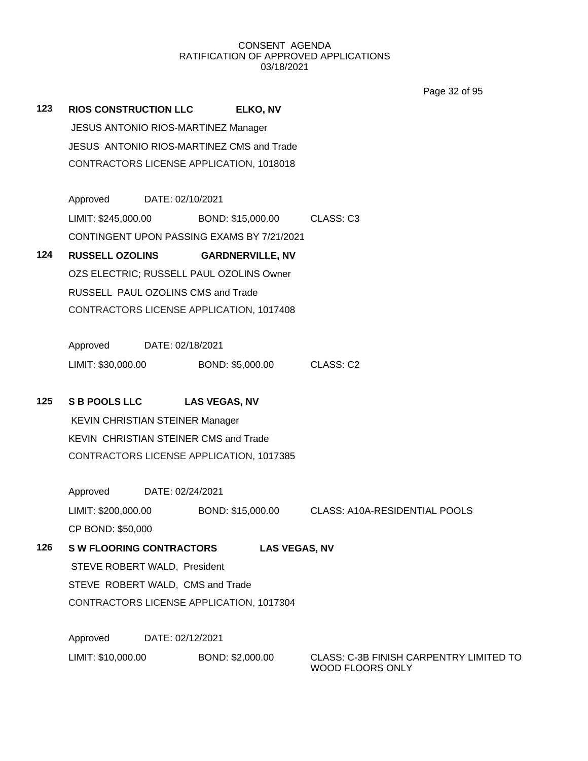Page 32 of 95

**123 RIOS CONSTRUCTION LLC ELKO, NV** JESUS ANTONIO RIOS-MARTINEZ Manager JESUS ANTONIO RIOS-MARTINEZ CMS and Trade CONTRACTORS LICENSE APPLICATION, 1018018 Approved DATE: 02/10/2021 LIMIT: \$245,000.00 BOND: \$15,000.00 CLASS: C3 CONTINGENT UPON PASSING EXAMS BY 7/21/2021 **124 RUSSELL OZOLINS GARDNERVILLE, NV** OZS ELECTRIC; RUSSELL PAUL OZOLINS Owner RUSSELL PAUL OZOLINS CMS and Trade CONTRACTORS LICENSE APPLICATION, 1017408 Approved DATE: 02/18/2021 LIMIT: \$30,000.00 BOND: \$5,000.00 CLASS: C2 **125 S B POOLS LLC LAS VEGAS, NV** KEVIN CHRISTIAN STEINER Manager KEVIN CHRISTIAN STEINER CMS and Trade CONTRACTORS LICENSE APPLICATION, 1017385 Approved DATE: 02/24/2021 LIMIT: \$200,000.00 BOND: \$15,000.00 CLASS: A10A-RESIDENTIAL POOLS CP BOND: \$50,000 **126 S W FLOORING CONTRACTORS LAS VEGAS, NV** STEVE ROBERT WALD, President STEVE ROBERT WALD, CMS and Trade CONTRACTORS LICENSE APPLICATION, 1017304 Approved DATE: 02/12/2021 LIMIT: \$10,000.00 BOND: \$2,000.00 CLASS: C-3B FINISH CARPENTRY LIMITED TO

WOOD FLOORS ONLY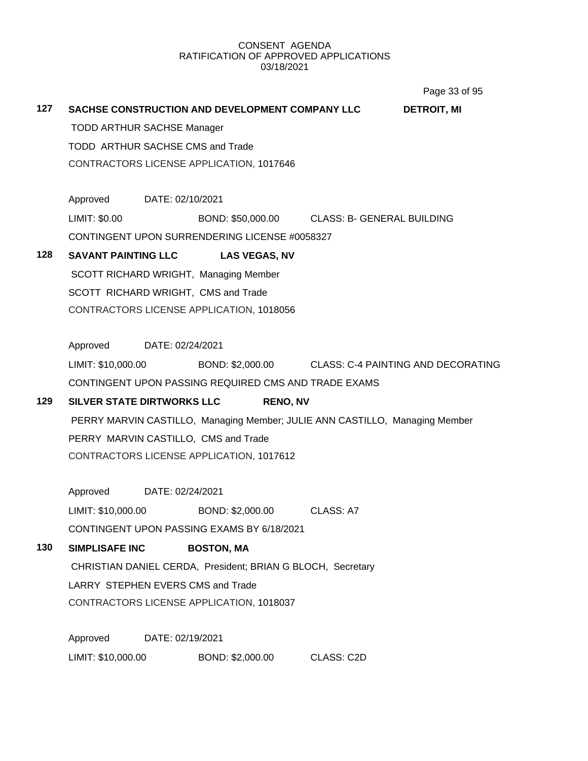Page 33 of 95

|                                                                             |                                                                                  |  |                                                        |            | <u>uyu uu uu</u>                                    |
|-----------------------------------------------------------------------------|----------------------------------------------------------------------------------|--|--------------------------------------------------------|------------|-----------------------------------------------------|
| 127                                                                         |                                                                                  |  | <b>SACHSE CONSTRUCTION AND DEVELOPMENT COMPANY LLC</b> |            | <b>DETROIT, MI</b>                                  |
|                                                                             | <b>TODD ARTHUR SACHSE Manager</b>                                                |  |                                                        |            |                                                     |
|                                                                             | TODD ARTHUR SACHSE CMS and Trade                                                 |  |                                                        |            |                                                     |
|                                                                             | CONTRACTORS LICENSE APPLICATION, 1017646                                         |  |                                                        |            |                                                     |
|                                                                             | Approved DATE: 02/10/2021                                                        |  |                                                        |            |                                                     |
|                                                                             | LIMIT: \$0.00                                                                    |  | BOND: \$50,000.00 CLASS: B- GENERAL BUILDING           |            |                                                     |
|                                                                             |                                                                                  |  | CONTINGENT UPON SURRENDERING LICENSE #0058327          |            |                                                     |
| 128                                                                         | <b>SAVANT PAINTING LLC</b>                                                       |  | <b>LAS VEGAS, NV</b>                                   |            |                                                     |
|                                                                             |                                                                                  |  | SCOTT RICHARD WRIGHT, Managing Member                  |            |                                                     |
|                                                                             | SCOTT RICHARD WRIGHT, CMS and Trade<br>CONTRACTORS LICENSE APPLICATION, 1018056  |  |                                                        |            |                                                     |
|                                                                             |                                                                                  |  |                                                        |            |                                                     |
|                                                                             |                                                                                  |  |                                                        |            |                                                     |
|                                                                             | Approved DATE: 02/24/2021                                                        |  |                                                        |            |                                                     |
|                                                                             | LIMIT: \$10,000.00                                                               |  |                                                        |            | BOND: \$2,000.00 CLASS: C-4 PAINTING AND DECORATING |
|                                                                             | CONTINGENT UPON PASSING REQUIRED CMS AND TRADE EXAMS                             |  |                                                        |            |                                                     |
| 129                                                                         | SILVER STATE DIRTWORKS LLC<br><b>RENO, NV</b>                                    |  |                                                        |            |                                                     |
| PERRY MARVIN CASTILLO, Managing Member; JULIE ANN CASTILLO, Managing Member |                                                                                  |  |                                                        |            |                                                     |
|                                                                             | PERRY MARVIN CASTILLO, CMS and Trade<br>CONTRACTORS LICENSE APPLICATION, 1017612 |  |                                                        |            |                                                     |
|                                                                             |                                                                                  |  |                                                        |            |                                                     |
|                                                                             |                                                                                  |  |                                                        |            |                                                     |
|                                                                             | Approved DATE: 02/24/2021                                                        |  |                                                        |            |                                                     |
|                                                                             | LIMIT: \$10,000.00                                                               |  | BOND: \$2,000.00                                       | CLASS: A7  |                                                     |
|                                                                             | CONTINGENT UPON PASSING EXAMS BY 6/18/2021                                       |  |                                                        |            |                                                     |
| 130                                                                         | <b>SIMPLISAFE INC</b>                                                            |  | <b>BOSTON, MA</b>                                      |            |                                                     |
|                                                                             | CHRISTIAN DANIEL CERDA, President; BRIAN G BLOCH, Secretary                      |  |                                                        |            |                                                     |
|                                                                             | LARRY STEPHEN EVERS CMS and Trade                                                |  |                                                        |            |                                                     |
|                                                                             | CONTRACTORS LICENSE APPLICATION, 1018037                                         |  |                                                        |            |                                                     |
|                                                                             |                                                                                  |  |                                                        |            |                                                     |
|                                                                             | Approved<br>DATE: 02/19/2021                                                     |  |                                                        |            |                                                     |
|                                                                             | LIMIT: \$10,000.00                                                               |  | BOND: \$2,000.00                                       | CLASS: C2D |                                                     |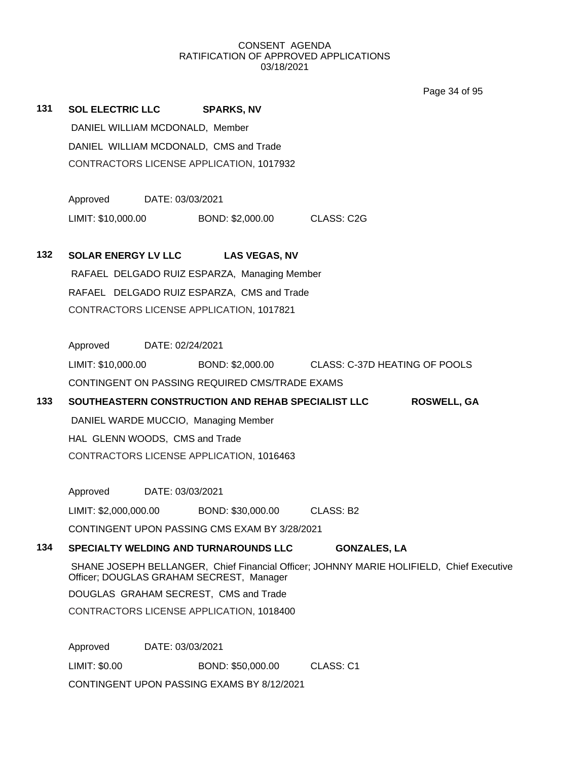Page 34 of 95

| 131 | SOL ELECTRIC LLC SPARKS, NV                                                                                                          |                                                                          |                                                                   |                     |  |  |  |  |
|-----|--------------------------------------------------------------------------------------------------------------------------------------|--------------------------------------------------------------------------|-------------------------------------------------------------------|---------------------|--|--|--|--|
|     | DANIEL WILLIAM MCDONALD, Member                                                                                                      |                                                                          |                                                                   |                     |  |  |  |  |
|     | DANIEL WILLIAM MCDONALD, CMS and Trade                                                                                               |                                                                          |                                                                   |                     |  |  |  |  |
|     | CONTRACTORS LICENSE APPLICATION, 1017932                                                                                             |                                                                          |                                                                   |                     |  |  |  |  |
|     |                                                                                                                                      |                                                                          |                                                                   |                     |  |  |  |  |
|     | Approved DATE: 03/03/2021                                                                                                            |                                                                          |                                                                   |                     |  |  |  |  |
|     |                                                                                                                                      |                                                                          | LIMIT: \$10,000.00 BOND: \$2,000.00 CLASS: C2G                    |                     |  |  |  |  |
| 132 | <b>SOLAR ENERGY LV LLC</b>                                                                                                           |                                                                          | <b>LAS VEGAS, NV</b>                                              |                     |  |  |  |  |
|     | RAFAEL DELGADO RUIZ ESPARZA, Managing Member                                                                                         |                                                                          |                                                                   |                     |  |  |  |  |
|     | RAFAEL DELGADO RUIZ ESPARZA, CMS and Trade<br>CONTRACTORS LICENSE APPLICATION, 1017821                                               |                                                                          |                                                                   |                     |  |  |  |  |
|     |                                                                                                                                      |                                                                          |                                                                   |                     |  |  |  |  |
|     |                                                                                                                                      |                                                                          |                                                                   |                     |  |  |  |  |
|     | Approved DATE: 02/24/2021                                                                                                            |                                                                          |                                                                   |                     |  |  |  |  |
|     |                                                                                                                                      |                                                                          | LIMIT: \$10,000.00 BOND: \$2,000.00 CLASS: C-37D HEATING OF POOLS |                     |  |  |  |  |
|     |                                                                                                                                      |                                                                          | CONTINGENT ON PASSING REQUIRED CMS/TRADE EXAMS                    |                     |  |  |  |  |
| 133 |                                                                                                                                      | SOUTHEASTERN CONSTRUCTION AND REHAB SPECIALIST LLC<br><b>ROSWELL, GA</b> |                                                                   |                     |  |  |  |  |
|     |                                                                                                                                      |                                                                          |                                                                   |                     |  |  |  |  |
|     | HAL GLENN WOODS, CMS and Trade                                                                                                       |                                                                          |                                                                   |                     |  |  |  |  |
|     | CONTRACTORS LICENSE APPLICATION, 1016463                                                                                             |                                                                          |                                                                   |                     |  |  |  |  |
|     |                                                                                                                                      |                                                                          |                                                                   |                     |  |  |  |  |
|     | Approved DATE: 03/03/2021                                                                                                            |                                                                          |                                                                   |                     |  |  |  |  |
|     |                                                                                                                                      |                                                                          | LIMIT: \$2,000,000.00 BOND: \$30,000.00 CLASS: B2                 |                     |  |  |  |  |
|     | CONTINGENT UPON PASSING CMS EXAM BY 3/28/2021                                                                                        |                                                                          |                                                                   |                     |  |  |  |  |
| 134 |                                                                                                                                      |                                                                          | SPECIALTY WELDING AND TURNAROUNDS LLC                             | <b>GONZALES, LA</b> |  |  |  |  |
|     | SHANE JOSEPH BELLANGER, Chief Financial Officer; JOHNNY MARIE HOLIFIELD, Chief Executive<br>Officer; DOUGLAS GRAHAM SECREST, Manager |                                                                          |                                                                   |                     |  |  |  |  |
|     | DOUGLAS GRAHAM SECREST, CMS and Trade                                                                                                |                                                                          |                                                                   |                     |  |  |  |  |
|     | CONTRACTORS LICENSE APPLICATION, 1018400                                                                                             |                                                                          |                                                                   |                     |  |  |  |  |
|     |                                                                                                                                      |                                                                          |                                                                   |                     |  |  |  |  |
|     | Approved                                                                                                                             | DATE: 03/03/2021                                                         |                                                                   |                     |  |  |  |  |
|     | LIMIT: \$0.00<br>BOND: \$50,000.00<br>CLASS: C1                                                                                      |                                                                          |                                                                   |                     |  |  |  |  |
|     | CONTINGENT UPON PASSING EXAMS BY 8/12/2021                                                                                           |                                                                          |                                                                   |                     |  |  |  |  |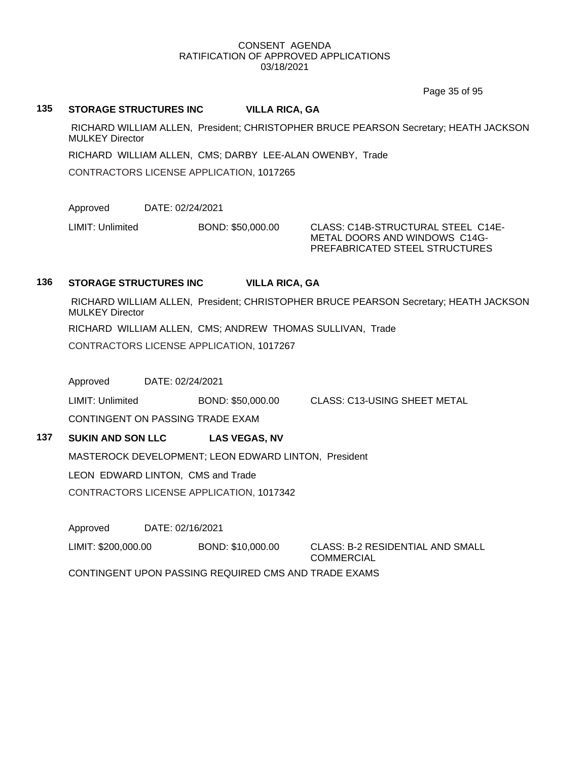Page 35 of 95

### **135 STORAGE STRUCTURES INC VILLA RICA, GA**

RICHARD WILLIAM ALLEN, President; CHRISTOPHER BRUCE PEARSON Secretary; HEATH JACKSON MULKEY Director

RICHARD WILLIAM ALLEN, CMS; DARBY LEE-ALAN OWENBY, Trade

CONTRACTORS LICENSE APPLICATION, 1017265

Approved DATE: 02/24/2021

LIMIT: Unlimited BOND: \$50,000.00 CLASS: C14B-STRUCTURAL STEEL C14E-

METAL DOORS AND WINDOWS C14G-PREFABRICATED STEEL STRUCTURES

# **136 STORAGE STRUCTURES INC VILLA RICA, GA**

RICHARD WILLIAM ALLEN, President; CHRISTOPHER BRUCE PEARSON Secretary; HEATH JACKSON MULKEY Director RICHARD WILLIAM ALLEN, CMS; ANDREW THOMAS SULLIVAN, Trade

CONTRACTORS LICENSE APPLICATION, 1017267

Approved DATE: 02/24/2021

LIMIT: Unlimited BOND: \$50,000.00 CLASS: C13-USING SHEET METAL

CONTINGENT ON PASSING TRADE EXAM

# **137 SUKIN AND SON LLC LAS VEGAS, NV**

MASTEROCK DEVELOPMENT; LEON EDWARD LINTON, President

LEON EDWARD LINTON, CMS and Trade

CONTRACTORS LICENSE APPLICATION, 1017342

Approved DATE: 02/16/2021

LIMIT: \$200,000.00 BOND: \$10,000.00 CLASS: B-2 RESIDENTIAL AND SMALL

**COMMERCIAL** 

CONTINGENT UPON PASSING REQUIRED CMS AND TRADE EXAMS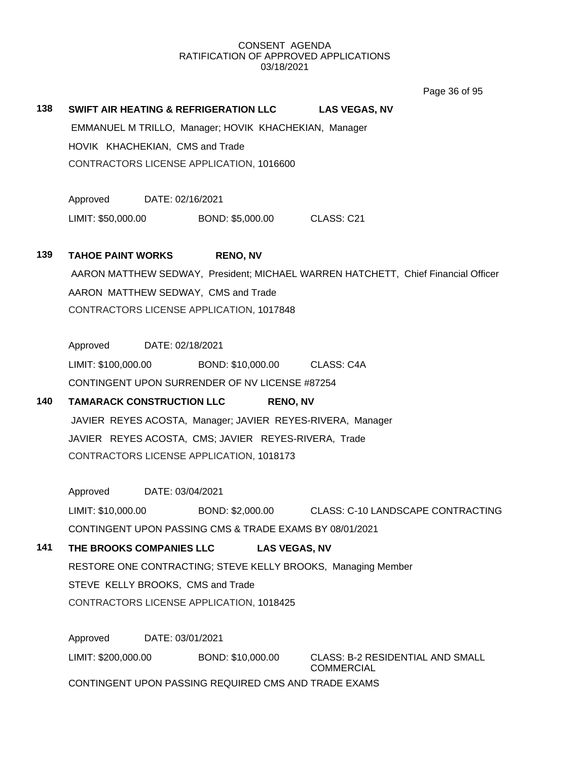Page 36 of 95

### **138 SWIFT AIR HEATING & REFRIGERATION LLC LAS VEGAS, NV**

EMMANUEL M TRILLO, Manager; HOVIK KHACHEKIAN, Manager HOVIK KHACHEKIAN, CMS and Trade CONTRACTORS LICENSE APPLICATION, 1016600

Approved DATE: 02/16/2021

LIMIT: \$50,000.00 BOND: \$5,000.00 CLASS: C21

# **139 TAHOE PAINT WORKS RENO, NV**

AARON MATTHEW SEDWAY, President; MICHAEL WARREN HATCHETT, Chief Financial Officer AARON MATTHEW SEDWAY, CMS and Trade CONTRACTORS LICENSE APPLICATION, 1017848

Approved DATE: 02/18/2021

LIMIT: \$100,000.00 BOND: \$10,000.00 CLASS: C4A CONTINGENT UPON SURRENDER OF NV LICENSE #87254

# **140 TAMARACK CONSTRUCTION LLC RENO, NV**

JAVIER REYES ACOSTA, Manager; JAVIER REYES-RIVERA, Manager JAVIER REYES ACOSTA, CMS; JAVIER REYES-RIVERA, Trade CONTRACTORS LICENSE APPLICATION, 1018173

Approved DATE: 03/04/2021

LIMIT: \$10,000.00 BOND: \$2,000.00 CLASS: C-10 LANDSCAPE CONTRACTING

CONTINGENT UPON PASSING CMS & TRADE EXAMS BY 08/01/2021

# **141 THE BROOKS COMPANIES LLC LAS VEGAS, NV**

RESTORE ONE CONTRACTING; STEVE KELLY BROOKS, Managing Member STEVE KELLY BROOKS, CMS and Trade CONTRACTORS LICENSE APPLICATION, 1018425

Approved DATE: 03/01/2021 LIMIT: \$200,000.00 BOND: \$10,000.00 CLASS: B-2 RESIDENTIAL AND SMALL **COMMERCIAL** CONTINGENT UPON PASSING REQUIRED CMS AND TRADE EXAMS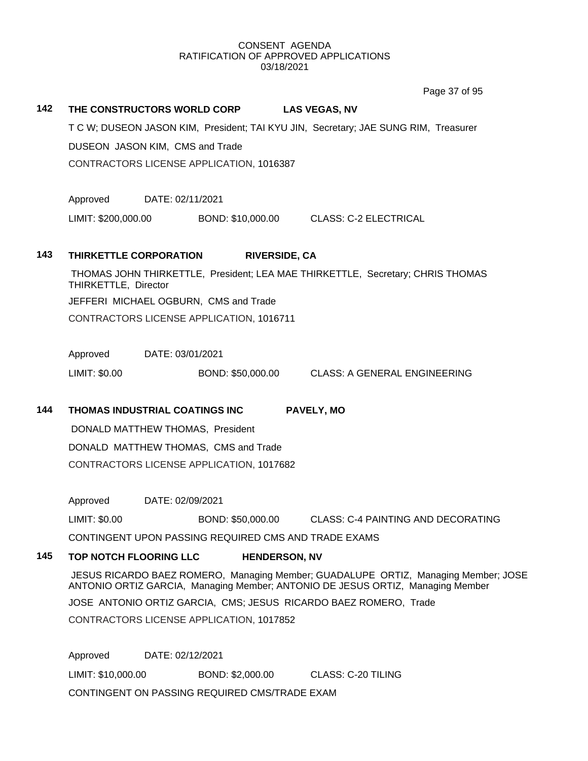Page 37 of 95

# **142 THE CONSTRUCTORS WORLD CORP LAS VEGAS, NV** T C W; DUSEON JASON KIM, President; TAI KYU JIN, Secretary; JAE SUNG RIM, Treasurer DUSEON JASON KIM, CMS and Trade CONTRACTORS LICENSE APPLICATION, 1016387 Approved DATE: 02/11/2021 LIMIT: \$200,000.00 BOND: \$10,000.00 CLASS: C-2 ELECTRICAL **143 THIRKETTLE CORPORATION RIVERSIDE, CA** THOMAS JOHN THIRKETTLE, President; LEA MAE THIRKETTLE, Secretary; CHRIS THOMAS THIRKETTLE, Director JEFFERI MICHAEL OGBURN, CMS and Trade CONTRACTORS LICENSE APPLICATION, 1016711 Approved DATE: 03/01/2021 LIMIT: \$0.00 BOND: \$50,000.00 CLASS: A GENERAL ENGINEERING **144 THOMAS INDUSTRIAL COATINGS INC PAVELY, MO** DONALD MATTHEW THOMAS, President DONALD MATTHEW THOMAS, CMS and Trade CONTRACTORS LICENSE APPLICATION, 1017682 Approved DATE: 02/09/2021 LIMIT: \$0.00 BOND: \$50,000.00 CLASS: C-4 PAINTING AND DECORATING CONTINGENT UPON PASSING REQUIRED CMS AND TRADE EXAMS **145 TOP NOTCH FLOORING LLC HENDERSON, NV** JESUS RICARDO BAEZ ROMERO, Managing Member; GUADALUPE ORTIZ, Managing Member; JOSE ANTONIO ORTIZ GARCIA, Managing Member; ANTONIO DE JESUS ORTIZ, Managing Member JOSE ANTONIO ORTIZ GARCIA, CMS; JESUS RICARDO BAEZ ROMERO, Trade CONTRACTORS LICENSE APPLICATION, 1017852

Approved DATE: 02/12/2021 LIMIT: \$10,000.00 BOND: \$2,000.00 CLASS: C-20 TILING CONTINGENT ON PASSING REQUIRED CMS/TRADE EXAM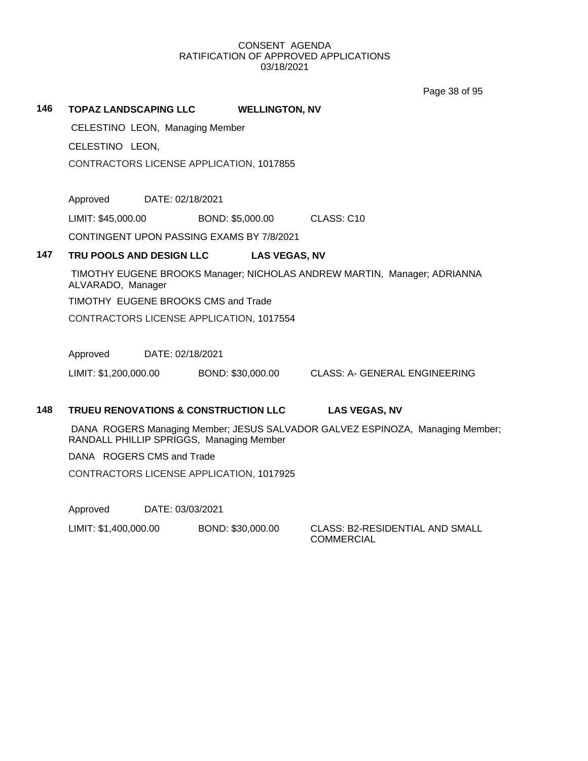Page 38 of 95

### **146 TOPAZ LANDSCAPING LLC WELLINGTON, NV**

CELESTINO LEON, Managing Member

CELESTINO LEON,

CONTRACTORS LICENSE APPLICATION, 1017855

Approved DATE: 02/18/2021

LIMIT: \$45,000.00 BOND: \$5,000.00 CLASS: C10

CONTINGENT UPON PASSING EXAMS BY 7/8/2021

# **147 TRU POOLS AND DESIGN LLC LAS VEGAS, NV**

TIMOTHY EUGENE BROOKS Manager; NICHOLAS ANDREW MARTIN, Manager; ADRIANNA ALVARADO, Manager

TIMOTHY EUGENE BROOKS CMS and Trade

CONTRACTORS LICENSE APPLICATION, 1017554

Approved DATE: 02/18/2021

LIMIT: \$1,200,000.00 BOND: \$30,000.00 CLASS: A- GENERAL ENGINEERING

# **148 TRUEU RENOVATIONS & CONSTRUCTION LLC LAS VEGAS, NV**

DANA ROGERS Managing Member; JESUS SALVADOR GALVEZ ESPINOZA, Managing Member; RANDALL PHILLIP SPRIGGS, Managing Member

DANA ROGERS CMS and Trade

CONTRACTORS LICENSE APPLICATION, 1017925

Approved DATE: 03/03/2021

LIMIT: \$1,400,000.00 BOND: \$30,000.00 CLASS: B2-RESIDENTIAL AND SMALL

**COMMERCIAL**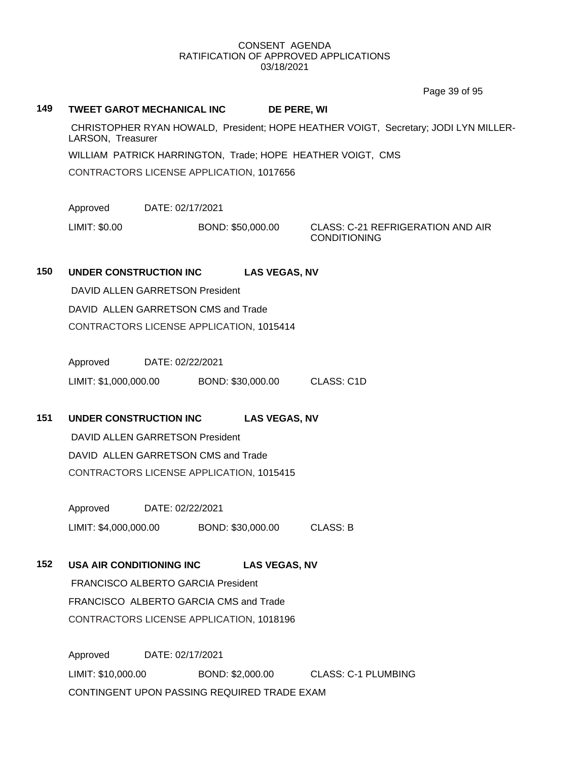Page 39 of 95

# **149 TWEET GAROT MECHANICAL INC DE PERE, WI**

CHRISTOPHER RYAN HOWALD, President; HOPE HEATHER VOIGT, Secretary; JODI LYN MILLER-LARSON, Treasurer

WILLIAM PATRICK HARRINGTON, Trade; HOPE HEATHER VOIGT, CMS

CONTRACTORS LICENSE APPLICATION, 1017656

Approved DATE: 02/17/2021

LIMIT: \$0.00 BOND: \$50,000.00 CLASS: C-21 REFRIGERATION AND AIR

CONDITIONING

# **150 UNDER CONSTRUCTION INC LAS VEGAS, NV**

DAVID ALLEN GARRETSON President DAVID ALLEN GARRETSON CMS and Trade CONTRACTORS LICENSE APPLICATION, 1015414

Approved DATE: 02/22/2021 LIMIT: \$1,000,000.00 BOND: \$30,000.00 CLASS: C1D

**151 UNDER CONSTRUCTION INC LAS VEGAS, NV**

DAVID ALLEN GARRETSON President DAVID ALLEN GARRETSON CMS and Trade CONTRACTORS LICENSE APPLICATION, 1015415

Approved DATE: 02/22/2021 LIMIT: \$4,000,000.00 BOND: \$30,000.00 CLASS: B

# **152 USA AIR CONDITIONING INC LAS VEGAS, NV**

FRANCISCO ALBERTO GARCIA President FRANCISCO ALBERTO GARCIA CMS and Trade CONTRACTORS LICENSE APPLICATION, 1018196

Approved DATE: 02/17/2021 LIMIT: \$10,000.00 BOND: \$2,000.00 CLASS: C-1 PLUMBING CONTINGENT UPON PASSING REQUIRED TRADE EXAM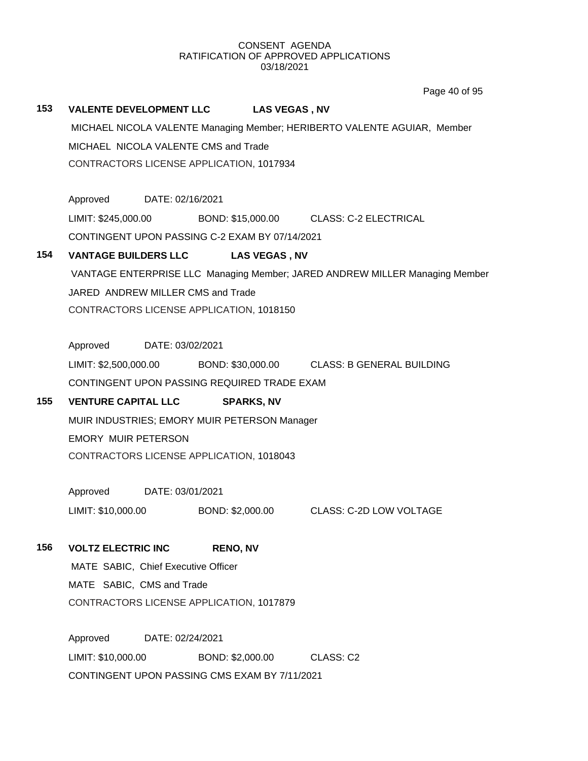Page 40 of 95

# **153 VALENTE DEVELOPMENT LLC LAS VEGAS , NV**

MICHAEL NICOLA VALENTE Managing Member; HERIBERTO VALENTE AGUIAR, Member MICHAEL NICOLA VALENTE CMS and Trade CONTRACTORS LICENSE APPLICATION, 1017934

Approved DATE: 02/16/2021 LIMIT: \$245,000.00 BOND: \$15,000.00 CLASS: C-2 ELECTRICAL CONTINGENT UPON PASSING C-2 EXAM BY 07/14/2021

# **154 VANTAGE BUILDERS LLC LAS VEGAS , NV**

VANTAGE ENTERPRISE LLC Managing Member; JARED ANDREW MILLER Managing Member JARED ANDREW MILLER CMS and Trade CONTRACTORS LICENSE APPLICATION, 1018150

Approved DATE: 03/02/2021

LIMIT: \$2,500,000.00 BOND: \$30,000.00 CLASS: B GENERAL BUILDING CONTINGENT UPON PASSING REQUIRED TRADE EXAM

# **155 VENTURE CAPITAL LLC SPARKS, NV**

MUIR INDUSTRIES; EMORY MUIR PETERSON Manager EMORY MUIR PETERSON CONTRACTORS LICENSE APPLICATION, 1018043

Approved DATE: 03/01/2021

LIMIT: \$10,000.00 BOND: \$2,000.00 CLASS: C-2D LOW VOLTAGE

# **156 VOLTZ ELECTRIC INC RENO, NV**

MATE SABIC, Chief Executive Officer MATE SABIC, CMS and Trade CONTRACTORS LICENSE APPLICATION, 1017879

Approved DATE: 02/24/2021 LIMIT: \$10,000.00 BOND: \$2,000.00 CLASS: C2 CONTINGENT UPON PASSING CMS EXAM BY 7/11/2021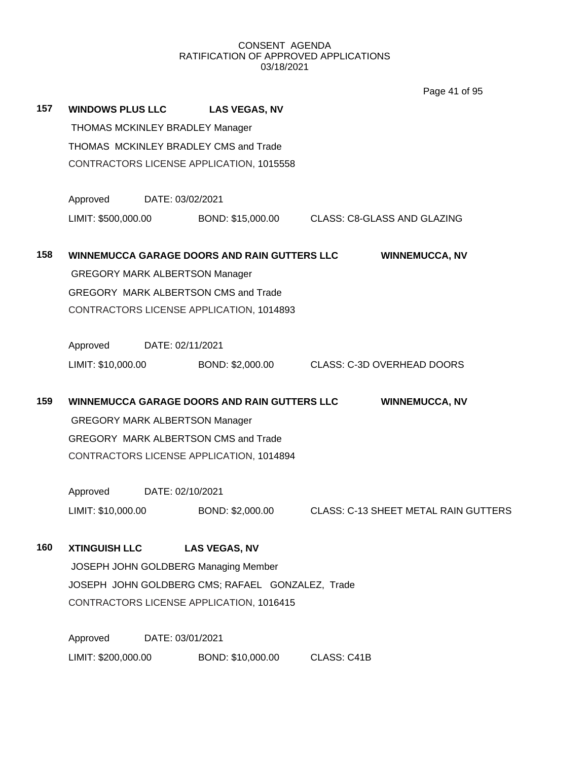Page 41 of 95

| 157 | <b>WINDOWS PLUS LLC</b>                                               |                  | <b>LAS VEGAS, NV</b>                          |             |                                             |  |  |  |
|-----|-----------------------------------------------------------------------|------------------|-----------------------------------------------|-------------|---------------------------------------------|--|--|--|
|     | THOMAS MCKINLEY BRADLEY Manager                                       |                  |                                               |             |                                             |  |  |  |
|     | THOMAS MCKINLEY BRADLEY CMS and Trade                                 |                  |                                               |             |                                             |  |  |  |
|     | CONTRACTORS LICENSE APPLICATION, 1015558                              |                  |                                               |             |                                             |  |  |  |
|     | Approved<br>DATE: 03/02/2021                                          |                  |                                               |             |                                             |  |  |  |
|     | LIMIT: \$500,000.00                                                   |                  | BOND: \$15,000.00 CLASS: C8-GLASS AND GLAZING |             |                                             |  |  |  |
| 158 | WINNEMUCCA GARAGE DOORS AND RAIN GUTTERS LLC<br><b>WINNEMUCCA, NV</b> |                  |                                               |             |                                             |  |  |  |
|     | <b>GREGORY MARK ALBERTSON Manager</b>                                 |                  |                                               |             |                                             |  |  |  |
|     | <b>GREGORY MARK ALBERTSON CMS and Trade</b>                           |                  |                                               |             |                                             |  |  |  |
|     | CONTRACTORS LICENSE APPLICATION, 1014893                              |                  |                                               |             |                                             |  |  |  |
|     | Approved                                                              | DATE: 02/11/2021 |                                               |             |                                             |  |  |  |
|     | LIMIT: \$10,000.00                                                    |                  | BOND: \$2,000.00                              |             | <b>CLASS: C-3D OVERHEAD DOORS</b>           |  |  |  |
| 159 | WINNEMUCCA GARAGE DOORS AND RAIN GUTTERS LLC<br><b>WINNEMUCCA, NV</b> |                  |                                               |             |                                             |  |  |  |
|     | <b>GREGORY MARK ALBERTSON Manager</b>                                 |                  |                                               |             |                                             |  |  |  |
|     | <b>GREGORY MARK ALBERTSON CMS and Trade</b>                           |                  |                                               |             |                                             |  |  |  |
|     | CONTRACTORS LICENSE APPLICATION, 1014894                              |                  |                                               |             |                                             |  |  |  |
|     | Approved<br>DATE: 02/10/2021                                          |                  |                                               |             |                                             |  |  |  |
|     | LIMIT: \$10,000.00                                                    |                  | BOND: \$2,000.00                              |             | <b>CLASS: C-13 SHEET METAL RAIN GUTTERS</b> |  |  |  |
| 160 | <b>XTINGUISH LLC</b>                                                  |                  | <b>LAS VEGAS, NV</b>                          |             |                                             |  |  |  |
|     | JOSEPH JOHN GOLDBERG Managing Member                                  |                  |                                               |             |                                             |  |  |  |
|     | JOSEPH JOHN GOLDBERG CMS; RAFAEL GONZALEZ, Trade                      |                  |                                               |             |                                             |  |  |  |
|     | CONTRACTORS LICENSE APPLICATION, 1016415                              |                  |                                               |             |                                             |  |  |  |
|     | Approved                                                              | DATE: 03/01/2021 |                                               |             |                                             |  |  |  |
|     | LIMIT: \$200,000.00                                                   |                  | BOND: \$10,000.00                             | CLASS: C41B |                                             |  |  |  |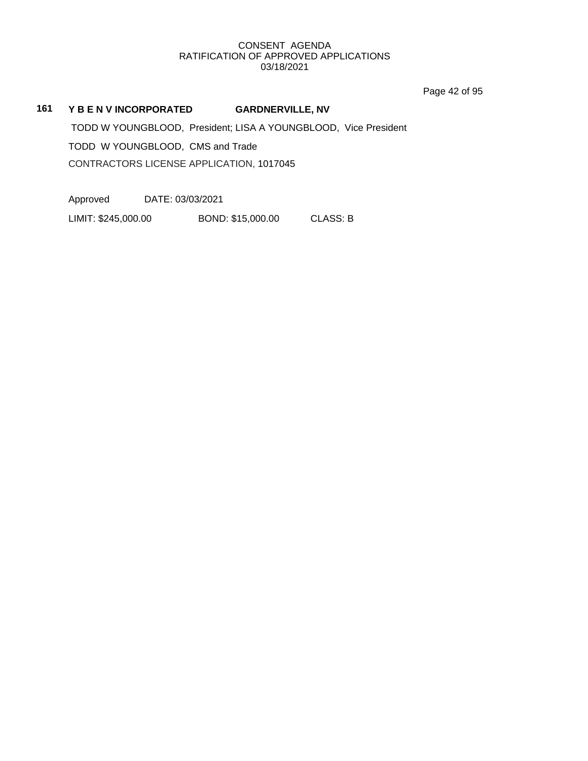Page 42 of 95

# **161 Y B E N V INCORPORATED GARDNERVILLE, NV**

TODD W YOUNGBLOOD, President; LISA A YOUNGBLOOD, Vice President TODD W YOUNGBLOOD, CMS and Trade CONTRACTORS LICENSE APPLICATION, 1017045

Approved DATE: 03/03/2021

LIMIT: \$245,000.00 BOND: \$15,000.00 CLASS: B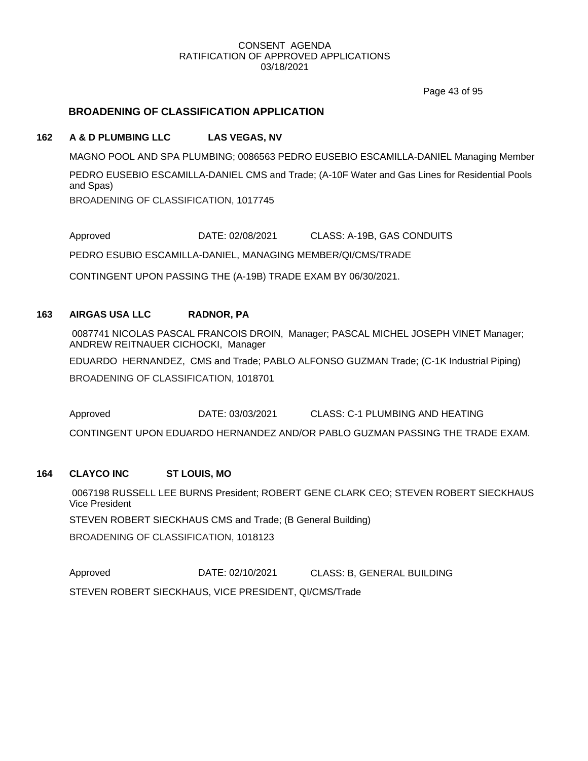Page 43 of 95

# **BROADENING OF CLASSIFICATION APPLICATION**

# **162 A & D PLUMBING LLC LAS VEGAS, NV**

MAGNO POOL AND SPA PLUMBING; 0086563 PEDRO EUSEBIO ESCAMILLA-DANIEL Managing Member

PEDRO EUSEBIO ESCAMILLA-DANIEL CMS and Trade; (A-10F Water and Gas Lines for Residential Pools and Spas)

BROADENING OF CLASSIFICATION, 1017745

Approved DATE: 02/08/2021 CLASS: A-19B, GAS CONDUITS

PEDRO ESUBIO ESCAMILLA-DANIEL, MANAGING MEMBER/QI/CMS/TRADE

CONTINGENT UPON PASSING THE (A-19B) TRADE EXAM BY 06/30/2021.

# **163 AIRGAS USA LLC RADNOR, PA**

0087741 NICOLAS PASCAL FRANCOIS DROIN, Manager; PASCAL MICHEL JOSEPH VINET Manager; ANDREW REITNAUER CICHOCKI, Manager

EDUARDO HERNANDEZ, CMS and Trade; PABLO ALFONSO GUZMAN Trade; (C-1K Industrial Piping)

BROADENING OF CLASSIFICATION, 1018701

Approved DATE: 03/03/2021 CLASS: C-1 PLUMBING AND HEATING CONTINGENT UPON EDUARDO HERNANDEZ AND/OR PABLO GUZMAN PASSING THE TRADE EXAM.

# **164 CLAYCO INC ST LOUIS, MO**

0067198 RUSSELL LEE BURNS President; ROBERT GENE CLARK CEO; STEVEN ROBERT SIECKHAUS Vice President

STEVEN ROBERT SIECKHAUS CMS and Trade; (B General Building)

BROADENING OF CLASSIFICATION, 1018123

Approved DATE: 02/10/2021 CLASS: B, GENERAL BUILDING STEVEN ROBERT SIECKHAUS, VICE PRESIDENT, QI/CMS/Trade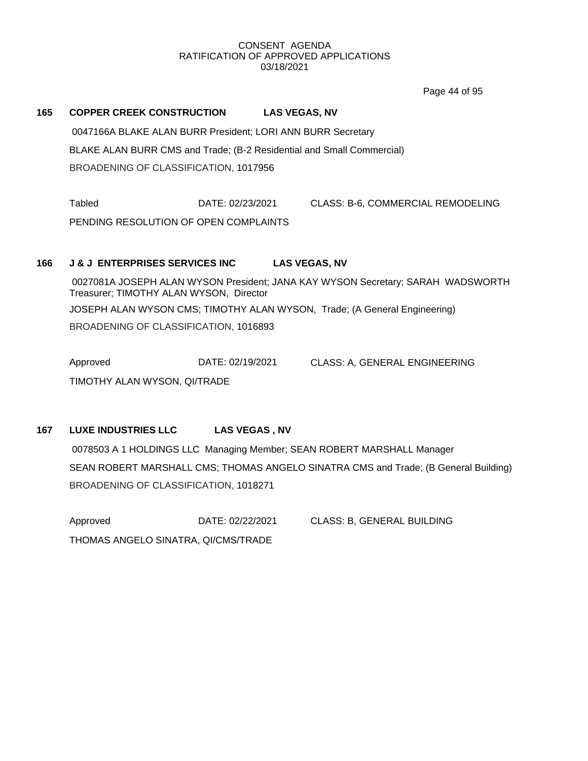Page 44 of 95

# **165 COPPER CREEK CONSTRUCTION LAS VEGAS, NV**

0047166A BLAKE ALAN BURR President; LORI ANN BURR Secretary BLAKE ALAN BURR CMS and Trade; (B-2 Residential and Small Commercial) BROADENING OF CLASSIFICATION, 1017956

Tabled DATE: 02/23/2021 CLASS: B-6, COMMERCIAL REMODELING PENDING RESOLUTION OF OPEN COMPLAINTS

### **166 J & J ENTERPRISES SERVICES INC LAS VEGAS, NV**

0027081A JOSEPH ALAN WYSON President; JANA KAY WYSON Secretary; SARAH WADSWORTH Treasurer; TIMOTHY ALAN WYSON, Director JOSEPH ALAN WYSON CMS; TIMOTHY ALAN WYSON, Trade; (A General Engineering) BROADENING OF CLASSIFICATION, 1016893

Approved DATE: 02/19/2021 CLASS: A, GENERAL ENGINEERING TIMOTHY ALAN WYSON, QI/TRADE

# **167 LUXE INDUSTRIES LLC LAS VEGAS , NV**

0078503 A 1 HOLDINGS LLC Managing Member; SEAN ROBERT MARSHALL Manager SEAN ROBERT MARSHALL CMS; THOMAS ANGELO SINATRA CMS and Trade; (B General Building) BROADENING OF CLASSIFICATION, 1018271

Approved **DATE: 02/22/2021** CLASS: B, GENERAL BUILDING THOMAS ANGELO SINATRA, QI/CMS/TRADE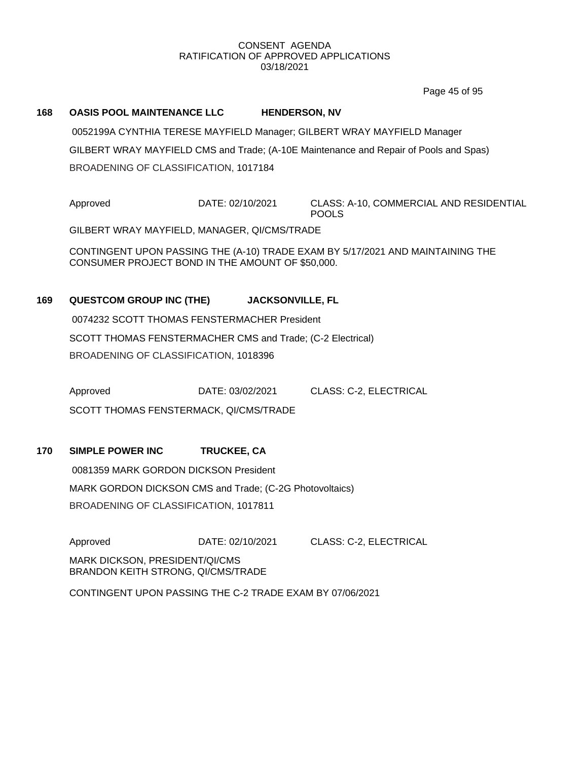Page 45 of 95

### **168 OASIS POOL MAINTENANCE LLC HENDERSON, NV**

0052199A CYNTHIA TERESE MAYFIELD Manager; GILBERT WRAY MAYFIELD Manager GILBERT WRAY MAYFIELD CMS and Trade; (A-10E Maintenance and Repair of Pools and Spas) BROADENING OF CLASSIFICATION, 1017184

Approved DATE: 02/10/2021 CLASS: A-10, COMMERCIAL AND RESIDENTIAL POOLS

GILBERT WRAY MAYFIELD, MANAGER, QI/CMS/TRADE

CONTINGENT UPON PASSING THE (A-10) TRADE EXAM BY 5/17/2021 AND MAINTAINING THE CONSUMER PROJECT BOND IN THE AMOUNT OF \$50,000.

# **169 QUESTCOM GROUP INC (THE) JACKSONVILLE, FL**

0074232 SCOTT THOMAS FENSTERMACHER President SCOTT THOMAS FENSTERMACHER CMS and Trade; (C-2 Electrical) BROADENING OF CLASSIFICATION, 1018396

Approved DATE: 03/02/2021 CLASS: C-2, ELECTRICAL

SCOTT THOMAS FENSTERMACK, QI/CMS/TRADE

# **170 SIMPLE POWER INC TRUCKEE, CA**

0081359 MARK GORDON DICKSON President MARK GORDON DICKSON CMS and Trade; (C-2G Photovoltaics) BROADENING OF CLASSIFICATION, 1017811

Approved **DATE: 02/10/2021** CLASS: C-2, ELECTRICAL

MARK DICKSON, PRESIDENT/QI/CMS BRANDON KEITH STRONG, QI/CMS/TRADE

CONTINGENT UPON PASSING THE C-2 TRADE EXAM BY 07/06/2021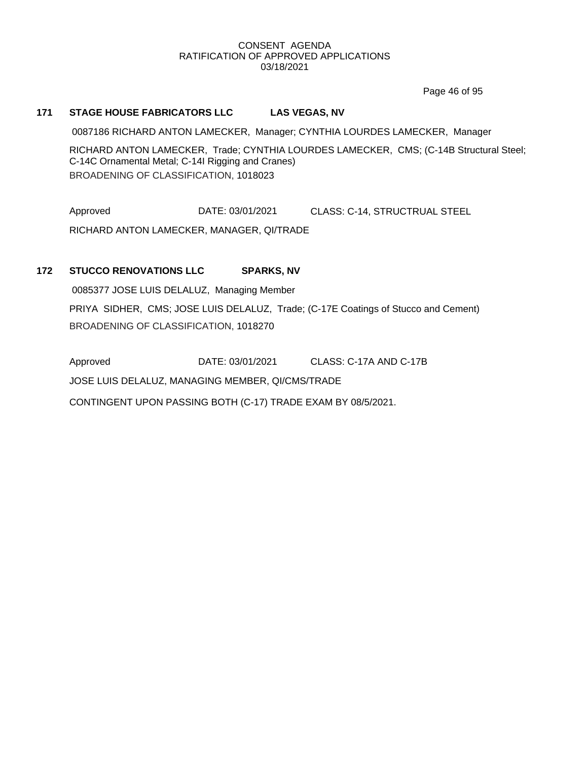Page 46 of 95

# **171 STAGE HOUSE FABRICATORS LLC LAS VEGAS, NV**

0087186 RICHARD ANTON LAMECKER, Manager; CYNTHIA LOURDES LAMECKER, Manager

RICHARD ANTON LAMECKER, Trade; CYNTHIA LOURDES LAMECKER, CMS; (C-14B Structural Steel; C-14C Ornamental Metal; C-14I Rigging and Cranes) BROADENING OF CLASSIFICATION, 1018023

Approved DATE: 03/01/2021 CLASS: C-14, STRUCTRUAL STEEL RICHARD ANTON LAMECKER, MANAGER, QI/TRADE

# **172 STUCCO RENOVATIONS LLC SPARKS, NV**

0085377 JOSE LUIS DELALUZ, Managing Member PRIYA SIDHER, CMS; JOSE LUIS DELALUZ, Trade; (C-17E Coatings of Stucco and Cement) BROADENING OF CLASSIFICATION, 1018270

Approved DATE: 03/01/2021 CLASS: C-17A AND C-17B

JOSE LUIS DELALUZ, MANAGING MEMBER, QI/CMS/TRADE

CONTINGENT UPON PASSING BOTH (C-17) TRADE EXAM BY 08/5/2021.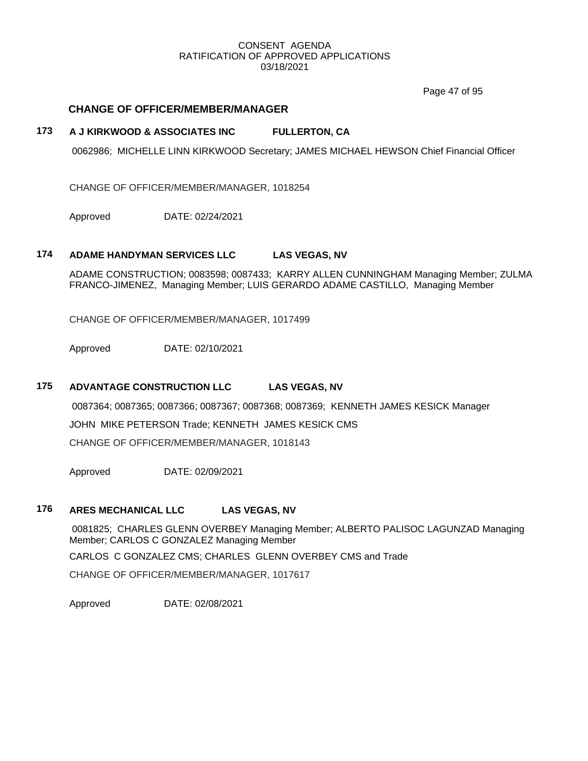Page 47 of 95

# **CHANGE OF OFFICER/MEMBER/MANAGER**

# **173 A J KIRKWOOD & ASSOCIATES INC FULLERTON, CA**

0062986; MICHELLE LINN KIRKWOOD Secretary; JAMES MICHAEL HEWSON Chief Financial Officer

CHANGE OF OFFICER/MEMBER/MANAGER, 1018254

Approved DATE: 02/24/2021

### **174 ADAME HANDYMAN SERVICES LLC LAS VEGAS, NV**

ADAME CONSTRUCTION; 0083598; 0087433; KARRY ALLEN CUNNINGHAM Managing Member; ZULMA FRANCO-JIMENEZ, Managing Member; LUIS GERARDO ADAME CASTILLO, Managing Member

CHANGE OF OFFICER/MEMBER/MANAGER, 1017499

Approved DATE: 02/10/2021

# **175 ADVANTAGE CONSTRUCTION LLC LAS VEGAS, NV**

0087364; 0087365; 0087366; 0087367; 0087368; 0087369; KENNETH JAMES KESICK Manager JOHN MIKE PETERSON Trade; KENNETH JAMES KESICK CMS CHANGE OF OFFICER/MEMBER/MANAGER, 1018143

Approved DATE: 02/09/2021

# **176 ARES MECHANICAL LLC LAS VEGAS, NV**

0081825; CHARLES GLENN OVERBEY Managing Member; ALBERTO PALISOC LAGUNZAD Managing Member; CARLOS C GONZALEZ Managing Member

CARLOS C GONZALEZ CMS; CHARLES GLENN OVERBEY CMS and Trade

CHANGE OF OFFICER/MEMBER/MANAGER, 1017617

Approved DATE: 02/08/2021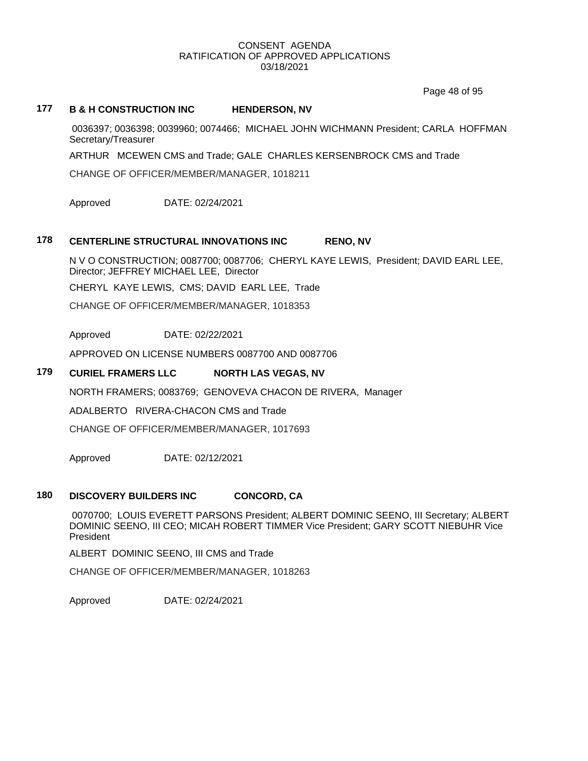Page 48 of 95

# **177 B & H CONSTRUCTION INC HENDERSON, NV**

0036397; 0036398; 0039960; 0074466; MICHAEL JOHN WICHMANN President; CARLA HOFFMAN Secretary/Treasurer

ARTHUR MCEWEN CMS and Trade; GALE CHARLES KERSENBROCK CMS and Trade

CHANGE OF OFFICER/MEMBER/MANAGER, 1018211

Approved DATE: 02/24/2021

### **178 CENTERLINE STRUCTURAL INNOVATIONS INC RENO, NV**

N V O CONSTRUCTION; 0087700; 0087706; CHERYL KAYE LEWIS, President; DAVID EARL LEE, Director; JEFFREY MICHAEL LEE, Director

CHERYL KAYE LEWIS, CMS; DAVID EARL LEE, Trade

CHANGE OF OFFICER/MEMBER/MANAGER, 1018353

Approved DATE: 02/22/2021

APPROVED ON LICENSE NUMBERS 0087700 AND 0087706

# **179 CURIEL FRAMERS LLC NORTH LAS VEGAS, NV**

NORTH FRAMERS; 0083769; GENOVEVA CHACON DE RIVERA, Manager

ADALBERTO RIVERA-CHACON CMS and Trade

CHANGE OF OFFICER/MEMBER/MANAGER, 1017693

Approved DATE: 02/12/2021

# **180 DISCOVERY BUILDERS INC CONCORD, CA**

0070700; LOUIS EVERETT PARSONS President; ALBERT DOMINIC SEENO, III Secretary; ALBERT DOMINIC SEENO, III CEO; MICAH ROBERT TIMMER Vice President; GARY SCOTT NIEBUHR Vice President

ALBERT DOMINIC SEENO, III CMS and Trade

CHANGE OF OFFICER/MEMBER/MANAGER, 1018263

Approved DATE: 02/24/2021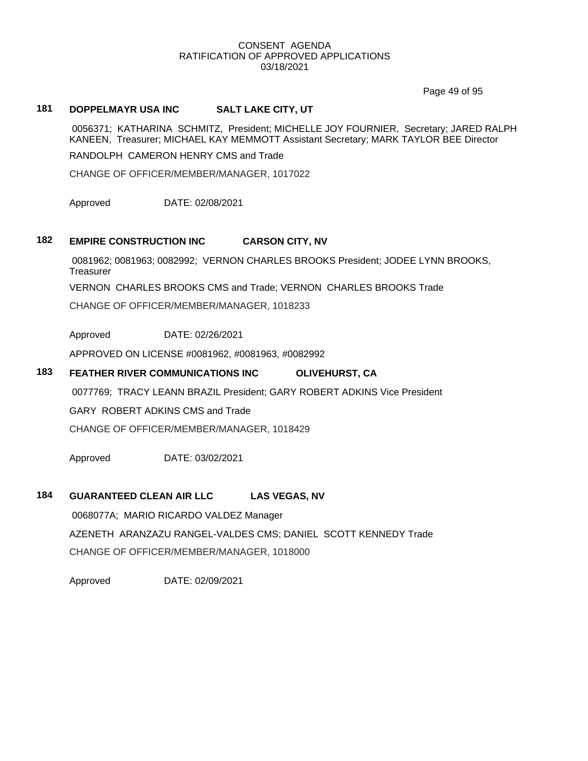Page 49 of 95

# **181 DOPPELMAYR USA INC SALT LAKE CITY, UT**

0056371; KATHARINA SCHMITZ, President; MICHELLE JOY FOURNIER, Secretary; JARED RALPH KANEEN, Treasurer; MICHAEL KAY MEMMOTT Assistant Secretary; MARK TAYLOR BEE Director

RANDOLPH CAMERON HENRY CMS and Trade

CHANGE OF OFFICER/MEMBER/MANAGER, 1017022

Approved DATE: 02/08/2021

# **182 EMPIRE CONSTRUCTION INC CARSON CITY, NV**

0081962; 0081963; 0082992; VERNON CHARLES BROOKS President; JODEE LYNN BROOKS, **Treasurer** VERNON CHARLES BROOKS CMS and Trade; VERNON CHARLES BROOKS Trade

CHANGE OF OFFICER/MEMBER/MANAGER, 1018233

Approved DATE: 02/26/2021

APPROVED ON LICENSE #0081962, #0081963, #0082992

# **183 FEATHER RIVER COMMUNICATIONS INC OLIVEHURST, CA**

0077769; TRACY LEANN BRAZIL President; GARY ROBERT ADKINS Vice President

GARY ROBERT ADKINS CMS and Trade

CHANGE OF OFFICER/MEMBER/MANAGER, 1018429

Approved DATE: 03/02/2021

# **184 GUARANTEED CLEAN AIR LLC LAS VEGAS, NV**

0068077A; MARIO RICARDO VALDEZ Manager AZENETH ARANZAZU RANGEL-VALDES CMS; DANIEL SCOTT KENNEDY Trade CHANGE OF OFFICER/MEMBER/MANAGER, 1018000

Approved DATE: 02/09/2021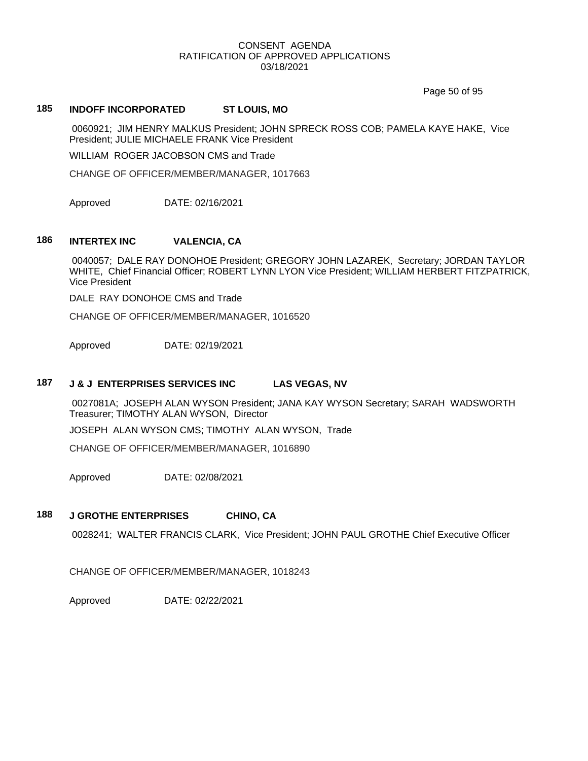Page 50 of 95

# **185 INDOFF INCORPORATED ST LOUIS, MO**

0060921; JIM HENRY MALKUS President; JOHN SPRECK ROSS COB; PAMELA KAYE HAKE, Vice President; JULIE MICHAELE FRANK Vice President

WILLIAM ROGER JACOBSON CMS and Trade

CHANGE OF OFFICER/MEMBER/MANAGER, 1017663

Approved DATE: 02/16/2021

### **186 INTERTEX INC VALENCIA, CA**

0040057; DALE RAY DONOHOE President; GREGORY JOHN LAZAREK, Secretary; JORDAN TAYLOR WHITE, Chief Financial Officer; ROBERT LYNN LYON Vice President; WILLIAM HERBERT FITZPATRICK, Vice President

DALE RAY DONOHOE CMS and Trade

CHANGE OF OFFICER/MEMBER/MANAGER, 1016520

Approved DATE: 02/19/2021

### **187 J & J ENTERPRISES SERVICES INC LAS VEGAS, NV**

0027081A; JOSEPH ALAN WYSON President; JANA KAY WYSON Secretary; SARAH WADSWORTH Treasurer; TIMOTHY ALAN WYSON, Director

JOSEPH ALAN WYSON CMS; TIMOTHY ALAN WYSON, Trade

CHANGE OF OFFICER/MEMBER/MANAGER, 1016890

Approved DATE: 02/08/2021

### **188 J GROTHE ENTERPRISES CHINO, CA**

0028241; WALTER FRANCIS CLARK, Vice President; JOHN PAUL GROTHE Chief Executive Officer

CHANGE OF OFFICER/MEMBER/MANAGER, 1018243

Approved DATE: 02/22/2021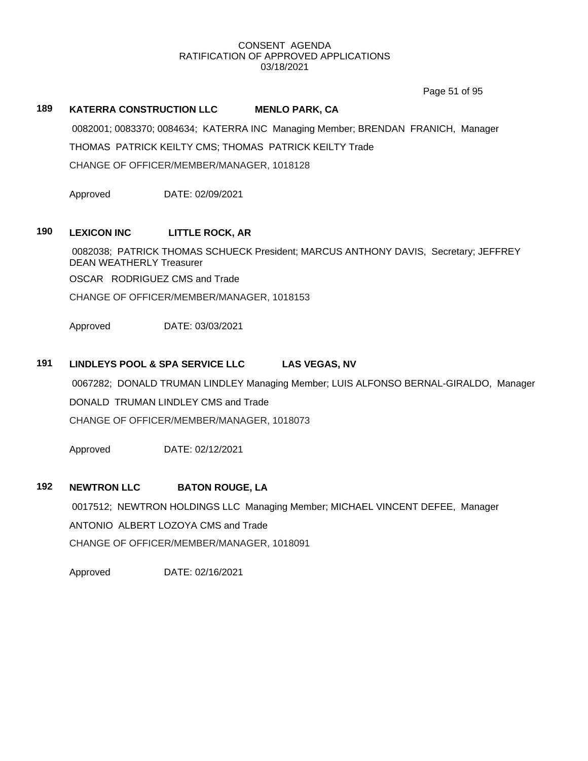Page 51 of 95

# **189 KATERRA CONSTRUCTION LLC MENLO PARK, CA**

0082001; 0083370; 0084634; KATERRA INC Managing Member; BRENDAN FRANICH, Manager THOMAS PATRICK KEILTY CMS; THOMAS PATRICK KEILTY Trade CHANGE OF OFFICER/MEMBER/MANAGER, 1018128

Approved DATE: 02/09/2021

# **190 LEXICON INC LITTLE ROCK, AR**

0082038; PATRICK THOMAS SCHUECK President; MARCUS ANTHONY DAVIS, Secretary; JEFFREY DEAN WEATHERLY Treasurer

OSCAR RODRIGUEZ CMS and Trade

CHANGE OF OFFICER/MEMBER/MANAGER, 1018153

Approved DATE: 03/03/2021

# **191 LINDLEYS POOL & SPA SERVICE LLC LAS VEGAS, NV**

0067282; DONALD TRUMAN LINDLEY Managing Member; LUIS ALFONSO BERNAL-GIRALDO, Manager

DONALD TRUMAN LINDLEY CMS and Trade

CHANGE OF OFFICER/MEMBER/MANAGER, 1018073

Approved DATE: 02/12/2021

# **192 NEWTRON LLC BATON ROUGE, LA**

0017512; NEWTRON HOLDINGS LLC Managing Member; MICHAEL VINCENT DEFEE, Manager ANTONIO ALBERT LOZOYA CMS and Trade CHANGE OF OFFICER/MEMBER/MANAGER, 1018091

Approved DATE: 02/16/2021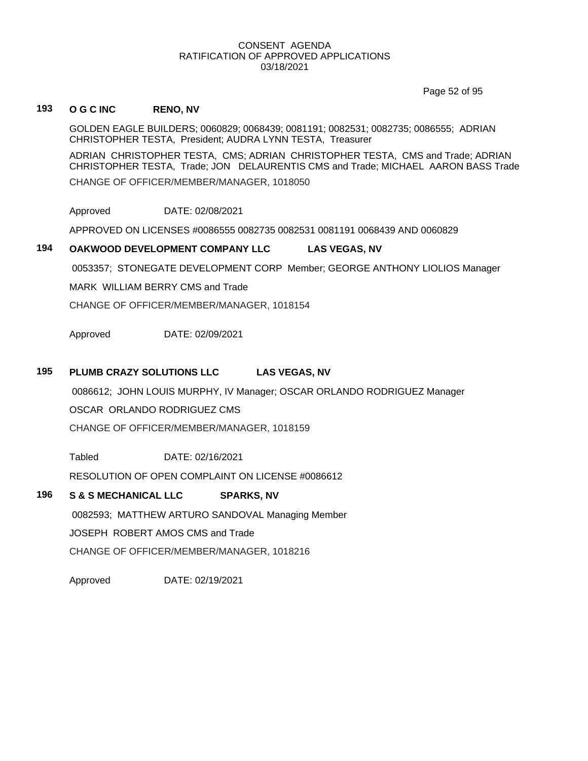Page 52 of 95

# **193 O G C INC RENO, NV**

GOLDEN EAGLE BUILDERS; 0060829; 0068439; 0081191; 0082531; 0082735; 0086555; ADRIAN CHRISTOPHER TESTA, President; AUDRA LYNN TESTA, Treasurer

ADRIAN CHRISTOPHER TESTA, CMS; ADRIAN CHRISTOPHER TESTA, CMS and Trade; ADRIAN CHRISTOPHER TESTA, Trade; JON DELAURENTIS CMS and Trade; MICHAEL AARON BASS Trade CHANGE OF OFFICER/MEMBER/MANAGER, 1018050

Approved DATE: 02/08/2021

APPROVED ON LICENSES #0086555 0082735 0082531 0081191 0068439 AND 0060829

# **194 OAKWOOD DEVELOPMENT COMPANY LLC LAS VEGAS, NV**

0053357; STONEGATE DEVELOPMENT CORP Member; GEORGE ANTHONY LIOLIOS Manager

MARK WILLIAM BERRY CMS and Trade

CHANGE OF OFFICER/MEMBER/MANAGER, 1018154

Approved DATE: 02/09/2021

# **195 PLUMB CRAZY SOLUTIONS LLC LAS VEGAS, NV**

0086612; JOHN LOUIS MURPHY, IV Manager; OSCAR ORLANDO RODRIGUEZ Manager

OSCAR ORLANDO RODRIGUEZ CMS

CHANGE OF OFFICER/MEMBER/MANAGER, 1018159

Tabled DATE: 02/16/2021

RESOLUTION OF OPEN COMPLAINT ON LICENSE #0086612

# **196 S & S MECHANICAL LLC SPARKS, NV**

0082593; MATTHEW ARTURO SANDOVAL Managing Member

JOSEPH ROBERT AMOS CMS and Trade

CHANGE OF OFFICER/MEMBER/MANAGER, 1018216

Approved DATE: 02/19/2021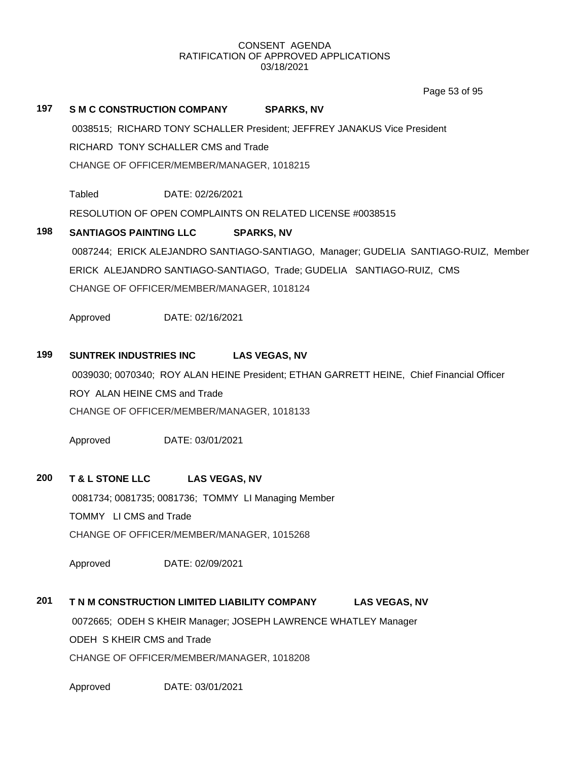Page 53 of 95

# **197 S M C CONSTRUCTION COMPANY SPARKS, NV**

0038515; RICHARD TONY SCHALLER President; JEFFREY JANAKUS Vice President

RICHARD TONY SCHALLER CMS and Trade

CHANGE OF OFFICER/MEMBER/MANAGER, 1018215

Tabled DATE: 02/26/2021

RESOLUTION OF OPEN COMPLAINTS ON RELATED LICENSE #0038515

# **198 SANTIAGOS PAINTING LLC SPARKS, NV**

0087244; ERICK ALEJANDRO SANTIAGO-SANTIAGO, Manager; GUDELIA SANTIAGO-RUIZ, Member ERICK ALEJANDRO SANTIAGO-SANTIAGO, Trade; GUDELIA SANTIAGO-RUIZ, CMS CHANGE OF OFFICER/MEMBER/MANAGER, 1018124

Approved DATE: 02/16/2021

# **199 SUNTREK INDUSTRIES INC LAS VEGAS, NV**

0039030; 0070340; ROY ALAN HEINE President; ETHAN GARRETT HEINE, Chief Financial Officer ROY ALAN HEINE CMS and Trade CHANGE OF OFFICER/MEMBER/MANAGER, 1018133

Approved DATE: 03/01/2021

# **200 T & L STONE LLC LAS VEGAS, NV**

0081734; 0081735; 0081736; TOMMY LI Managing Member TOMMY LI CMS and Trade CHANGE OF OFFICER/MEMBER/MANAGER, 1015268

Approved DATE: 02/09/2021

# **201 T N M CONSTRUCTION LIMITED LIABILITY COMPANY LAS VEGAS, NV**

0072665; ODEH S KHEIR Manager; JOSEPH LAWRENCE WHATLEY Manager ODEH S KHEIR CMS and Trade

CHANGE OF OFFICER/MEMBER/MANAGER, 1018208

Approved DATE: 03/01/2021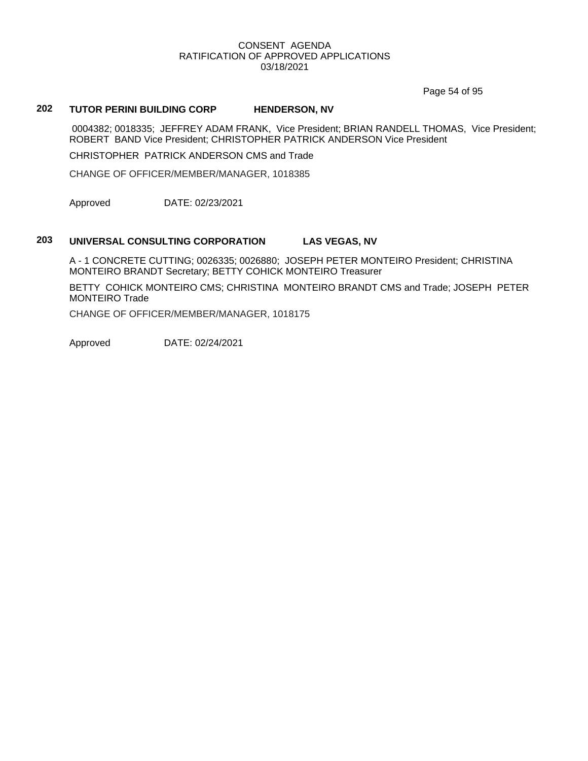Page 54 of 95

# **202 TUTOR PERINI BUILDING CORP HENDERSON, NV**

0004382; 0018335; JEFFREY ADAM FRANK, Vice President; BRIAN RANDELL THOMAS, Vice President; ROBERT BAND Vice President; CHRISTOPHER PATRICK ANDERSON Vice President

CHRISTOPHER PATRICK ANDERSON CMS and Trade

CHANGE OF OFFICER/MEMBER/MANAGER, 1018385

Approved DATE: 02/23/2021

# **203 UNIVERSAL CONSULTING CORPORATION LAS VEGAS, NV**

A - 1 CONCRETE CUTTING; 0026335; 0026880; JOSEPH PETER MONTEIRO President; CHRISTINA MONTEIRO BRANDT Secretary; BETTY COHICK MONTEIRO Treasurer

BETTY COHICK MONTEIRO CMS; CHRISTINA MONTEIRO BRANDT CMS and Trade; JOSEPH PETER MONTEIRO Trade

CHANGE OF OFFICER/MEMBER/MANAGER, 1018175

Approved DATE: 02/24/2021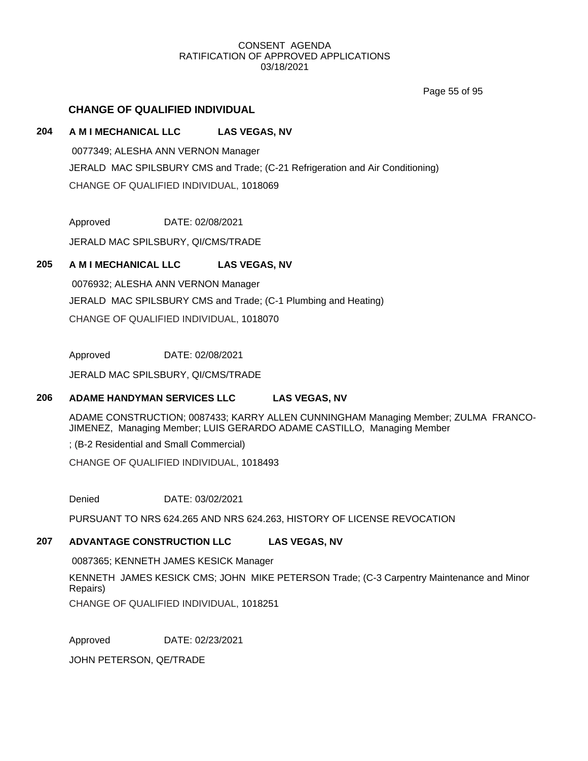Page 55 of 95

# **CHANGE OF QUALIFIED INDIVIDUAL**

# **204 A M I MECHANICAL LLC LAS VEGAS, NV**

0077349; ALESHA ANN VERNON Manager JERALD MAC SPILSBURY CMS and Trade; (C-21 Refrigeration and Air Conditioning) CHANGE OF QUALIFIED INDIVIDUAL, 1018069

Approved DATE: 02/08/2021

JERALD MAC SPILSBURY, QI/CMS/TRADE

# **205 A M I MECHANICAL LLC LAS VEGAS, NV**

0076932; ALESHA ANN VERNON Manager JERALD MAC SPILSBURY CMS and Trade; (C-1 Plumbing and Heating) CHANGE OF QUALIFIED INDIVIDUAL, 1018070

Approved DATE: 02/08/2021

JERALD MAC SPILSBURY, QI/CMS/TRADE

# **206 ADAME HANDYMAN SERVICES LLC LAS VEGAS, NV**

ADAME CONSTRUCTION; 0087433; KARRY ALLEN CUNNINGHAM Managing Member; ZULMA FRANCO-JIMENEZ, Managing Member; LUIS GERARDO ADAME CASTILLO, Managing Member

; (B-2 Residential and Small Commercial)

CHANGE OF QUALIFIED INDIVIDUAL, 1018493

Denied DATE: 03/02/2021

PURSUANT TO NRS 624.265 AND NRS 624.263, HISTORY OF LICENSE REVOCATION

# **207 ADVANTAGE CONSTRUCTION LLC LAS VEGAS, NV**

0087365; KENNETH JAMES KESICK Manager KENNETH JAMES KESICK CMS; JOHN MIKE PETERSON Trade; (C-3 Carpentry Maintenance and Minor Repairs)

CHANGE OF QUALIFIED INDIVIDUAL, 1018251

Approved DATE: 02/23/2021

JOHN PETERSON, QE/TRADE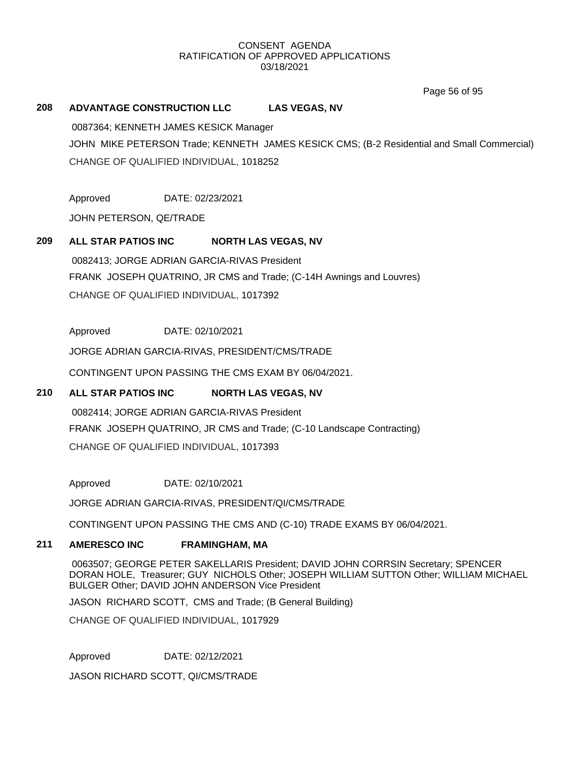Page 56 of 95

# **208 ADVANTAGE CONSTRUCTION LLC LAS VEGAS, NV**

0087364; KENNETH JAMES KESICK Manager JOHN MIKE PETERSON Trade; KENNETH JAMES KESICK CMS; (B-2 Residential and Small Commercial) CHANGE OF QUALIFIED INDIVIDUAL, 1018252

Approved DATE: 02/23/2021

JOHN PETERSON, QE/TRADE

# **209 ALL STAR PATIOS INC NORTH LAS VEGAS, NV**

0082413; JORGE ADRIAN GARCIA-RIVAS President FRANK JOSEPH QUATRINO, JR CMS and Trade; (C-14H Awnings and Louvres) CHANGE OF QUALIFIED INDIVIDUAL, 1017392

Approved DATE: 02/10/2021

JORGE ADRIAN GARCIA-RIVAS, PRESIDENT/CMS/TRADE

CONTINGENT UPON PASSING THE CMS EXAM BY 06/04/2021.

# **210 ALL STAR PATIOS INC NORTH LAS VEGAS, NV**

0082414; JORGE ADRIAN GARCIA-RIVAS President FRANK JOSEPH QUATRINO, JR CMS and Trade; (C-10 Landscape Contracting) CHANGE OF QUALIFIED INDIVIDUAL, 1017393

Approved DATE: 02/10/2021

JORGE ADRIAN GARCIA-RIVAS, PRESIDENT/QI/CMS/TRADE

CONTINGENT UPON PASSING THE CMS AND (C-10) TRADE EXAMS BY 06/04/2021.

# **211 AMERESCO INC FRAMINGHAM, MA**

0063507; GEORGE PETER SAKELLARIS President; DAVID JOHN CORRSIN Secretary; SPENCER DORAN HOLE, Treasurer; GUY NICHOLS Other; JOSEPH WILLIAM SUTTON Other; WILLIAM MICHAEL BULGER Other; DAVID JOHN ANDERSON Vice President

JASON RICHARD SCOTT, CMS and Trade; (B General Building)

CHANGE OF QUALIFIED INDIVIDUAL, 1017929

Approved DATE: 02/12/2021

JASON RICHARD SCOTT, QI/CMS/TRADE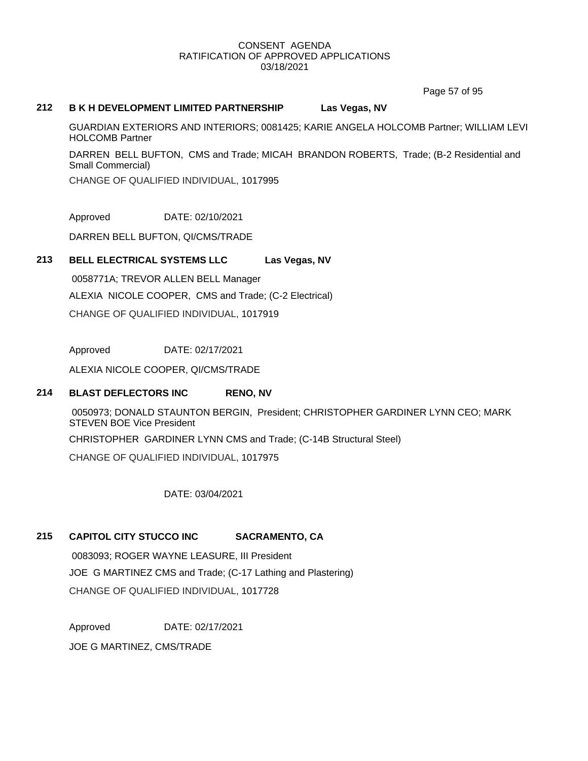Page 57 of 95

# **212 B K H DEVELOPMENT LIMITED PARTNERSHIP Las Vegas, NV**

GUARDIAN EXTERIORS AND INTERIORS; 0081425; KARIE ANGELA HOLCOMB Partner; WILLIAM LEVI HOLCOMB Partner

DARREN BELL BUFTON, CMS and Trade; MICAH BRANDON ROBERTS, Trade; (B-2 Residential and Small Commercial)

CHANGE OF QUALIFIED INDIVIDUAL, 1017995

Approved DATE: 02/10/2021

DARREN BELL BUFTON, QI/CMS/TRADE

# **213 BELL ELECTRICAL SYSTEMS LLC Las Vegas, NV**

0058771A; TREVOR ALLEN BELL Manager ALEXIA NICOLE COOPER, CMS and Trade; (C-2 Electrical) CHANGE OF QUALIFIED INDIVIDUAL, 1017919

Approved DATE: 02/17/2021

ALEXIA NICOLE COOPER, QI/CMS/TRADE

# **214 BLAST DEFLECTORS INC RENO, NV**

0050973; DONALD STAUNTON BERGIN, President; CHRISTOPHER GARDINER LYNN CEO; MARK STEVEN BOE Vice President

CHRISTOPHER GARDINER LYNN CMS and Trade; (C-14B Structural Steel)

CHANGE OF QUALIFIED INDIVIDUAL, 1017975

DATE: 03/04/2021

# **215 CAPITOL CITY STUCCO INC SACRAMENTO, CA**

0083093; ROGER WAYNE LEASURE, III President JOE G MARTINEZ CMS and Trade; (C-17 Lathing and Plastering) CHANGE OF QUALIFIED INDIVIDUAL, 1017728

Approved DATE: 02/17/2021

JOE G MARTINEZ, CMS/TRADE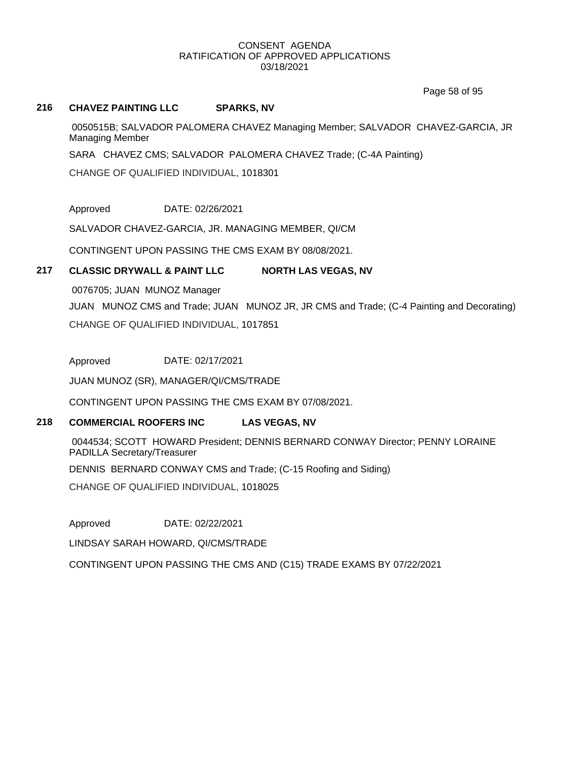Page 58 of 95

# **216 CHAVEZ PAINTING LLC SPARKS, NV**

0050515B; SALVADOR PALOMERA CHAVEZ Managing Member; SALVADOR CHAVEZ-GARCIA, JR Managing Member

SARA CHAVEZ CMS; SALVADOR PALOMERA CHAVEZ Trade; (C-4A Painting)

CHANGE OF QUALIFIED INDIVIDUAL, 1018301

Approved DATE: 02/26/2021

SALVADOR CHAVEZ-GARCIA, JR. MANAGING MEMBER, QI/CM

CONTINGENT UPON PASSING THE CMS EXAM BY 08/08/2021.

# **217 CLASSIC DRYWALL & PAINT LLC NORTH LAS VEGAS, NV**

0076705; JUAN MUNOZ Manager

JUAN MUNOZ CMS and Trade; JUAN MUNOZ JR, JR CMS and Trade; (C-4 Painting and Decorating) CHANGE OF QUALIFIED INDIVIDUAL, 1017851

Approved DATE: 02/17/2021

JUAN MUNOZ (SR), MANAGER/QI/CMS/TRADE

CONTINGENT UPON PASSING THE CMS EXAM BY 07/08/2021.

# **218 COMMERCIAL ROOFERS INC LAS VEGAS, NV**

0044534; SCOTT HOWARD President; DENNIS BERNARD CONWAY Director; PENNY LORAINE PADILLA Secretary/Treasurer

DENNIS BERNARD CONWAY CMS and Trade; (C-15 Roofing and Siding)

CHANGE OF QUALIFIED INDIVIDUAL, 1018025

Approved DATE: 02/22/2021

LINDSAY SARAH HOWARD, QI/CMS/TRADE

CONTINGENT UPON PASSING THE CMS AND (C15) TRADE EXAMS BY 07/22/2021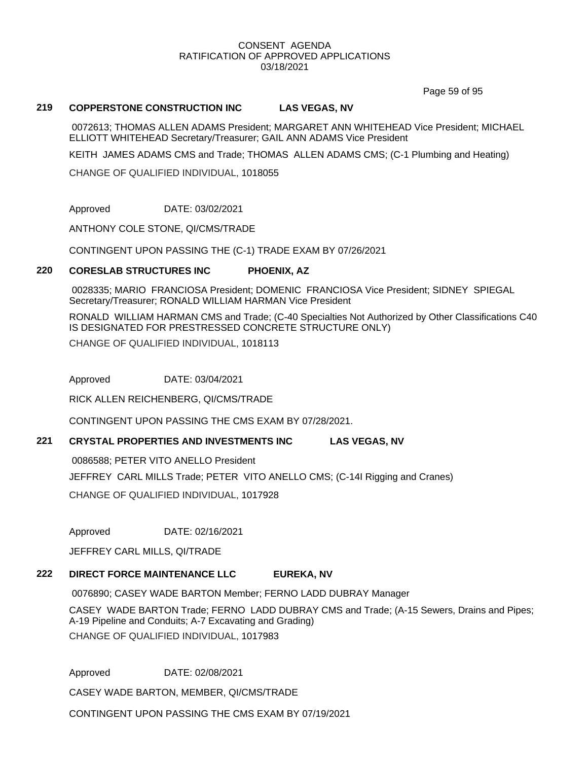Page 59 of 95

# **219 COPPERSTONE CONSTRUCTION INC LAS VEGAS, NV**

0072613; THOMAS ALLEN ADAMS President; MARGARET ANN WHITEHEAD Vice President; MICHAEL ELLIOTT WHITEHEAD Secretary/Treasurer; GAIL ANN ADAMS Vice President

KEITH JAMES ADAMS CMS and Trade; THOMAS ALLEN ADAMS CMS; (C-1 Plumbing and Heating)

CHANGE OF QUALIFIED INDIVIDUAL, 1018055

Approved DATE: 03/02/2021

ANTHONY COLE STONE, QI/CMS/TRADE

CONTINGENT UPON PASSING THE (C-1) TRADE EXAM BY 07/26/2021

# **220 CORESLAB STRUCTURES INC PHOENIX, AZ**

0028335; MARIO FRANCIOSA President; DOMENIC FRANCIOSA Vice President; SIDNEY SPIEGAL Secretary/Treasurer; RONALD WILLIAM HARMAN Vice President

RONALD WILLIAM HARMAN CMS and Trade; (C-40 Specialties Not Authorized by Other Classifications C40 IS DESIGNATED FOR PRESTRESSED CONCRETE STRUCTURE ONLY)

CHANGE OF QUALIFIED INDIVIDUAL, 1018113

Approved DATE: 03/04/2021

RICK ALLEN REICHENBERG, QI/CMS/TRADE

CONTINGENT UPON PASSING THE CMS EXAM BY 07/28/2021.

# **221 CRYSTAL PROPERTIES AND INVESTMENTS INC LAS VEGAS, NV**

0086588; PETER VITO ANELLO President

JEFFREY CARL MILLS Trade; PETER VITO ANELLO CMS; (C-14I Rigging and Cranes)

CHANGE OF QUALIFIED INDIVIDUAL, 1017928

Approved DATE: 02/16/2021

JEFFREY CARL MILLS, QI/TRADE

# **222 DIRECT FORCE MAINTENANCE LLC EUREKA, NV**

0076890; CASEY WADE BARTON Member; FERNO LADD DUBRAY Manager

CASEY WADE BARTON Trade; FERNO LADD DUBRAY CMS and Trade; (A-15 Sewers, Drains and Pipes; A-19 Pipeline and Conduits; A-7 Excavating and Grading) CHANGE OF QUALIFIED INDIVIDUAL, 1017983

Approved DATE: 02/08/2021

CASEY WADE BARTON, MEMBER, QI/CMS/TRADE

CONTINGENT UPON PASSING THE CMS EXAM BY 07/19/2021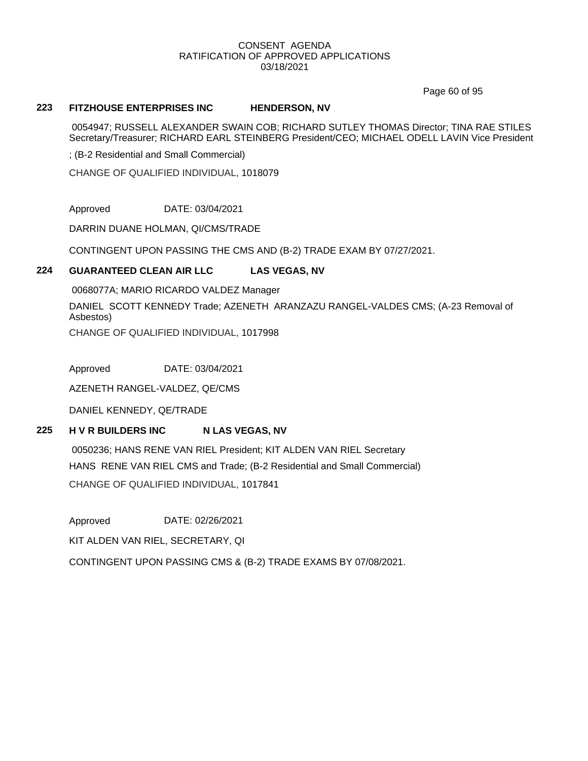Page 60 of 95

### **223 FITZHOUSE ENTERPRISES INC HENDERSON, NV**

0054947; RUSSELL ALEXANDER SWAIN COB; RICHARD SUTLEY THOMAS Director; TINA RAE STILES Secretary/Treasurer; RICHARD EARL STEINBERG President/CEO; MICHAEL ODELL LAVIN Vice President

; (B-2 Residential and Small Commercial)

CHANGE OF QUALIFIED INDIVIDUAL, 1018079

Approved DATE: 03/04/2021

DARRIN DUANE HOLMAN, QI/CMS/TRADE

CONTINGENT UPON PASSING THE CMS AND (B-2) TRADE EXAM BY 07/27/2021.

# **224 GUARANTEED CLEAN AIR LLC LAS VEGAS, NV**

0068077A; MARIO RICARDO VALDEZ Manager DANIEL SCOTT KENNEDY Trade; AZENETH ARANZAZU RANGEL-VALDES CMS; (A-23 Removal of Asbestos) CHANGE OF QUALIFIED INDIVIDUAL, 1017998

Approved DATE: 03/04/2021

AZENETH RANGEL-VALDEZ, QE/CMS

DANIEL KENNEDY, QE/TRADE

# **225 H V R BUILDERS INC N LAS VEGAS, NV**

0050236; HANS RENE VAN RIEL President; KIT ALDEN VAN RIEL Secretary HANS RENE VAN RIEL CMS and Trade; (B-2 Residential and Small Commercial) CHANGE OF QUALIFIED INDIVIDUAL, 1017841

Approved DATE: 02/26/2021

KIT ALDEN VAN RIEL, SECRETARY, QI

CONTINGENT UPON PASSING CMS & (B-2) TRADE EXAMS BY 07/08/2021.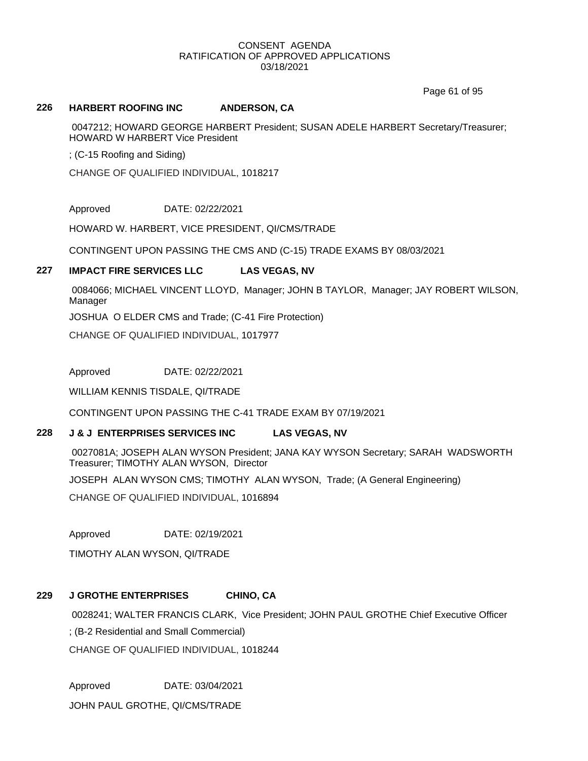Page 61 of 95

### **226 HARBERT ROOFING INC ANDERSON, CA**

0047212; HOWARD GEORGE HARBERT President; SUSAN ADELE HARBERT Secretary/Treasurer; HOWARD W HARBERT Vice President

; (C-15 Roofing and Siding)

CHANGE OF QUALIFIED INDIVIDUAL, 1018217

Approved DATE: 02/22/2021

HOWARD W. HARBERT, VICE PRESIDENT, QI/CMS/TRADE

CONTINGENT UPON PASSING THE CMS AND (C-15) TRADE EXAMS BY 08/03/2021

# **227 IMPACT FIRE SERVICES LLC LAS VEGAS, NV**

0084066; MICHAEL VINCENT LLOYD, Manager; JOHN B TAYLOR, Manager; JAY ROBERT WILSON, Manager

JOSHUA O ELDER CMS and Trade; (C-41 Fire Protection)

CHANGE OF QUALIFIED INDIVIDUAL, 1017977

Approved DATE: 02/22/2021

WILLIAM KENNIS TISDALE, QI/TRADE

CONTINGENT UPON PASSING THE C-41 TRADE EXAM BY 07/19/2021

# **228 J & J ENTERPRISES SERVICES INC LAS VEGAS, NV**

0027081A; JOSEPH ALAN WYSON President; JANA KAY WYSON Secretary; SARAH WADSWORTH Treasurer; TIMOTHY ALAN WYSON, Director

JOSEPH ALAN WYSON CMS; TIMOTHY ALAN WYSON, Trade; (A General Engineering)

CHANGE OF QUALIFIED INDIVIDUAL, 1016894

Approved DATE: 02/19/2021

TIMOTHY ALAN WYSON, QI/TRADE

# **229 J GROTHE ENTERPRISES CHINO, CA**

0028241; WALTER FRANCIS CLARK, Vice President; JOHN PAUL GROTHE Chief Executive Officer ; (B-2 Residential and Small Commercial)

CHANGE OF QUALIFIED INDIVIDUAL, 1018244

Approved DATE: 03/04/2021

JOHN PAUL GROTHE, QI/CMS/TRADE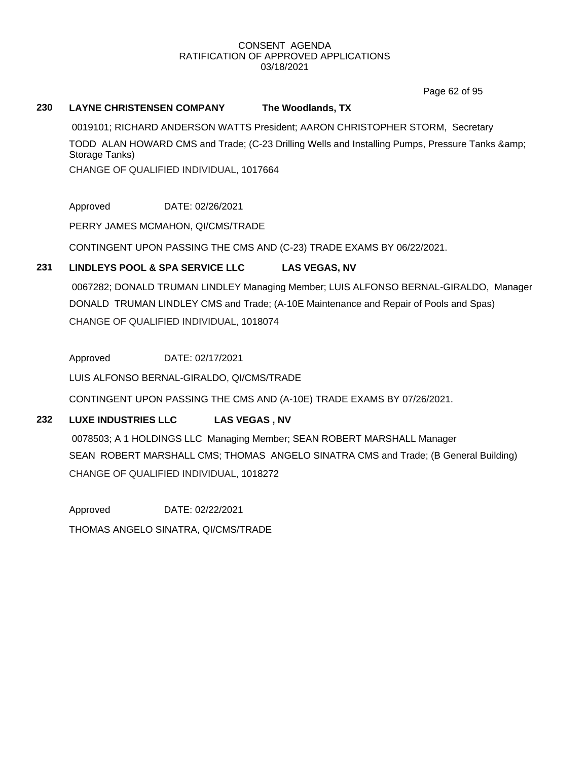Page 62 of 95

# **230 LAYNE CHRISTENSEN COMPANY The Woodlands, TX**

0019101; RICHARD ANDERSON WATTS President; AARON CHRISTOPHER STORM, Secretary TODD ALAN HOWARD CMS and Trade; (C-23 Drilling Wells and Installing Pumps, Pressure Tanks & Storage Tanks) CHANGE OF QUALIFIED INDIVIDUAL, 1017664

Approved DATE: 02/26/2021

PERRY JAMES MCMAHON, QI/CMS/TRADE

CONTINGENT UPON PASSING THE CMS AND (C-23) TRADE EXAMS BY 06/22/2021.

# **231 LINDLEYS POOL & SPA SERVICE LLC LAS VEGAS, NV**

0067282; DONALD TRUMAN LINDLEY Managing Member; LUIS ALFONSO BERNAL-GIRALDO, Manager DONALD TRUMAN LINDLEY CMS and Trade; (A-10E Maintenance and Repair of Pools and Spas) CHANGE OF QUALIFIED INDIVIDUAL, 1018074

Approved DATE: 02/17/2021

LUIS ALFONSO BERNAL-GIRALDO, QI/CMS/TRADE

CONTINGENT UPON PASSING THE CMS AND (A-10E) TRADE EXAMS BY 07/26/2021.

# **232 LUXE INDUSTRIES LLC LAS VEGAS , NV**

0078503; A 1 HOLDINGS LLC Managing Member; SEAN ROBERT MARSHALL Manager SEAN ROBERT MARSHALL CMS; THOMAS ANGELO SINATRA CMS and Trade; (B General Building) CHANGE OF QUALIFIED INDIVIDUAL, 1018272

Approved DATE: 02/22/2021 THOMAS ANGELO SINATRA, QI/CMS/TRADE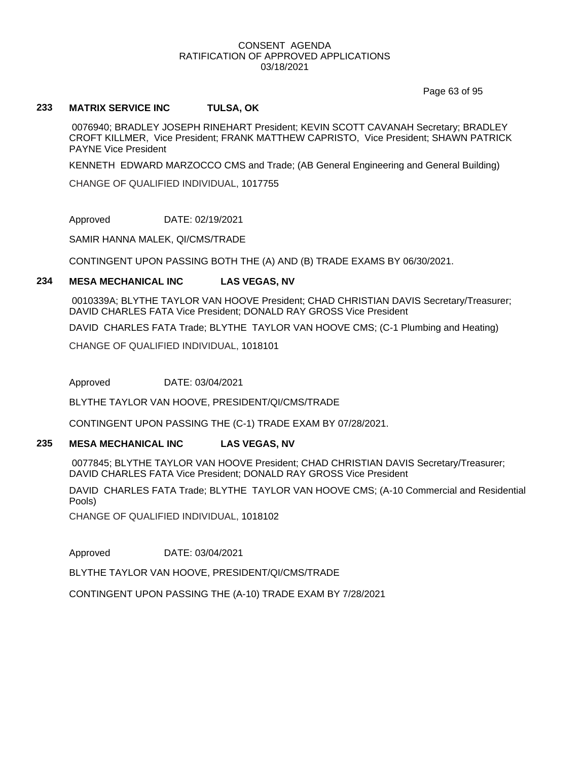Page 63 of 95

# **233 MATRIX SERVICE INC TULSA, OK**

0076940; BRADLEY JOSEPH RINEHART President; KEVIN SCOTT CAVANAH Secretary; BRADLEY CROFT KILLMER, Vice President; FRANK MATTHEW CAPRISTO, Vice President; SHAWN PATRICK PAYNE Vice President

KENNETH EDWARD MARZOCCO CMS and Trade; (AB General Engineering and General Building)

CHANGE OF QUALIFIED INDIVIDUAL, 1017755

Approved DATE: 02/19/2021

SAMIR HANNA MALEK, QI/CMS/TRADE

CONTINGENT UPON PASSING BOTH THE (A) AND (B) TRADE EXAMS BY 06/30/2021.

### **234 MESA MECHANICAL INC LAS VEGAS, NV**

0010339A; BLYTHE TAYLOR VAN HOOVE President; CHAD CHRISTIAN DAVIS Secretary/Treasurer; DAVID CHARLES FATA Vice President; DONALD RAY GROSS Vice President

DAVID CHARLES FATA Trade; BLYTHE TAYLOR VAN HOOVE CMS; (C-1 Plumbing and Heating)

CHANGE OF QUALIFIED INDIVIDUAL, 1018101

Approved DATE: 03/04/2021

BLYTHE TAYLOR VAN HOOVE, PRESIDENT/QI/CMS/TRADE

CONTINGENT UPON PASSING THE (C-1) TRADE EXAM BY 07/28/2021.

# **235 MESA MECHANICAL INC LAS VEGAS, NV**

0077845; BLYTHE TAYLOR VAN HOOVE President; CHAD CHRISTIAN DAVIS Secretary/Treasurer; DAVID CHARLES FATA Vice President; DONALD RAY GROSS Vice President

DAVID CHARLES FATA Trade; BLYTHE TAYLOR VAN HOOVE CMS; (A-10 Commercial and Residential Pools)

CHANGE OF QUALIFIED INDIVIDUAL, 1018102

Approved DATE: 03/04/2021

BLYTHE TAYLOR VAN HOOVE, PRESIDENT/QI/CMS/TRADE

CONTINGENT UPON PASSING THE (A-10) TRADE EXAM BY 7/28/2021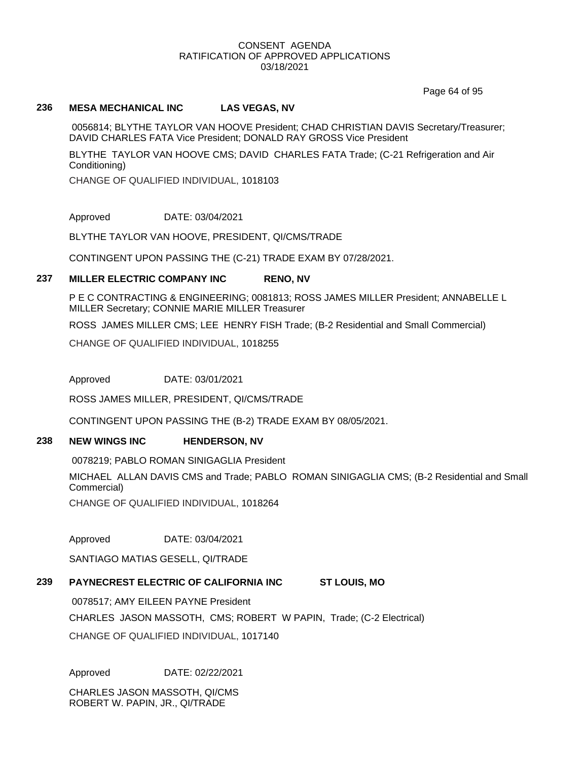Page 64 of 95

# **236 MESA MECHANICAL INC LAS VEGAS, NV**

0056814; BLYTHE TAYLOR VAN HOOVE President; CHAD CHRISTIAN DAVIS Secretary/Treasurer; DAVID CHARLES FATA Vice President; DONALD RAY GROSS Vice President

BLYTHE TAYLOR VAN HOOVE CMS; DAVID CHARLES FATA Trade; (C-21 Refrigeration and Air Conditioning)

CHANGE OF QUALIFIED INDIVIDUAL, 1018103

Approved DATE: 03/04/2021

BLYTHE TAYLOR VAN HOOVE, PRESIDENT, QI/CMS/TRADE

CONTINGENT UPON PASSING THE (C-21) TRADE EXAM BY 07/28/2021.

# **237 MILLER ELECTRIC COMPANY INC RENO, NV**

P E C CONTRACTING & ENGINEERING; 0081813; ROSS JAMES MILLER President; ANNABELLE L MILLER Secretary; CONNIE MARIE MILLER Treasurer

ROSS JAMES MILLER CMS; LEE HENRY FISH Trade; (B-2 Residential and Small Commercial)

CHANGE OF QUALIFIED INDIVIDUAL, 1018255

Approved DATE: 03/01/2021

ROSS JAMES MILLER, PRESIDENT, QI/CMS/TRADE

CONTINGENT UPON PASSING THE (B-2) TRADE EXAM BY 08/05/2021.

# **238 NEW WINGS INC HENDERSON, NV**

0078219; PABLO ROMAN SINIGAGLIA President

MICHAEL ALLAN DAVIS CMS and Trade; PABLO ROMAN SINIGAGLIA CMS; (B-2 Residential and Small Commercial)

CHANGE OF QUALIFIED INDIVIDUAL, 1018264

Approved DATE: 03/04/2021

SANTIAGO MATIAS GESELL, QI/TRADE

# **239 PAYNECREST ELECTRIC OF CALIFORNIA INC ST LOUIS, MO**

0078517; AMY EILEEN PAYNE President

CHARLES JASON MASSOTH, CMS; ROBERT W PAPIN, Trade; (C-2 Electrical)

CHANGE OF QUALIFIED INDIVIDUAL, 1017140

Approved DATE: 02/22/2021

CHARLES JASON MASSOTH, QI/CMS ROBERT W. PAPIN, JR., QI/TRADE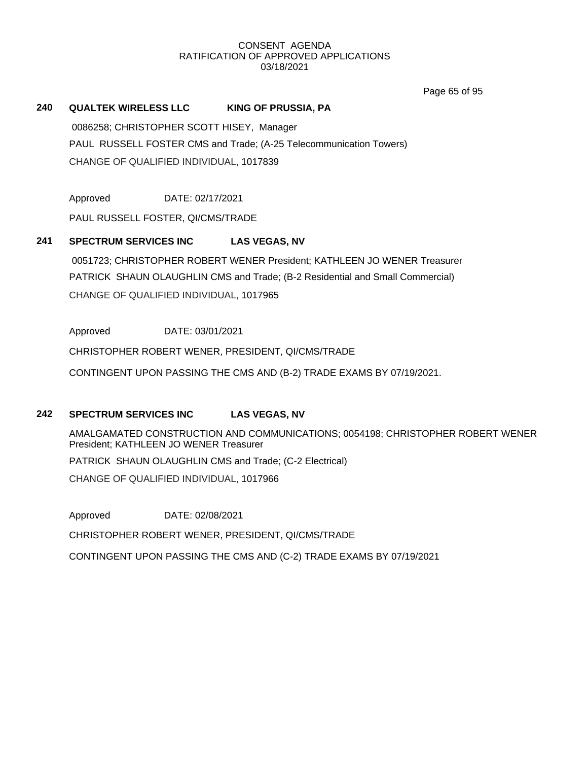Page 65 of 95

# **240 QUALTEK WIRELESS LLC KING OF PRUSSIA, PA**

0086258; CHRISTOPHER SCOTT HISEY, Manager PAUL RUSSELL FOSTER CMS and Trade; (A-25 Telecommunication Towers) CHANGE OF QUALIFIED INDIVIDUAL, 1017839

Approved DATE: 02/17/2021

PAUL RUSSELL FOSTER, QI/CMS/TRADE

# **241 SPECTRUM SERVICES INC LAS VEGAS, NV**

0051723; CHRISTOPHER ROBERT WENER President; KATHLEEN JO WENER Treasurer PATRICK SHAUN OLAUGHLIN CMS and Trade; (B-2 Residential and Small Commercial) CHANGE OF QUALIFIED INDIVIDUAL, 1017965

Approved DATE: 03/01/2021

CHRISTOPHER ROBERT WENER, PRESIDENT, QI/CMS/TRADE

CONTINGENT UPON PASSING THE CMS AND (B-2) TRADE EXAMS BY 07/19/2021.

# **242 SPECTRUM SERVICES INC LAS VEGAS, NV**

AMALGAMATED CONSTRUCTION AND COMMUNICATIONS; 0054198; CHRISTOPHER ROBERT WENER President; KATHLEEN JO WENER Treasurer PATRICK SHAUN OLAUGHLIN CMS and Trade; (C-2 Electrical) CHANGE OF QUALIFIED INDIVIDUAL, 1017966

Approved DATE: 02/08/2021 CHRISTOPHER ROBERT WENER, PRESIDENT, QI/CMS/TRADE CONTINGENT UPON PASSING THE CMS AND (C-2) TRADE EXAMS BY 07/19/2021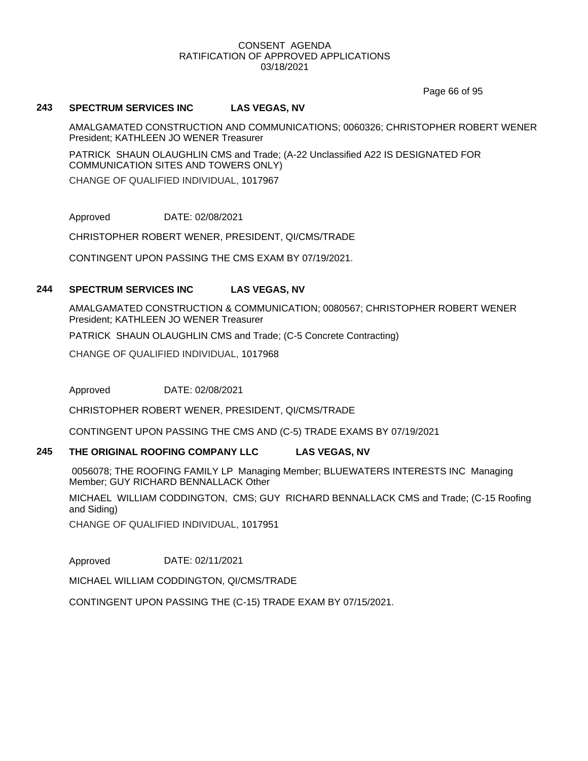Page 66 of 95

### **243 SPECTRUM SERVICES INC LAS VEGAS, NV**

AMALGAMATED CONSTRUCTION AND COMMUNICATIONS; 0060326; CHRISTOPHER ROBERT WENER President; KATHLEEN JO WENER Treasurer

PATRICK SHAUN OLAUGHLIN CMS and Trade; (A-22 Unclassified A22 IS DESIGNATED FOR COMMUNICATION SITES AND TOWERS ONLY)

CHANGE OF QUALIFIED INDIVIDUAL, 1017967

Approved DATE: 02/08/2021

CHRISTOPHER ROBERT WENER, PRESIDENT, QI/CMS/TRADE

CONTINGENT UPON PASSING THE CMS EXAM BY 07/19/2021.

# **244 SPECTRUM SERVICES INC LAS VEGAS, NV**

AMALGAMATED CONSTRUCTION & COMMUNICATION; 0080567; CHRISTOPHER ROBERT WENER President; KATHLEEN JO WENER Treasurer

PATRICK SHAUN OLAUGHLIN CMS and Trade; (C-5 Concrete Contracting)

CHANGE OF QUALIFIED INDIVIDUAL, 1017968

Approved DATE: 02/08/2021

CHRISTOPHER ROBERT WENER, PRESIDENT, QI/CMS/TRADE

CONTINGENT UPON PASSING THE CMS AND (C-5) TRADE EXAMS BY 07/19/2021

### **245 THE ORIGINAL ROOFING COMPANY LLC LAS VEGAS, NV**

0056078; THE ROOFING FAMILY LP Managing Member; BLUEWATERS INTERESTS INC Managing Member; GUY RICHARD BENNALLACK Other

MICHAEL WILLIAM CODDINGTON, CMS; GUY RICHARD BENNALLACK CMS and Trade; (C-15 Roofing and Siding)

CHANGE OF QUALIFIED INDIVIDUAL, 1017951

Approved DATE: 02/11/2021

MICHAEL WILLIAM CODDINGTON, QI/CMS/TRADE

CONTINGENT UPON PASSING THE (C-15) TRADE EXAM BY 07/15/2021.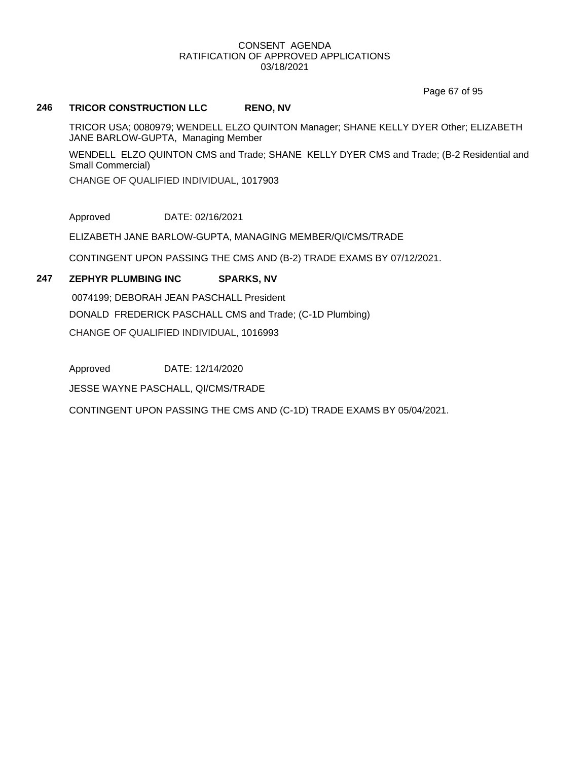Page 67 of 95

# **246 TRICOR CONSTRUCTION LLC RENO, NV**

TRICOR USA; 0080979; WENDELL ELZO QUINTON Manager; SHANE KELLY DYER Other; ELIZABETH JANE BARLOW-GUPTA, Managing Member

WENDELL ELZO QUINTON CMS and Trade; SHANE KELLY DYER CMS and Trade; (B-2 Residential and Small Commercial)

CHANGE OF QUALIFIED INDIVIDUAL, 1017903

Approved DATE: 02/16/2021

ELIZABETH JANE BARLOW-GUPTA, MANAGING MEMBER/QI/CMS/TRADE

CONTINGENT UPON PASSING THE CMS AND (B-2) TRADE EXAMS BY 07/12/2021.

# **247 ZEPHYR PLUMBING INC SPARKS, NV**

0074199; DEBORAH JEAN PASCHALL President DONALD FREDERICK PASCHALL CMS and Trade; (C-1D Plumbing) CHANGE OF QUALIFIED INDIVIDUAL, 1016993

Approved DATE: 12/14/2020

JESSE WAYNE PASCHALL, QI/CMS/TRADE

CONTINGENT UPON PASSING THE CMS AND (C-1D) TRADE EXAMS BY 05/04/2021.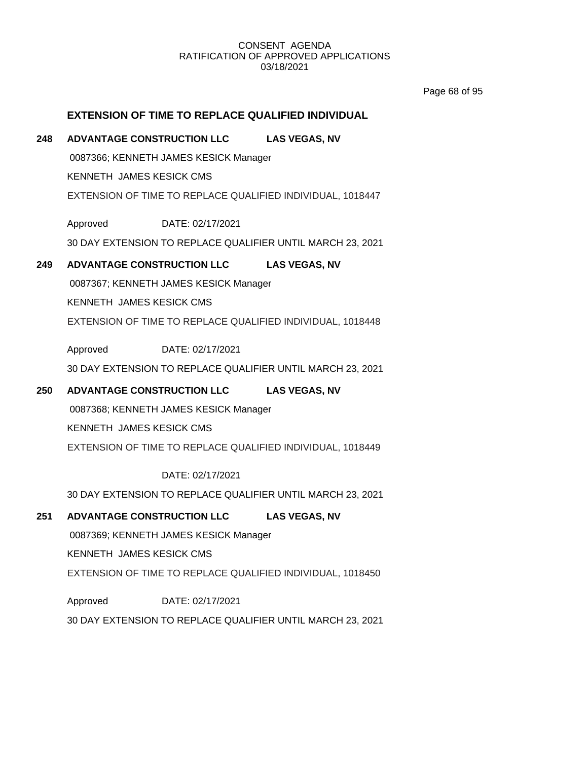Page 68 of 95

# **EXTENSION OF TIME TO REPLACE QUALIFIED INDIVIDUAL**

# **248 ADVANTAGE CONSTRUCTION LLC LAS VEGAS, NV**

0087366; KENNETH JAMES KESICK Manager KENNETH JAMES KESICK CMS

EXTENSION OF TIME TO REPLACE QUALIFIED INDIVIDUAL, 1018447

Approved DATE: 02/17/2021

30 DAY EXTENSION TO REPLACE QUALIFIER UNTIL MARCH 23, 2021

# **249 ADVANTAGE CONSTRUCTION LLC LAS VEGAS, NV**

0087367; KENNETH JAMES KESICK Manager

KENNETH JAMES KESICK CMS

EXTENSION OF TIME TO REPLACE QUALIFIED INDIVIDUAL, 1018448

Approved DATE: 02/17/2021

30 DAY EXTENSION TO REPLACE QUALIFIER UNTIL MARCH 23, 2021

# **250 ADVANTAGE CONSTRUCTION LLC LAS VEGAS, NV**

0087368; KENNETH JAMES KESICK Manager

KENNETH JAMES KESICK CMS

EXTENSION OF TIME TO REPLACE QUALIFIED INDIVIDUAL, 1018449

DATE: 02/17/2021

30 DAY EXTENSION TO REPLACE QUALIFIER UNTIL MARCH 23, 2021

# **251 ADVANTAGE CONSTRUCTION LLC LAS VEGAS, NV**

0087369; KENNETH JAMES KESICK Manager

KENNETH JAMES KESICK CMS

EXTENSION OF TIME TO REPLACE QUALIFIED INDIVIDUAL, 1018450

Approved DATE: 02/17/2021

30 DAY EXTENSION TO REPLACE QUALIFIER UNTIL MARCH 23, 2021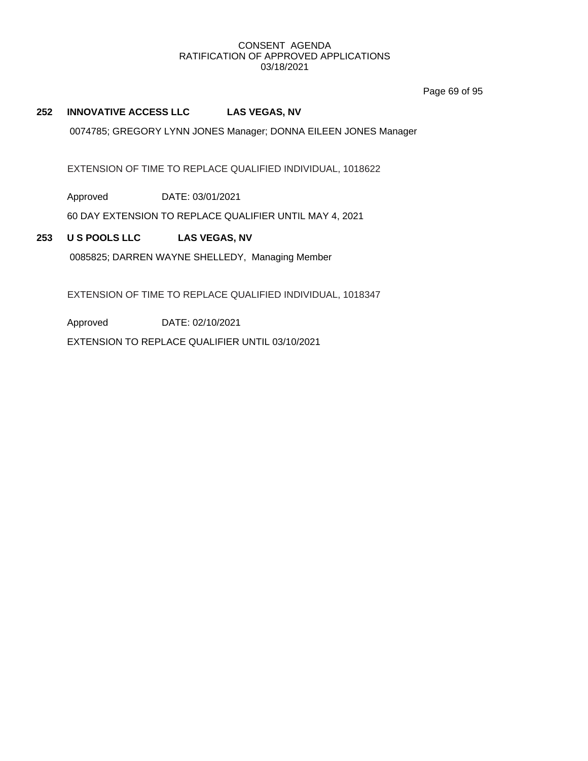Page 69 of 95

# **252 INNOVATIVE ACCESS LLC LAS VEGAS, NV**

0074785; GREGORY LYNN JONES Manager; DONNA EILEEN JONES Manager

EXTENSION OF TIME TO REPLACE QUALIFIED INDIVIDUAL, 1018622

Approved DATE: 03/01/2021

60 DAY EXTENSION TO REPLACE QUALIFIER UNTIL MAY 4, 2021

**253 U S POOLS LLC LAS VEGAS, NV**

0085825; DARREN WAYNE SHELLEDY, Managing Member

EXTENSION OF TIME TO REPLACE QUALIFIED INDIVIDUAL, 1018347

Approved DATE: 02/10/2021

EXTENSION TO REPLACE QUALIFIER UNTIL 03/10/2021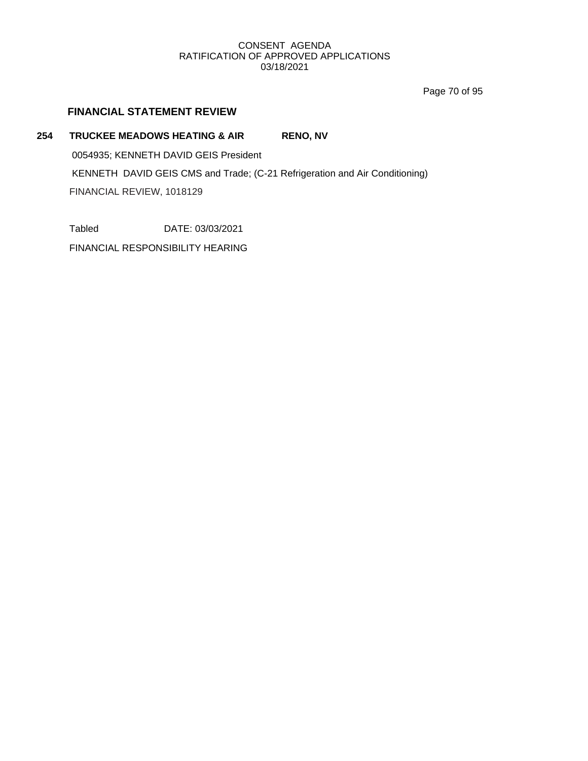Page 70 of 95

# **FINANCIAL STATEMENT REVIEW**

# 254 **TRUCKEE MEADOWS HEATING & AIR** RENO, NV 0054935; KENNETH DAVID GEIS President

KENNETH DAVID GEIS CMS and Trade; (C-21 Refrigeration and Air Conditioning)

FINANCIAL REVIEW, 1018129

Tabled DATE: 03/03/2021

FINANCIAL RESPONSIBILITY HEARING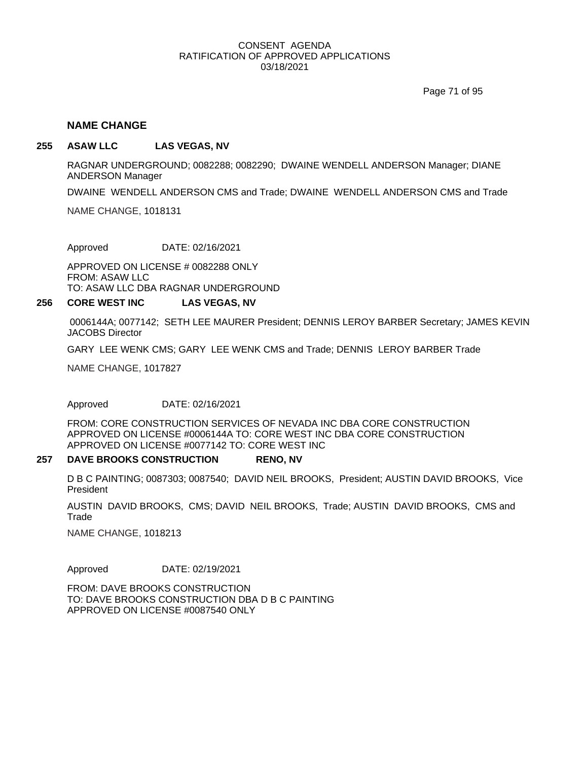Page 71 of 95

#### **NAME CHANGE**

#### **255 ASAW LLC LAS VEGAS, NV**

RAGNAR UNDERGROUND; 0082288; 0082290; DWAINE WENDELL ANDERSON Manager; DIANE ANDERSON Manager

DWAINE WENDELL ANDERSON CMS and Trade; DWAINE WENDELL ANDERSON CMS and Trade

NAME CHANGE, 1018131

Approved DATE: 02/16/2021

APPROVED ON LICENSE # 0082288 ONLY FROM: ASAW LLC TO: ASAW LLC DBA RAGNAR UNDERGROUND

#### **256 CORE WEST INC LAS VEGAS, NV**

0006144A; 0077142; SETH LEE MAURER President; DENNIS LEROY BARBER Secretary; JAMES KEVIN JACOBS Director

GARY LEE WENK CMS; GARY LEE WENK CMS and Trade; DENNIS LEROY BARBER Trade

NAME CHANGE, 1017827

Approved DATE: 02/16/2021

FROM: CORE CONSTRUCTION SERVICES OF NEVADA INC DBA CORE CONSTRUCTION APPROVED ON LICENSE #0006144A TO: CORE WEST INC DBA CORE CONSTRUCTION APPROVED ON LICENSE #0077142 TO: CORE WEST INC

#### **257 DAVE BROOKS CONSTRUCTION RENO, NV**

D B C PAINTING; 0087303; 0087540; DAVID NEIL BROOKS, President; AUSTIN DAVID BROOKS, Vice President

AUSTIN DAVID BROOKS, CMS; DAVID NEIL BROOKS, Trade; AUSTIN DAVID BROOKS, CMS and **Trade** 

NAME CHANGE, 1018213

Approved DATE: 02/19/2021

FROM: DAVE BROOKS CONSTRUCTION TO: DAVE BROOKS CONSTRUCTION DBA D B C PAINTING APPROVED ON LICENSE #0087540 ONLY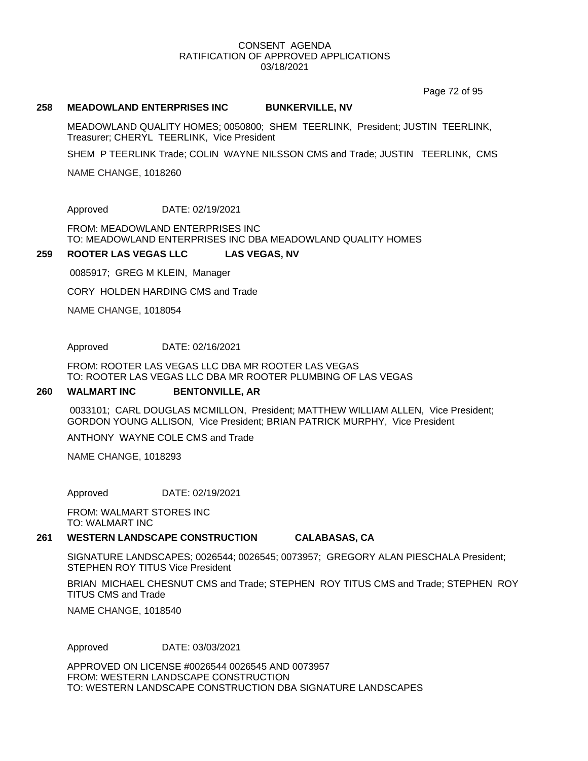Page 72 of 95

#### **258 MEADOWLAND ENTERPRISES INC BUNKERVILLE, NV**

MEADOWLAND QUALITY HOMES; 0050800; SHEM TEERLINK, President; JUSTIN TEERLINK, Treasurer; CHERYL TEERLINK, Vice President

SHEM P TEERLINK Trade; COLIN WAYNE NILSSON CMS and Trade; JUSTIN TEERLINK, CMS

NAME CHANGE, 1018260

Approved DATE: 02/19/2021

FROM: MEADOWLAND ENTERPRISES INC TO: MEADOWLAND ENTERPRISES INC DBA MEADOWLAND QUALITY HOMES

#### **259 ROOTER LAS VEGAS LLC LAS VEGAS, NV**

0085917; GREG M KLEIN, Manager

CORY HOLDEN HARDING CMS and Trade

NAME CHANGE, 1018054

Approved DATE: 02/16/2021

FROM: ROOTER LAS VEGAS LLC DBA MR ROOTER LAS VEGAS TO: ROOTER LAS VEGAS LLC DBA MR ROOTER PLUMBING OF LAS VEGAS

#### **260 WALMART INC BENTONVILLE, AR**

0033101; CARL DOUGLAS MCMILLON, President; MATTHEW WILLIAM ALLEN, Vice President; GORDON YOUNG ALLISON, Vice President; BRIAN PATRICK MURPHY, Vice President

ANTHONY WAYNE COLE CMS and Trade

NAME CHANGE, 1018293

Approved DATE: 02/19/2021

FROM: WALMART STORES INC TO: WALMART INC

#### **261 WESTERN LANDSCAPE CONSTRUCTION CALABASAS, CA**

SIGNATURE LANDSCAPES; 0026544; 0026545; 0073957; GREGORY ALAN PIESCHALA President; STEPHEN ROY TITUS Vice President

BRIAN MICHAEL CHESNUT CMS and Trade; STEPHEN ROY TITUS CMS and Trade; STEPHEN ROY TITUS CMS and Trade

NAME CHANGE, 1018540

Approved DATE: 03/03/2021

APPROVED ON LICENSE #0026544 0026545 AND 0073957 FROM: WESTERN LANDSCAPE CONSTRUCTION TO: WESTERN LANDSCAPE CONSTRUCTION DBA SIGNATURE LANDSCAPES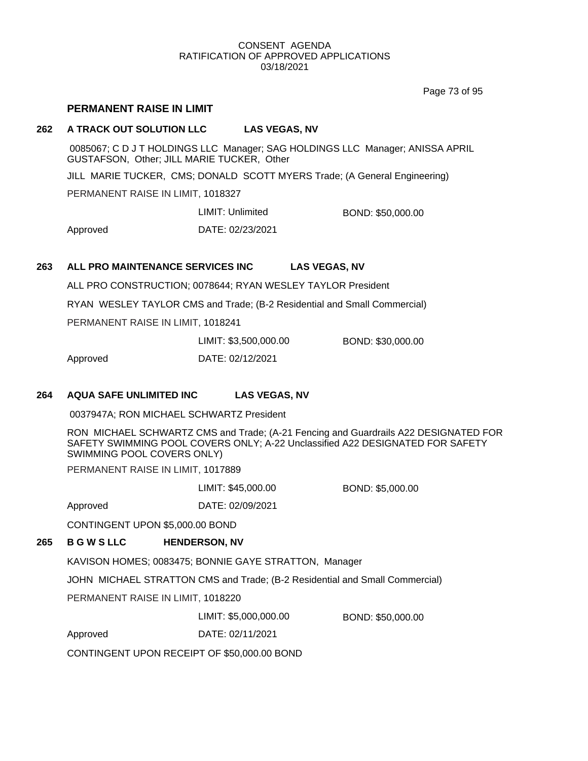Page 73 of 95

# **PERMANENT RAISE IN LIMIT**

# **262 A TRACK OUT SOLUTION LLC LAS VEGAS, NV**

0085067; C D J T HOLDINGS LLC Manager; SAG HOLDINGS LLC Manager; ANISSA APRIL GUSTAFSON, Other; JILL MARIE TUCKER, Other

JILL MARIE TUCKER, CMS; DONALD SCOTT MYERS Trade; (A General Engineering)

PERMANENT RAISE IN LIMIT, 1018327

LIMIT: Unlimited BOND: \$50,000.00

Approved DATE: 02/23/2021

# **263 ALL PRO MAINTENANCE SERVICES INC LAS VEGAS, NV**

ALL PRO CONSTRUCTION; 0078644; RYAN WESLEY TAYLOR President

RYAN WESLEY TAYLOR CMS and Trade; (B-2 Residential and Small Commercial)

PERMANENT RAISE IN LIMIT, 1018241

LIMIT: \$3,500,000.00 BOND: \$30,000.00

Approved DATE: 02/12/2021

## **264 AQUA SAFE UNLIMITED INC LAS VEGAS, NV**

0037947A; RON MICHAEL SCHWARTZ President

RON MICHAEL SCHWARTZ CMS and Trade; (A-21 Fencing and Guardrails A22 DESIGNATED FOR SAFETY SWIMMING POOL COVERS ONLY; A-22 Unclassified A22 DESIGNATED FOR SAFETY SWIMMING POOL COVERS ONLY)

PERMANENT RAISE IN LIMIT, 1017889

LIMIT: \$45,000.00 BOND: \$5,000.00

CONTINGENT UPON \$5,000.00 BOND

Approved DATE: 02/09/2021

# **265 B G W S LLC HENDERSON, NV**

KAVISON HOMES; 0083475; BONNIE GAYE STRATTON, Manager

JOHN MICHAEL STRATTON CMS and Trade; (B-2 Residential and Small Commercial)

PERMANENT RAISE IN LIMIT, 1018220

LIMIT: \$5,000,000.00 BOND: \$50,000.00

Approved DATE: 02/11/2021

CONTINGENT UPON RECEIPT OF \$50,000.00 BOND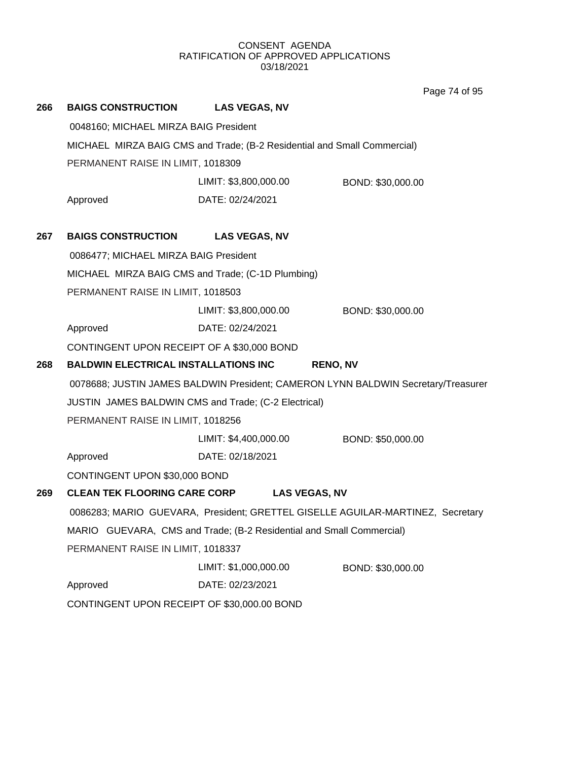Page 74 of 95

| 266 | <b>BAIGS CONSTRUCTION</b>                                                | <b>LAS VEGAS, NV</b>                                                 |                                                                                   |  |  |  |
|-----|--------------------------------------------------------------------------|----------------------------------------------------------------------|-----------------------------------------------------------------------------------|--|--|--|
|     | 0048160; MICHAEL MIRZA BAIG President                                    |                                                                      |                                                                                   |  |  |  |
|     | MICHAEL MIRZA BAIG CMS and Trade; (B-2 Residential and Small Commercial) |                                                                      |                                                                                   |  |  |  |
|     | PERMANENT RAISE IN LIMIT, 1018309                                        |                                                                      |                                                                                   |  |  |  |
|     |                                                                          | LIMIT: \$3,800,000.00                                                | BOND: \$30,000.00                                                                 |  |  |  |
|     | Approved                                                                 | DATE: 02/24/2021                                                     |                                                                                   |  |  |  |
|     |                                                                          |                                                                      |                                                                                   |  |  |  |
| 267 | <b>BAIGS CONSTRUCTION</b>                                                | <b>LAS VEGAS, NV</b>                                                 |                                                                                   |  |  |  |
|     | 0086477; MICHAEL MIRZA BAIG President                                    |                                                                      |                                                                                   |  |  |  |
|     |                                                                          | MICHAEL MIRZA BAIG CMS and Trade; (C-1D Plumbing)                    |                                                                                   |  |  |  |
|     | PERMANENT RAISE IN LIMIT, 1018503                                        |                                                                      |                                                                                   |  |  |  |
|     |                                                                          | LIMIT: \$3,800,000.00                                                | BOND: \$30,000.00                                                                 |  |  |  |
|     | Approved                                                                 | DATE: 02/24/2021                                                     |                                                                                   |  |  |  |
|     | CONTINGENT UPON RECEIPT OF A \$30,000 BOND                               |                                                                      |                                                                                   |  |  |  |
| 268 | <b>BALDWIN ELECTRICAL INSTALLATIONS INC</b><br><b>RENO, NV</b>           |                                                                      |                                                                                   |  |  |  |
|     |                                                                          |                                                                      | 0078688; JUSTIN JAMES BALDWIN President; CAMERON LYNN BALDWIN Secretary/Treasurer |  |  |  |
|     |                                                                          |                                                                      |                                                                                   |  |  |  |
|     |                                                                          | JUSTIN JAMES BALDWIN CMS and Trade; (C-2 Electrical)                 |                                                                                   |  |  |  |
|     | PERMANENT RAISE IN LIMIT, 1018256                                        |                                                                      |                                                                                   |  |  |  |
|     |                                                                          | LIMIT: \$4,400,000.00                                                | BOND: \$50,000.00                                                                 |  |  |  |
|     | Approved                                                                 | DATE: 02/18/2021                                                     |                                                                                   |  |  |  |
|     | CONTINGENT UPON \$30,000 BOND                                            |                                                                      |                                                                                   |  |  |  |
| 269 | <b>CLEAN TEK FLOORING CARE CORP</b>                                      | <b>LAS VEGAS, NV</b>                                                 |                                                                                   |  |  |  |
|     |                                                                          |                                                                      | 0086283; MARIO GUEVARA, President; GRETTEL GISELLE AGUILAR-MARTINEZ, Secretary    |  |  |  |
|     |                                                                          | MARIO GUEVARA, CMS and Trade; (B-2 Residential and Small Commercial) |                                                                                   |  |  |  |
|     | PERMANENT RAISE IN LIMIT, 1018337                                        |                                                                      |                                                                                   |  |  |  |
|     |                                                                          | LIMIT: \$1,000,000.00                                                | BOND: \$30,000.00                                                                 |  |  |  |
|     | Approved                                                                 | DATE: 02/23/2021                                                     |                                                                                   |  |  |  |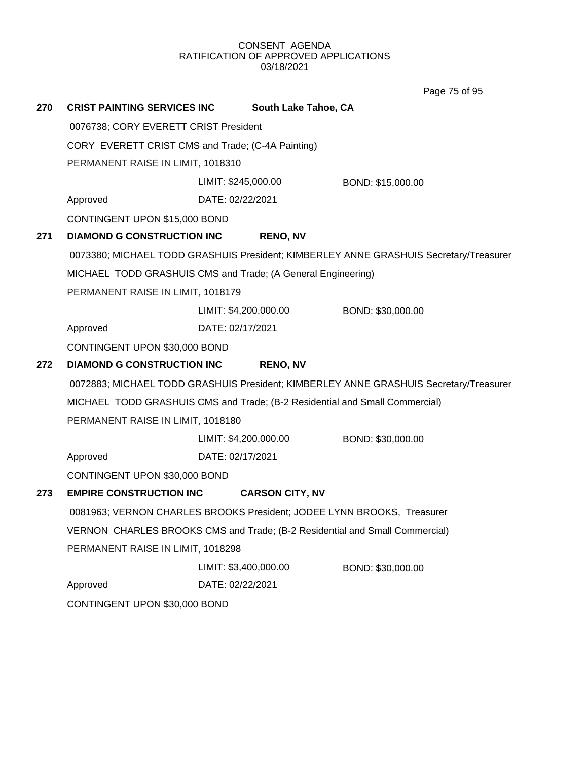Page 75 of 95

| 270 | <b>CRIST PAINTING SERVICES INC</b>                                                    |                       | South Lake Tahoe, CA   |                                                                                       |  |
|-----|---------------------------------------------------------------------------------------|-----------------------|------------------------|---------------------------------------------------------------------------------------|--|
|     | 0076738; CORY EVERETT CRIST President                                                 |                       |                        |                                                                                       |  |
|     | CORY EVERETT CRIST CMS and Trade; (C-4A Painting)                                     |                       |                        |                                                                                       |  |
|     | PERMANENT RAISE IN LIMIT, 1018310                                                     |                       |                        |                                                                                       |  |
|     |                                                                                       | LIMIT: \$245,000.00   |                        | BOND: \$15,000.00                                                                     |  |
|     | Approved                                                                              | DATE: 02/22/2021      |                        |                                                                                       |  |
|     | CONTINGENT UPON \$15,000 BOND                                                         |                       |                        |                                                                                       |  |
| 271 | <b>DIAMOND G CONSTRUCTION INC</b>                                                     |                       | <b>RENO, NV</b>        |                                                                                       |  |
|     |                                                                                       |                       |                        | 0073380; MICHAEL TODD GRASHUIS President; KIMBERLEY ANNE GRASHUIS Secretary/Treasurer |  |
|     | MICHAEL TODD GRASHUIS CMS and Trade; (A General Engineering)                          |                       |                        |                                                                                       |  |
|     | PERMANENT RAISE IN LIMIT, 1018179                                                     |                       |                        |                                                                                       |  |
|     |                                                                                       |                       | LIMIT: \$4,200,000.00  | BOND: \$30,000.00                                                                     |  |
|     | Approved                                                                              | DATE: 02/17/2021      |                        |                                                                                       |  |
|     | CONTINGENT UPON \$30,000 BOND                                                         |                       |                        |                                                                                       |  |
| 272 | <b>DIAMOND G CONSTRUCTION INC</b>                                                     |                       | <b>RENO, NV</b>        |                                                                                       |  |
|     | 0072883; MICHAEL TODD GRASHUIS President; KIMBERLEY ANNE GRASHUIS Secretary/Treasurer |                       |                        |                                                                                       |  |
|     | MICHAEL TODD GRASHUIS CMS and Trade; (B-2 Residential and Small Commercial)           |                       |                        |                                                                                       |  |
|     | PERMANENT RAISE IN LIMIT, 1018180                                                     |                       |                        |                                                                                       |  |
|     |                                                                                       |                       | LIMIT: \$4,200,000.00  | BOND: \$30,000.00                                                                     |  |
|     | Approved                                                                              | DATE: 02/17/2021      |                        |                                                                                       |  |
|     | CONTINGENT UPON \$30,000 BOND                                                         |                       |                        |                                                                                       |  |
| 273 | <b>EMPIRE CONSTRUCTION INC</b>                                                        |                       | <b>CARSON CITY, NV</b> |                                                                                       |  |
|     | 0081963; VERNON CHARLES BROOKS President; JODEE LYNN BROOKS, Treasurer                |                       |                        |                                                                                       |  |
|     | VERNON CHARLES BROOKS CMS and Trade; (B-2 Residential and Small Commercial)           |                       |                        |                                                                                       |  |
|     | PERMANENT RAISE IN LIMIT, 1018298                                                     |                       |                        |                                                                                       |  |
|     |                                                                                       | LIMIT: \$3,400,000.00 |                        | BOND: \$30,000.00                                                                     |  |
|     | Approved                                                                              | DATE: 02/22/2021      |                        |                                                                                       |  |
|     | CONTINGENT UPON \$30,000 BOND                                                         |                       |                        |                                                                                       |  |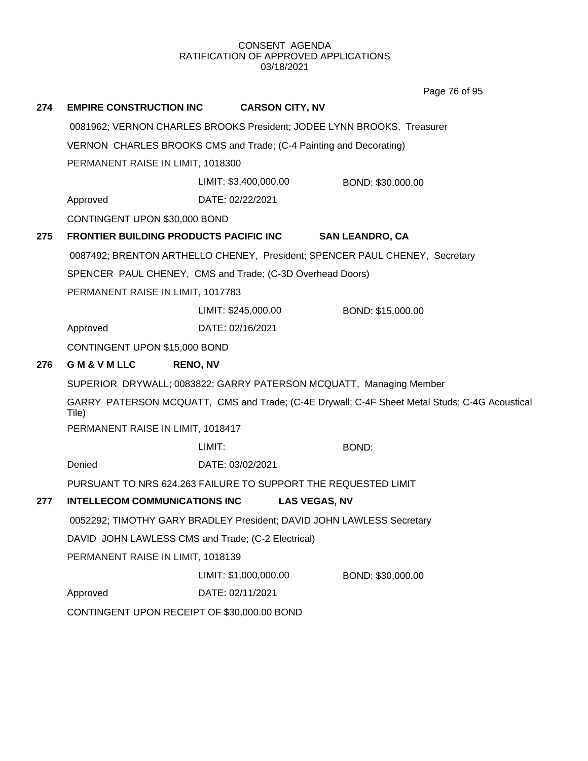**274 EMPIRE CONSTRUCTION INC CARSON CITY, NV** 0081962; VERNON CHARLES BROOKS President; JODEE LYNN BROOKS, Treasurer VERNON CHARLES BROOKS CMS and Trade; (C-4 Painting and Decorating) PERMANENT RAISE IN LIMIT, 1018300 Approved DATE: 02/22/2021 LIMIT: \$3,400,000.00 BOND: \$30,000.00 CONTINGENT UPON \$30,000 BOND **275 FRONTIER BUILDING PRODUCTS PACIFIC INC SAN LEANDRO, CA** 0087492; BRENTON ARTHELLO CHENEY, President; SPENCER PAUL CHENEY, Secretary SPENCER PAUL CHENEY, CMS and Trade; (C-3D Overhead Doors) PERMANENT RAISE IN LIMIT, 1017783 Approved DATE: 02/16/2021 LIMIT: \$245,000.00 BOND: \$15,000.00 CONTINGENT UPON \$15,000 BOND **276 G M & V M LLC RENO, NV** SUPERIOR DRYWALL; 0083822; GARRY PATERSON MCQUATT, Managing Member GARRY PATERSON MCQUATT, CMS and Trade; (C-4E Drywall; C-4F Sheet Metal Studs; C-4G Acoustical Tile) PERMANENT RAISE IN LIMIT, 1018417 Denied DATE: 03/02/2021 LIMIT: BOND: PURSUANT TO NRS 624.263 FAILURE TO SUPPORT THE REQUESTED LIMIT **277 INTELLECOM COMMUNICATIONS INC LAS VEGAS, NV** 0052292; TIMOTHY GARY BRADLEY President; DAVID JOHN LAWLESS Secretary DAVID JOHN LAWLESS CMS and Trade; (C-2 Electrical) PERMANENT RAISE IN LIMIT, 1018139 Approved DATE: 02/11/2021 LIMIT: \$1,000,000.00 BOND: \$30,000.00 CONTINGENT UPON RECEIPT OF \$30,000.00 BOND Page 76 of 95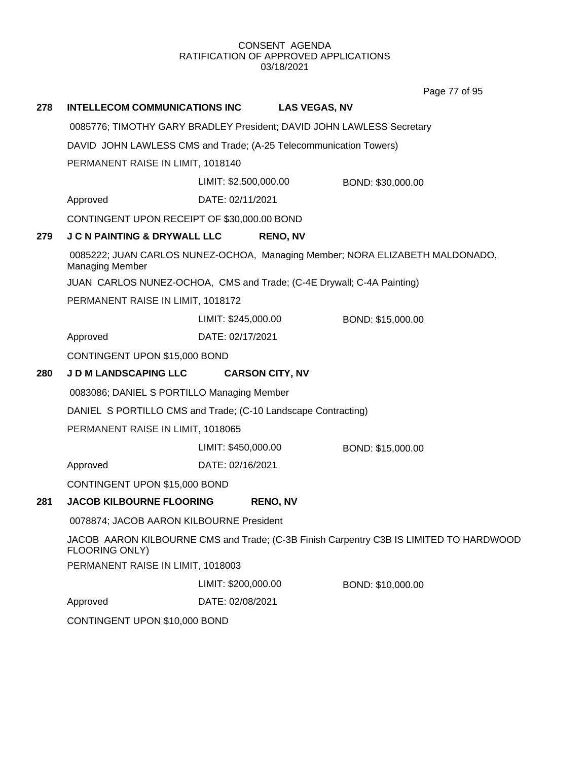Page 77 of 95

| 278                                                                                                    | <b>INTELLECOM COMMUNICATIONS INC</b>                                                                     | <b>LAS VEGAS, NV</b>                                                  |                   |  |
|--------------------------------------------------------------------------------------------------------|----------------------------------------------------------------------------------------------------------|-----------------------------------------------------------------------|-------------------|--|
|                                                                                                        | 0085776; TIMOTHY GARY BRADLEY President; DAVID JOHN LAWLESS Secretary                                    |                                                                       |                   |  |
|                                                                                                        | DAVID JOHN LAWLESS CMS and Trade; (A-25 Telecommunication Towers)                                        |                                                                       |                   |  |
|                                                                                                        | PERMANENT RAISE IN LIMIT, 1018140                                                                        |                                                                       |                   |  |
|                                                                                                        |                                                                                                          | LIMIT: \$2,500,000.00                                                 | BOND: \$30,000.00 |  |
|                                                                                                        | Approved                                                                                                 | DATE: 02/11/2021                                                      |                   |  |
|                                                                                                        | CONTINGENT UPON RECEIPT OF \$30,000.00 BOND                                                              |                                                                       |                   |  |
| 279                                                                                                    | <b>J C N PAINTING &amp; DRYWALL LLC</b>                                                                  | <b>RENO, NV</b>                                                       |                   |  |
| 0085222; JUAN CARLOS NUNEZ-OCHOA, Managing Member; NORA ELIZABETH MALDONADO,<br><b>Managing Member</b> |                                                                                                          |                                                                       |                   |  |
|                                                                                                        |                                                                                                          | JUAN CARLOS NUNEZ-OCHOA, CMS and Trade; (C-4E Drywall; C-4A Painting) |                   |  |
|                                                                                                        | PERMANENT RAISE IN LIMIT, 1018172                                                                        |                                                                       |                   |  |
|                                                                                                        |                                                                                                          | LIMIT: \$245,000.00                                                   | BOND: \$15,000.00 |  |
|                                                                                                        | Approved                                                                                                 | DATE: 02/17/2021                                                      |                   |  |
|                                                                                                        | CONTINGENT UPON \$15,000 BOND                                                                            |                                                                       |                   |  |
| 280                                                                                                    | <b>J D M LANDSCAPING LLC</b>                                                                             | <b>CARSON CITY, NV</b>                                                |                   |  |
| 0083086; DANIEL S PORTILLO Managing Member                                                             |                                                                                                          |                                                                       |                   |  |
| DANIEL S PORTILLO CMS and Trade; (C-10 Landscape Contracting)                                          |                                                                                                          |                                                                       |                   |  |
|                                                                                                        | PERMANENT RAISE IN LIMIT, 1018065                                                                        |                                                                       |                   |  |
|                                                                                                        |                                                                                                          | LIMIT: \$450,000.00                                                   | BOND: \$15,000.00 |  |
|                                                                                                        | Approved                                                                                                 | DATE: 02/16/2021                                                      |                   |  |
| CONTINGENT UPON \$15,000 BOND                                                                          |                                                                                                          |                                                                       |                   |  |
| 281                                                                                                    | <b>JACOB KILBOURNE FLOORING</b>                                                                          | <b>RENO, NV</b>                                                       |                   |  |
|                                                                                                        | 0078874; JACOB AARON KILBOURNE President                                                                 |                                                                       |                   |  |
|                                                                                                        | JACOB AARON KILBOURNE CMS and Trade; (C-3B Finish Carpentry C3B IS LIMITED TO HARDWOOD<br>FLOORING ONLY) |                                                                       |                   |  |
|                                                                                                        | PERMANENT RAISE IN LIMIT, 1018003                                                                        |                                                                       |                   |  |
|                                                                                                        |                                                                                                          | LIMIT: \$200,000.00                                                   | BOND: \$10,000.00 |  |
|                                                                                                        | Approved                                                                                                 | DATE: 02/08/2021                                                      |                   |  |
|                                                                                                        | CONTINGENT UPON \$10,000 BOND                                                                            |                                                                       |                   |  |
|                                                                                                        |                                                                                                          |                                                                       |                   |  |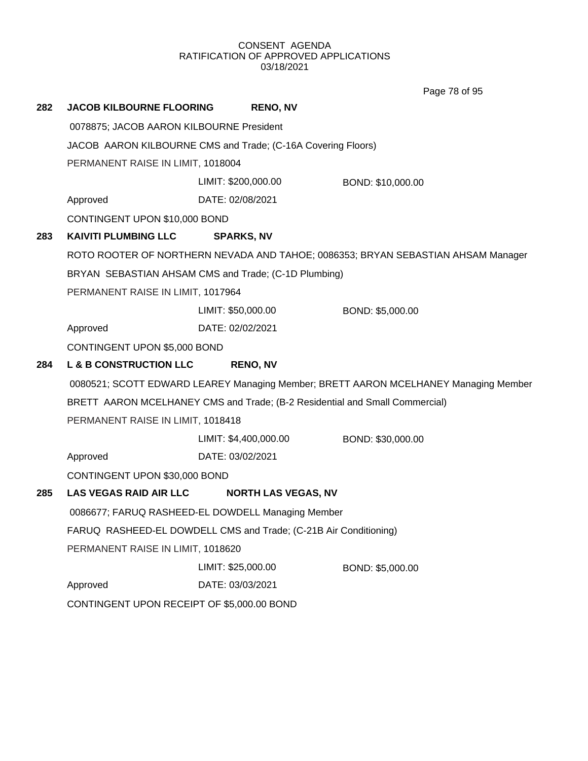Page 78 of 95

| 282 | <b>JACOB KILBOURNE FLOORING</b>                                             | <b>RENO, NV</b>                                      |                                                                                     |  |
|-----|-----------------------------------------------------------------------------|------------------------------------------------------|-------------------------------------------------------------------------------------|--|
|     | 0078875; JACOB AARON KILBOURNE President                                    |                                                      |                                                                                     |  |
|     | JACOB AARON KILBOURNE CMS and Trade; (C-16A Covering Floors)                |                                                      |                                                                                     |  |
|     | PERMANENT RAISE IN LIMIT, 1018004                                           |                                                      |                                                                                     |  |
|     |                                                                             | LIMIT: \$200,000.00                                  | BOND: \$10,000.00                                                                   |  |
|     | Approved                                                                    | DATE: 02/08/2021                                     |                                                                                     |  |
|     | CONTINGENT UPON \$10,000 BOND                                               |                                                      |                                                                                     |  |
| 283 | <b>KAIVITI PLUMBING LLC</b>                                                 | <b>SPARKS, NV</b>                                    |                                                                                     |  |
|     |                                                                             |                                                      | ROTO ROOTER OF NORTHERN NEVADA AND TAHOE; 0086353; BRYAN SEBASTIAN AHSAM Manager    |  |
|     |                                                                             | BRYAN SEBASTIAN AHSAM CMS and Trade; (C-1D Plumbing) |                                                                                     |  |
|     | PERMANENT RAISE IN LIMIT, 1017964                                           |                                                      |                                                                                     |  |
|     |                                                                             | LIMIT: \$50,000.00                                   | BOND: \$5,000.00                                                                    |  |
|     | Approved                                                                    | DATE: 02/02/2021                                     |                                                                                     |  |
|     | CONTINGENT UPON \$5,000 BOND                                                |                                                      |                                                                                     |  |
| 284 | <b>L &amp; B CONSTRUCTION LLC</b>                                           | <b>RENO, NV</b>                                      |                                                                                     |  |
|     |                                                                             |                                                      | 0080521; SCOTT EDWARD LEAREY Managing Member; BRETT AARON MCELHANEY Managing Member |  |
|     | BRETT AARON MCELHANEY CMS and Trade; (B-2 Residential and Small Commercial) |                                                      |                                                                                     |  |
|     | PERMANENT RAISE IN LIMIT, 1018418                                           |                                                      |                                                                                     |  |
|     |                                                                             | LIMIT: \$4,400,000.00                                | BOND: \$30,000.00                                                                   |  |
|     | Approved                                                                    | DATE: 03/02/2021                                     |                                                                                     |  |
|     | CONTINGENT UPON \$30,000 BOND                                               |                                                      |                                                                                     |  |
| 285 | <b>LAS VEGAS RAID AIR LLC</b>                                               | <b>NORTH LAS VEGAS, NV</b>                           |                                                                                     |  |
|     | 0086677; FARUQ RASHEED-EL DOWDELL Managing Member                           |                                                      |                                                                                     |  |
|     | FARUQ RASHEED-EL DOWDELL CMS and Trade; (C-21B Air Conditioning)            |                                                      |                                                                                     |  |
|     | PERMANENT RAISE IN LIMIT, 1018620                                           |                                                      |                                                                                     |  |
|     |                                                                             | LIMIT: \$25,000.00                                   | BOND: \$5,000.00                                                                    |  |
|     | Approved                                                                    | DATE: 03/03/2021                                     |                                                                                     |  |
|     | CONTINGENT UPON RECEIPT OF \$5,000.00 BOND                                  |                                                      |                                                                                     |  |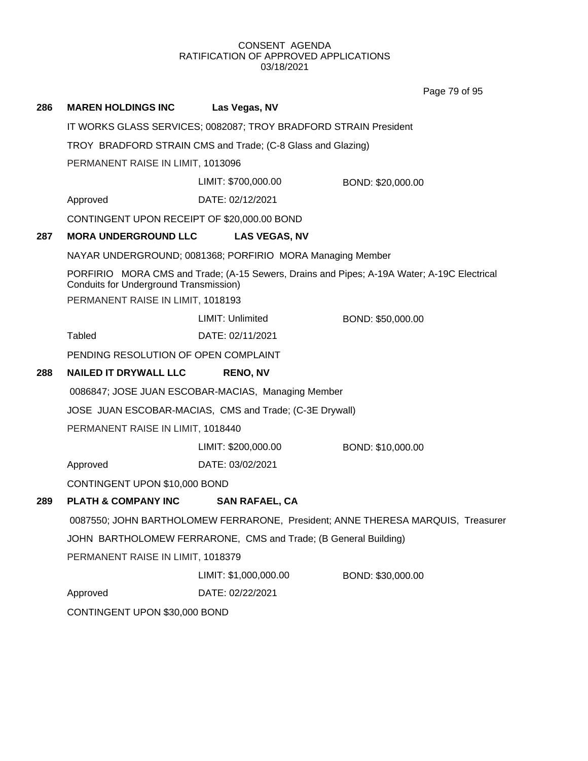Page 79 of 95

| 286 | <b>MAREN HOLDINGS INC</b>                                                   | Las Vegas, NV                                                    |                                                                                            |  |
|-----|-----------------------------------------------------------------------------|------------------------------------------------------------------|--------------------------------------------------------------------------------------------|--|
|     |                                                                             | IT WORKS GLASS SERVICES; 0082087; TROY BRADFORD STRAIN President |                                                                                            |  |
|     |                                                                             | TROY BRADFORD STRAIN CMS and Trade; (C-8 Glass and Glazing)      |                                                                                            |  |
|     | PERMANENT RAISE IN LIMIT, 1013096                                           |                                                                  |                                                                                            |  |
|     |                                                                             | LIMIT: \$700,000.00                                              | BOND: \$20,000.00                                                                          |  |
|     | Approved                                                                    | DATE: 02/12/2021                                                 |                                                                                            |  |
|     | CONTINGENT UPON RECEIPT OF \$20,000.00 BOND                                 |                                                                  |                                                                                            |  |
| 287 | <b>MORA UNDERGROUND LLC</b>                                                 | <b>LAS VEGAS, NV</b>                                             |                                                                                            |  |
|     |                                                                             | NAYAR UNDERGROUND; 0081368; PORFIRIO MORA Managing Member        |                                                                                            |  |
|     | Conduits for Underground Transmission)<br>PERMANENT RAISE IN LIMIT, 1018193 |                                                                  | PORFIRIO MORA CMS and Trade; (A-15 Sewers, Drains and Pipes; A-19A Water; A-19C Electrical |  |
|     |                                                                             | LIMIT: Unlimited                                                 | BOND: \$50,000.00                                                                          |  |
|     | <b>Tabled</b>                                                               | DATE: 02/11/2021                                                 |                                                                                            |  |
|     | PENDING RESOLUTION OF OPEN COMPLAINT                                        |                                                                  |                                                                                            |  |
| 288 | <b>NAILED IT DRYWALL LLC</b>                                                | <b>RENO, NV</b>                                                  |                                                                                            |  |
|     |                                                                             | 0086847; JOSE JUAN ESCOBAR-MACIAS, Managing Member               |                                                                                            |  |
|     |                                                                             | JOSE JUAN ESCOBAR-MACIAS, CMS and Trade; (C-3E Drywall)          |                                                                                            |  |
|     | PERMANENT RAISE IN LIMIT, 1018440                                           |                                                                  |                                                                                            |  |
|     |                                                                             | LIMIT: \$200,000.00                                              | BOND: \$10,000.00                                                                          |  |
|     | Approved                                                                    | DATE: 03/02/2021                                                 |                                                                                            |  |
|     | CONTINGENT UPON \$10,000 BOND                                               |                                                                  |                                                                                            |  |
| 289 | <b>PLATH &amp; COMPANY INC</b>                                              | <b>SAN RAFAEL, CA</b>                                            |                                                                                            |  |
|     |                                                                             |                                                                  | 0087550; JOHN BARTHOLOMEW FERRARONE, President; ANNE THERESA MARQUIS, Treasurer            |  |
|     | JOHN BARTHOLOMEW FERRARONE, CMS and Trade; (B General Building)             |                                                                  |                                                                                            |  |
|     | PERMANENT RAISE IN LIMIT, 1018379                                           |                                                                  |                                                                                            |  |
|     |                                                                             | LIMIT: \$1,000,000.00                                            | BOND: \$30,000.00                                                                          |  |
|     | Approved                                                                    | DATE: 02/22/2021                                                 |                                                                                            |  |
|     | CONTINGENT UPON \$30,000 BOND                                               |                                                                  |                                                                                            |  |
|     |                                                                             |                                                                  |                                                                                            |  |
|     |                                                                             |                                                                  |                                                                                            |  |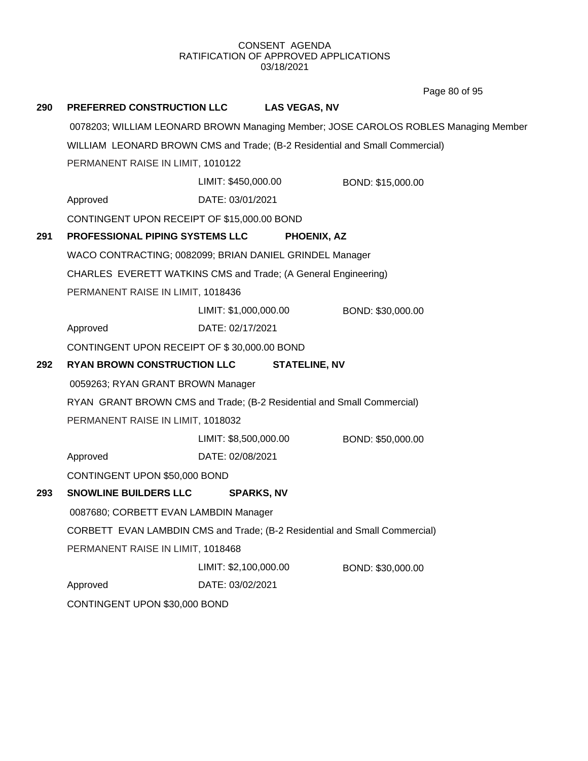Page 80 of 95

| 290                          | <b>PREFERRED CONSTRUCTION LLC</b>                                                                                                                | <b>LAS VEGAS, NV</b>                                                        |                                                                                     |  |
|------------------------------|--------------------------------------------------------------------------------------------------------------------------------------------------|-----------------------------------------------------------------------------|-------------------------------------------------------------------------------------|--|
|                              |                                                                                                                                                  |                                                                             | 0078203; WILLIAM LEONARD BROWN Managing Member; JOSE CAROLOS ROBLES Managing Member |  |
|                              |                                                                                                                                                  | WILLIAM LEONARD BROWN CMS and Trade; (B-2 Residential and Small Commercial) |                                                                                     |  |
|                              | PERMANENT RAISE IN LIMIT, 1010122                                                                                                                |                                                                             |                                                                                     |  |
|                              |                                                                                                                                                  | LIMIT: \$450,000.00                                                         | BOND: \$15,000.00                                                                   |  |
|                              | Approved                                                                                                                                         | DATE: 03/01/2021                                                            |                                                                                     |  |
|                              | CONTINGENT UPON RECEIPT OF \$15,000.00 BOND                                                                                                      |                                                                             |                                                                                     |  |
| 291                          | PROFESSIONAL PIPING SYSTEMS LLC                                                                                                                  | PHOENIX, AZ                                                                 |                                                                                     |  |
|                              |                                                                                                                                                  | WACO CONTRACTING; 0082099; BRIAN DANIEL GRINDEL Manager                     |                                                                                     |  |
|                              |                                                                                                                                                  | CHARLES EVERETT WATKINS CMS and Trade; (A General Engineering)              |                                                                                     |  |
|                              | PERMANENT RAISE IN LIMIT, 1018436                                                                                                                |                                                                             |                                                                                     |  |
|                              |                                                                                                                                                  | LIMIT: \$1,000,000.00                                                       | BOND: \$30,000.00                                                                   |  |
|                              | Approved                                                                                                                                         | DATE: 02/17/2021                                                            |                                                                                     |  |
|                              | CONTINGENT UPON RECEIPT OF \$30,000.00 BOND                                                                                                      |                                                                             |                                                                                     |  |
| 292                          | <b>RYAN BROWN CONSTRUCTION LLC</b>                                                                                                               | <b>STATELINE, NV</b>                                                        |                                                                                     |  |
|                              | 0059263; RYAN GRANT BROWN Manager<br>RYAN GRANT BROWN CMS and Trade; (B-2 Residential and Small Commercial)<br>PERMANENT RAISE IN LIMIT, 1018032 |                                                                             |                                                                                     |  |
|                              |                                                                                                                                                  |                                                                             |                                                                                     |  |
|                              |                                                                                                                                                  |                                                                             |                                                                                     |  |
|                              |                                                                                                                                                  | LIMIT: \$8,500,000.00                                                       | BOND: \$50,000.00                                                                   |  |
| Approved<br>DATE: 02/08/2021 |                                                                                                                                                  |                                                                             |                                                                                     |  |
|                              | CONTINGENT UPON \$50,000 BOND                                                                                                                    |                                                                             |                                                                                     |  |
| 293                          | <b>SNOWLINE BUILDERS LLC</b>                                                                                                                     | <b>SPARKS, NV</b>                                                           |                                                                                     |  |
|                              | 0087680; CORBETT EVAN LAMBDIN Manager<br>CORBETT EVAN LAMBDIN CMS and Trade; (B-2 Residential and Small Commercial)                              |                                                                             |                                                                                     |  |
|                              |                                                                                                                                                  |                                                                             |                                                                                     |  |
|                              | PERMANENT RAISE IN LIMIT, 1018468                                                                                                                |                                                                             |                                                                                     |  |
|                              |                                                                                                                                                  | LIMIT: \$2,100,000.00                                                       | BOND: \$30,000.00                                                                   |  |
|                              | Approved                                                                                                                                         | DATE: 03/02/2021                                                            |                                                                                     |  |
|                              | CONTINGENT UPON \$30,000 BOND                                                                                                                    |                                                                             |                                                                                     |  |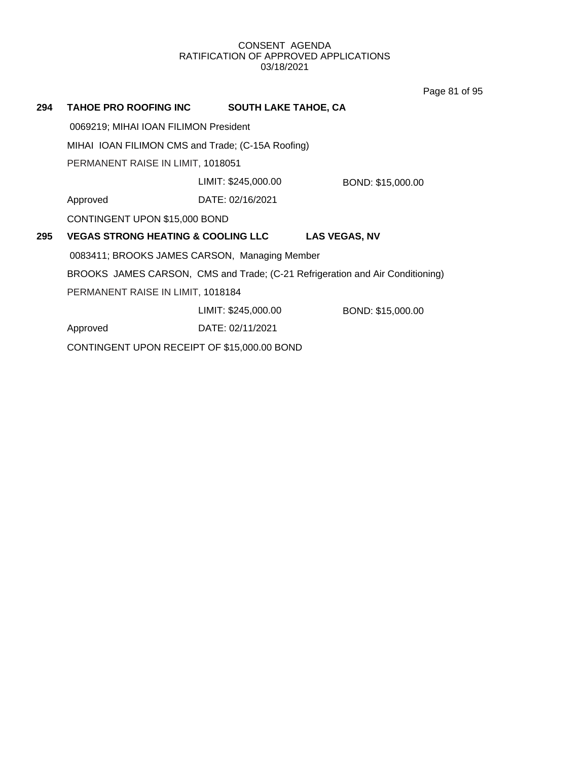Page 81 of 95

| 294 | <b>TAHOE PRO ROOFING INC</b>                      | <b>SOUTH LAKE TAHOE, CA</b> |                                                                               |  |
|-----|---------------------------------------------------|-----------------------------|-------------------------------------------------------------------------------|--|
|     | 0069219; MIHAI IOAN FILIMON President             |                             |                                                                               |  |
|     | MIHAI IOAN FILIMON CMS and Trade; (C-15A Roofing) |                             |                                                                               |  |
|     | PERMANENT RAISE IN LIMIT, 1018051                 |                             |                                                                               |  |
|     |                                                   | LIMIT: \$245,000.00         | BOND: \$15,000.00                                                             |  |
|     | Approved                                          | DATE: 02/16/2021            |                                                                               |  |
|     | CONTINGENT UPON \$15,000 BOND                     |                             |                                                                               |  |
| 295 | <b>VEGAS STRONG HEATING &amp; COOLING LLC</b>     |                             | <b>LAS VEGAS, NV</b>                                                          |  |
|     | 0083411; BROOKS JAMES CARSON, Managing Member     |                             |                                                                               |  |
|     |                                                   |                             | BROOKS JAMES CARSON, CMS and Trade; (C-21 Refrigeration and Air Conditioning) |  |
|     | PERMANENT RAISE IN LIMIT, 1018184                 |                             |                                                                               |  |
|     |                                                   | LIMIT: \$245,000.00         | BOND: \$15,000.00                                                             |  |
|     | Approved                                          | DATE: 02/11/2021            |                                                                               |  |
|     |                                                   |                             |                                                                               |  |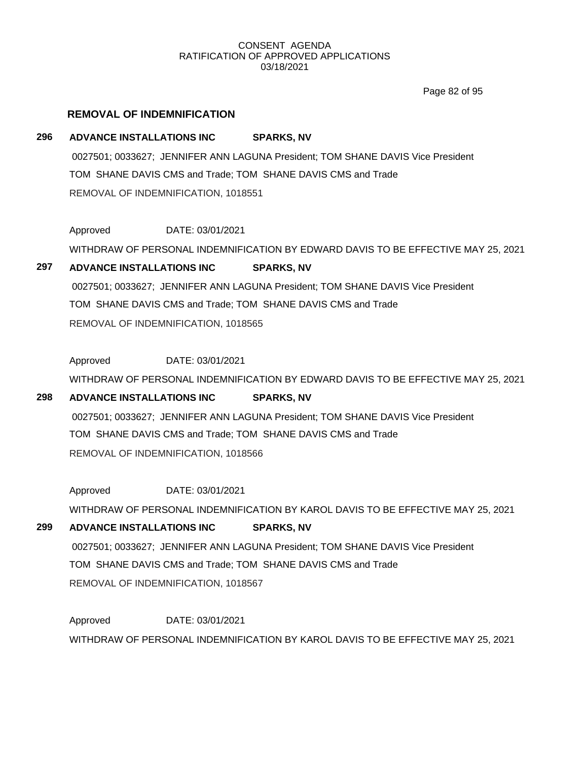Page 82 of 95

# **REMOVAL OF INDEMNIFICATION**

# **296 ADVANCE INSTALLATIONS INC SPARKS, NV**

0027501; 0033627; JENNIFER ANN LAGUNA President; TOM SHANE DAVIS Vice President TOM SHANE DAVIS CMS and Trade; TOM SHANE DAVIS CMS and Trade REMOVAL OF INDEMNIFICATION, 1018551

Approved DATE: 03/01/2021

WITHDRAW OF PERSONAL INDEMNIFICATION BY EDWARD DAVIS TO BE EFFECTIVE MAY 25, 2021

# **297 ADVANCE INSTALLATIONS INC SPARKS, NV**

0027501; 0033627; JENNIFER ANN LAGUNA President; TOM SHANE DAVIS Vice President TOM SHANE DAVIS CMS and Trade; TOM SHANE DAVIS CMS and Trade REMOVAL OF INDEMNIFICATION, 1018565

Approved DATE: 03/01/2021 WITHDRAW OF PERSONAL INDEMNIFICATION BY EDWARD DAVIS TO BE EFFECTIVE MAY 25, 2021

# **298 ADVANCE INSTALLATIONS INC SPARKS, NV**

0027501; 0033627; JENNIFER ANN LAGUNA President; TOM SHANE DAVIS Vice President TOM SHANE DAVIS CMS and Trade; TOM SHANE DAVIS CMS and Trade REMOVAL OF INDEMNIFICATION, 1018566

Approved DATE: 03/01/2021

WITHDRAW OF PERSONAL INDEMNIFICATION BY KAROL DAVIS TO BE EFFECTIVE MAY 25, 2021

# **299 ADVANCE INSTALLATIONS INC SPARKS, NV**

0027501; 0033627; JENNIFER ANN LAGUNA President; TOM SHANE DAVIS Vice President TOM SHANE DAVIS CMS and Trade; TOM SHANE DAVIS CMS and Trade REMOVAL OF INDEMNIFICATION, 1018567

Approved DATE: 03/01/2021 WITHDRAW OF PERSONAL INDEMNIFICATION BY KAROL DAVIS TO BE EFFECTIVE MAY 25, 2021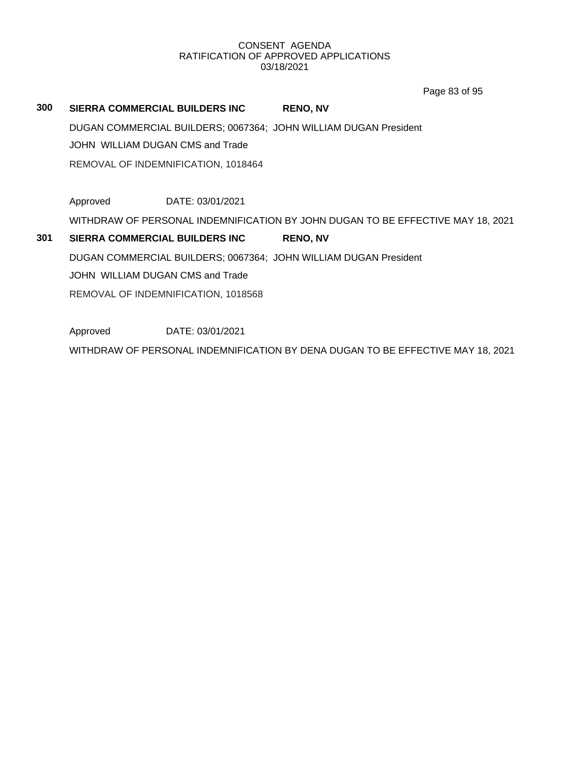Page 83 of 95

# **300 SIERRA COMMERCIAL BUILDERS INC RENO, NV** DUGAN COMMERCIAL BUILDERS; 0067364; JOHN WILLIAM DUGAN President JOHN WILLIAM DUGAN CMS and Trade REMOVAL OF INDEMNIFICATION, 1018464 Approved DATE: 03/01/2021 WITHDRAW OF PERSONAL INDEMNIFICATION BY JOHN DUGAN TO BE EFFECTIVE MAY 18, 2021 **301 SIERRA COMMERCIAL BUILDERS INC RENO, NV** DUGAN COMMERCIAL BUILDERS; 0067364; JOHN WILLIAM DUGAN President JOHN WILLIAM DUGAN CMS and Trade REMOVAL OF INDEMNIFICATION, 1018568 Approved DATE: 03/01/2021

WITHDRAW OF PERSONAL INDEMNIFICATION BY DENA DUGAN TO BE EFFECTIVE MAY 18, 2021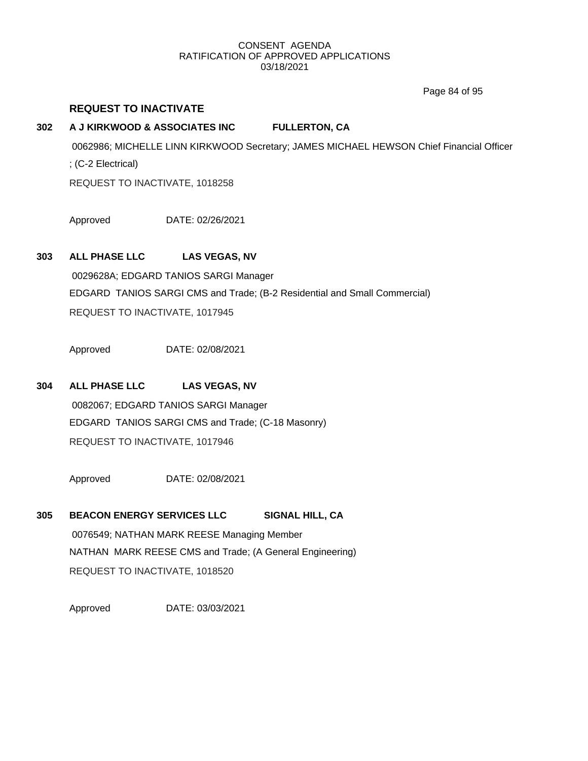Page 84 of 95

# **REQUEST TO INACTIVATE**

# **302 A J KIRKWOOD & ASSOCIATES INC FULLERTON, CA**

0062986; MICHELLE LINN KIRKWOOD Secretary; JAMES MICHAEL HEWSON Chief Financial Officer ; (C-2 Electrical) REQUEST TO INACTIVATE, 1018258

Approved DATE: 02/26/2021

# **303 ALL PHASE LLC LAS VEGAS, NV**

0029628A; EDGARD TANIOS SARGI Manager EDGARD TANIOS SARGI CMS and Trade; (B-2 Residential and Small Commercial) REQUEST TO INACTIVATE, 1017945

Approved DATE: 02/08/2021

# **304 ALL PHASE LLC LAS VEGAS, NV**

0082067; EDGARD TANIOS SARGI Manager EDGARD TANIOS SARGI CMS and Trade; (C-18 Masonry) REQUEST TO INACTIVATE, 1017946

Approved DATE: 02/08/2021

**305 BEACON ENERGY SERVICES LLC SIGNAL HILL, CA** 0076549; NATHAN MARK REESE Managing Member NATHAN MARK REESE CMS and Trade; (A General Engineering) REQUEST TO INACTIVATE, 1018520

Approved DATE: 03/03/2021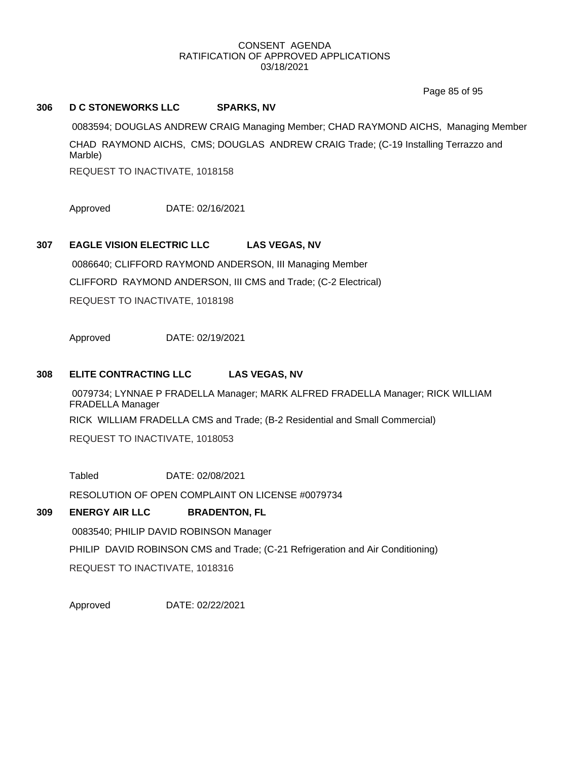Page 85 of 95

# **306 D C STONEWORKS LLC SPARKS, NV**

0083594; DOUGLAS ANDREW CRAIG Managing Member; CHAD RAYMOND AICHS, Managing Member CHAD RAYMOND AICHS, CMS; DOUGLAS ANDREW CRAIG Trade; (C-19 Installing Terrazzo and Marble)

REQUEST TO INACTIVATE, 1018158

Approved DATE: 02/16/2021

# **307 EAGLE VISION ELECTRIC LLC LAS VEGAS, NV**

0086640; CLIFFORD RAYMOND ANDERSON, III Managing Member CLIFFORD RAYMOND ANDERSON, III CMS and Trade; (C-2 Electrical) REQUEST TO INACTIVATE, 1018198

Approved DATE: 02/19/2021

# **308 ELITE CONTRACTING LLC LAS VEGAS, NV**

0079734; LYNNAE P FRADELLA Manager; MARK ALFRED FRADELLA Manager; RICK WILLIAM FRADELLA Manager RICK WILLIAM FRADELLA CMS and Trade; (B-2 Residential and Small Commercial)

REQUEST TO INACTIVATE, 1018053

Tabled DATE: 02/08/2021

RESOLUTION OF OPEN COMPLAINT ON LICENSE #0079734

# **309 ENERGY AIR LLC BRADENTON, FL**

0083540; PHILIP DAVID ROBINSON Manager

PHILIP DAVID ROBINSON CMS and Trade; (C-21 Refrigeration and Air Conditioning)

REQUEST TO INACTIVATE, 1018316

Approved DATE: 02/22/2021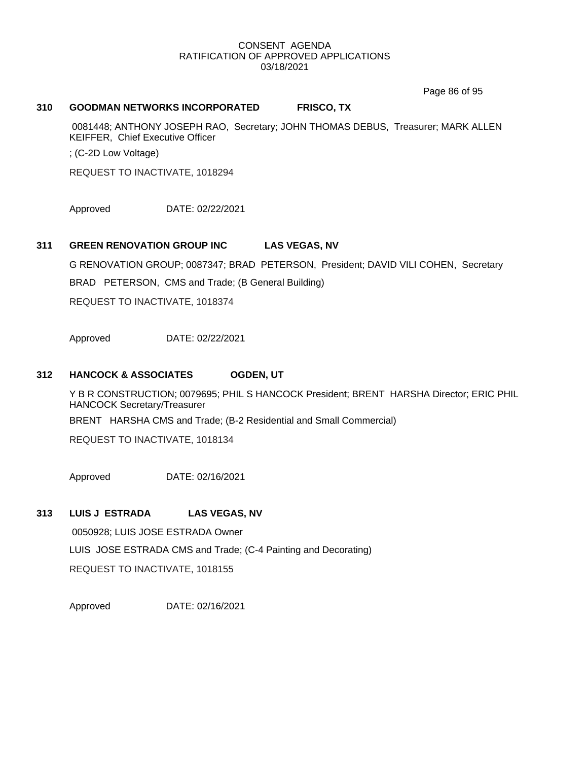Page 86 of 95

## **310 GOODMAN NETWORKS INCORPORATED FRISCO, TX**

0081448; ANTHONY JOSEPH RAO, Secretary; JOHN THOMAS DEBUS, Treasurer; MARK ALLEN KEIFFER, Chief Executive Officer

; (C-2D Low Voltage)

REQUEST TO INACTIVATE, 1018294

Approved DATE: 02/22/2021

## **311 GREEN RENOVATION GROUP INC LAS VEGAS, NV**

G RENOVATION GROUP; 0087347; BRAD PETERSON, President; DAVID VILI COHEN, Secretary

BRAD PETERSON, CMS and Trade; (B General Building)

REQUEST TO INACTIVATE, 1018374

Approved DATE: 02/22/2021

#### **312 HANCOCK & ASSOCIATES OGDEN, UT**

Y B R CONSTRUCTION; 0079695; PHIL S HANCOCK President; BRENT HARSHA Director; ERIC PHIL HANCOCK Secretary/Treasurer

BRENT HARSHA CMS and Trade; (B-2 Residential and Small Commercial)

REQUEST TO INACTIVATE, 1018134

Approved DATE: 02/16/2021

## **313 LUIS J ESTRADA LAS VEGAS, NV**

0050928; LUIS JOSE ESTRADA Owner LUIS JOSE ESTRADA CMS and Trade; (C-4 Painting and Decorating) REQUEST TO INACTIVATE, 1018155

Approved DATE: 02/16/2021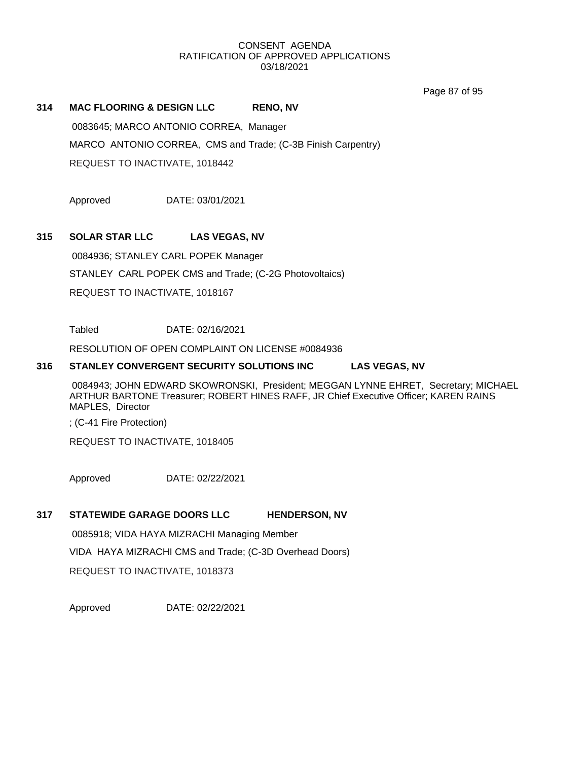Page 87 of 95

# **314 MAC FLOORING & DESIGN LLC RENO, NV**

0083645; MARCO ANTONIO CORREA, Manager

MARCO ANTONIO CORREA, CMS and Trade; (C-3B Finish Carpentry)

REQUEST TO INACTIVATE, 1018442

Approved DATE: 03/01/2021

# **315 SOLAR STAR LLC LAS VEGAS, NV**

0084936; STANLEY CARL POPEK Manager STANLEY CARL POPEK CMS and Trade; (C-2G Photovoltaics) REQUEST TO INACTIVATE, 1018167

Tabled DATE: 02/16/2021

RESOLUTION OF OPEN COMPLAINT ON LICENSE #0084936

# **316 STANLEY CONVERGENT SECURITY SOLUTIONS INC LAS VEGAS, NV**

0084943; JOHN EDWARD SKOWRONSKI, President; MEGGAN LYNNE EHRET, Secretary; MICHAEL ARTHUR BARTONE Treasurer; ROBERT HINES RAFF, JR Chief Executive Officer; KAREN RAINS MAPLES, Director

; (C-41 Fire Protection)

REQUEST TO INACTIVATE, 1018405

Approved DATE: 02/22/2021

# **317 STATEWIDE GARAGE DOORS LLC HENDERSON, NV**

0085918; VIDA HAYA MIZRACHI Managing Member VIDA HAYA MIZRACHI CMS and Trade; (C-3D Overhead Doors) REQUEST TO INACTIVATE, 1018373

Approved DATE: 02/22/2021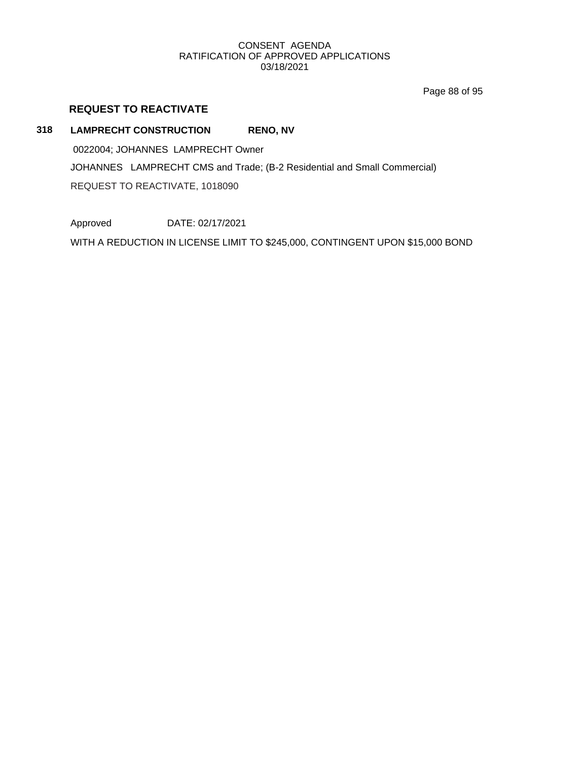Page 88 of 95

# **REQUEST TO REACTIVATE**

# **318 LAMPRECHT CONSTRUCTION RENO, NV**

0022004; JOHANNES LAMPRECHT Owner JOHANNES LAMPRECHT CMS and Trade; (B-2 Residential and Small Commercial) REQUEST TO REACTIVATE, 1018090

Approved DATE: 02/17/2021

WITH A REDUCTION IN LICENSE LIMIT TO \$245,000, CONTINGENT UPON \$15,000 BOND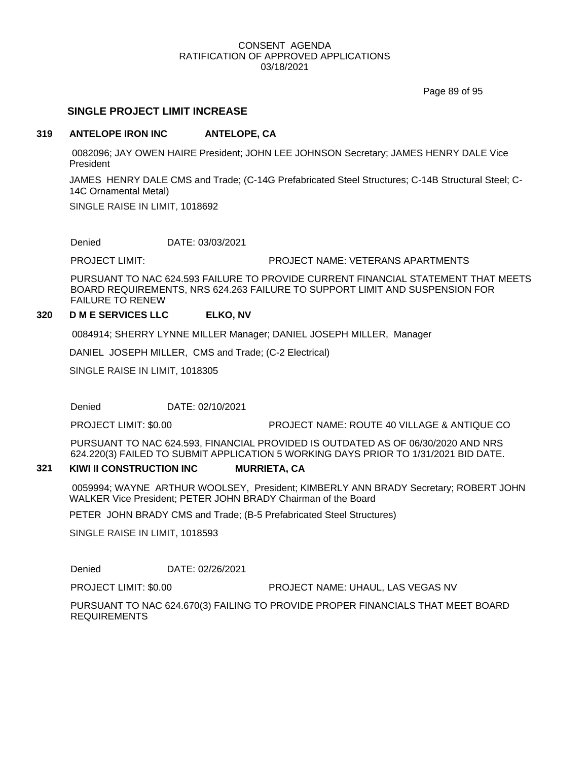Page 89 of 95

# **SINGLE PROJECT LIMIT INCREASE**

## **319 ANTELOPE IRON INC ANTELOPE, CA**

0082096; JAY OWEN HAIRE President; JOHN LEE JOHNSON Secretary; JAMES HENRY DALE Vice President

JAMES HENRY DALE CMS and Trade; (C-14G Prefabricated Steel Structures; C-14B Structural Steel; C-14C Ornamental Metal)

SINGLE RAISE IN LIMIT, 1018692

Denied DATE: 03/03/2021

PROJECT LIMIT: PROJECT NAME: VETERANS APARTMENTS

PURSUANT TO NAC 624.593 FAILURE TO PROVIDE CURRENT FINANCIAL STATEMENT THAT MEETS BOARD REQUIREMENTS, NRS 624.263 FAILURE TO SUPPORT LIMIT AND SUSPENSION FOR FAILURE TO RENEW

# **320 D M E SERVICES LLC ELKO, NV**

0084914; SHERRY LYNNE MILLER Manager; DANIEL JOSEPH MILLER, Manager

DANIEL JOSEPH MILLER, CMS and Trade; (C-2 Electrical)

SINGLE RAISE IN LIMIT, 1018305

Denied DATE: 02/10/2021

PROJECT LIMIT: \$0.00 PROJECT NAME: ROUTE 40 VILLAGE & ANTIQUE CO

PURSUANT TO NAC 624.593, FINANCIAL PROVIDED IS OUTDATED AS OF 06/30/2020 AND NRS 624.220(3) FAILED TO SUBMIT APPLICATION 5 WORKING DAYS PRIOR TO 1/31/2021 BID DATE.

## **321 KIWI II CONSTRUCTION INC MURRIETA, CA**

0059994; WAYNE ARTHUR WOOLSEY, President; KIMBERLY ANN BRADY Secretary; ROBERT JOHN WALKER Vice President; PETER JOHN BRADY Chairman of the Board

PETER JOHN BRADY CMS and Trade; (B-5 Prefabricated Steel Structures)

SINGLE RAISE IN LIMIT, 1018593

Denied DATE: 02/26/2021

PROJECT LIMIT: \$0.00 PROJECT NAME: UHAUL, LAS VEGAS NV

PURSUANT TO NAC 624.670(3) FAILING TO PROVIDE PROPER FINANCIALS THAT MEET BOARD REQUIREMENTS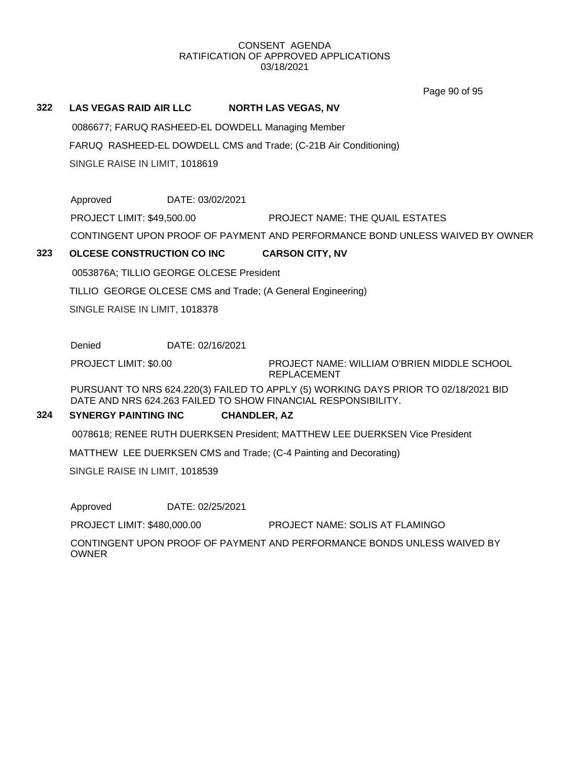Page 90 of 95

# **322 LAS VEGAS RAID AIR LLC NORTH LAS VEGAS, NV**

0086677; FARUQ RASHEED-EL DOWDELL Managing Member FARUQ RASHEED-EL DOWDELL CMS and Trade; (C-21B Air Conditioning) SINGLE RAISE IN LIMIT, 1018619

Approved DATE: 03/02/2021 PROJECT LIMIT: \$49,500.00 PROJECT NAME: THE QUAIL ESTATES CONTINGENT UPON PROOF OF PAYMENT AND PERFORMANCE BOND UNLESS WAIVED BY OWNER

# **323 OLCESE CONSTRUCTION CO INC CARSON CITY, NV**

0053876A; TILLIO GEORGE OLCESE President

TILLIO GEORGE OLCESE CMS and Trade; (A General Engineering)

SINGLE RAISE IN LIMIT, 1018378

Denied DATE: 02/16/2021

PROJECT LIMIT: \$0.00

PROJECT NAME: WILLIAM O'BRIEN MIDDLE SCHOOL REPLACEMENT

PURSUANT TO NRS 624.220(3) FAILED TO APPLY (5) WORKING DAYS PRIOR TO 02/18/2021 BID DATE AND NRS 624.263 FAILED TO SHOW FINANCIAL RESPONSIBILITY.

# **324 SYNERGY PAINTING INC CHANDLER, AZ**

0078618; RENEE RUTH DUERKSEN President; MATTHEW LEE DUERKSEN Vice President

MATTHEW LEE DUERKSEN CMS and Trade; (C-4 Painting and Decorating)

SINGLE RAISE IN LIMIT, 1018539

Approved DATE: 02/25/2021

PROJECT LIMIT: \$480,000.00 PROJECT NAME: SOLIS AT FLAMINGO

CONTINGENT UPON PROOF OF PAYMENT AND PERFORMANCE BONDS UNLESS WAIVED BY **OWNER**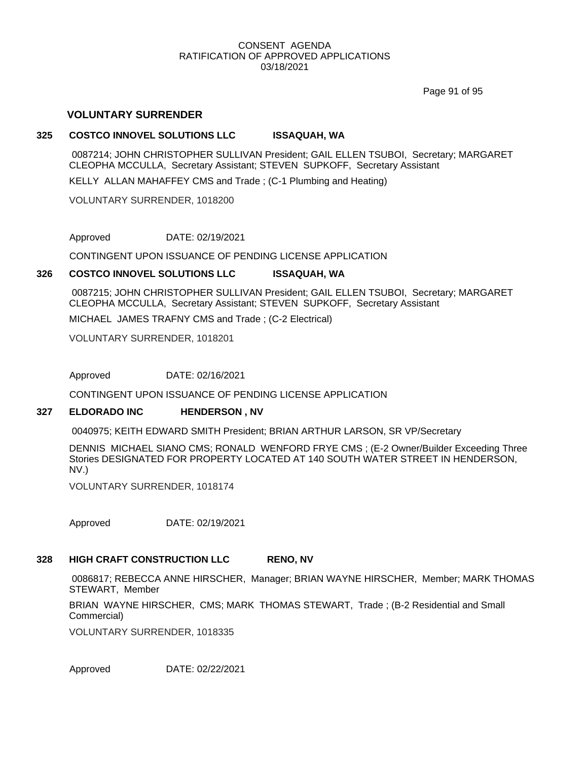Page 91 of 95

# **VOLUNTARY SURRENDER**

## **325 COSTCO INNOVEL SOLUTIONS LLC ISSAQUAH, WA**

0087214; JOHN CHRISTOPHER SULLIVAN President; GAIL ELLEN TSUBOI, Secretary; MARGARET CLEOPHA MCCULLA, Secretary Assistant; STEVEN SUPKOFF, Secretary Assistant

KELLY ALLAN MAHAFFEY CMS and Trade ; (C-1 Plumbing and Heating)

VOLUNTARY SURRENDER, 1018200

Approved DATE: 02/19/2021

CONTINGENT UPON ISSUANCE OF PENDING LICENSE APPLICATION

# **326 COSTCO INNOVEL SOLUTIONS LLC ISSAQUAH, WA**

0087215; JOHN CHRISTOPHER SULLIVAN President; GAIL ELLEN TSUBOI, Secretary; MARGARET CLEOPHA MCCULLA, Secretary Assistant; STEVEN SUPKOFF, Secretary Assistant

MICHAEL JAMES TRAFNY CMS and Trade ; (C-2 Electrical)

VOLUNTARY SURRENDER, 1018201

Approved DATE: 02/16/2021

CONTINGENT UPON ISSUANCE OF PENDING LICENSE APPLICATION

# **327 ELDORADO INC HENDERSON , NV**

0040975; KEITH EDWARD SMITH President; BRIAN ARTHUR LARSON, SR VP/Secretary

DENNIS MICHAEL SIANO CMS; RONALD WENFORD FRYE CMS ; (E-2 Owner/Builder Exceeding Three Stories DESIGNATED FOR PROPERTY LOCATED AT 140 SOUTH WATER STREET IN HENDERSON, NV.)

VOLUNTARY SURRENDER, 1018174

Approved DATE: 02/19/2021

# **328 HIGH CRAFT CONSTRUCTION LLC RENO, NV**

0086817; REBECCA ANNE HIRSCHER, Manager; BRIAN WAYNE HIRSCHER, Member; MARK THOMAS STEWART, Member

BRIAN WAYNE HIRSCHER, CMS; MARK THOMAS STEWART, Trade ; (B-2 Residential and Small Commercial)

VOLUNTARY SURRENDER, 1018335

Approved DATE: 02/22/2021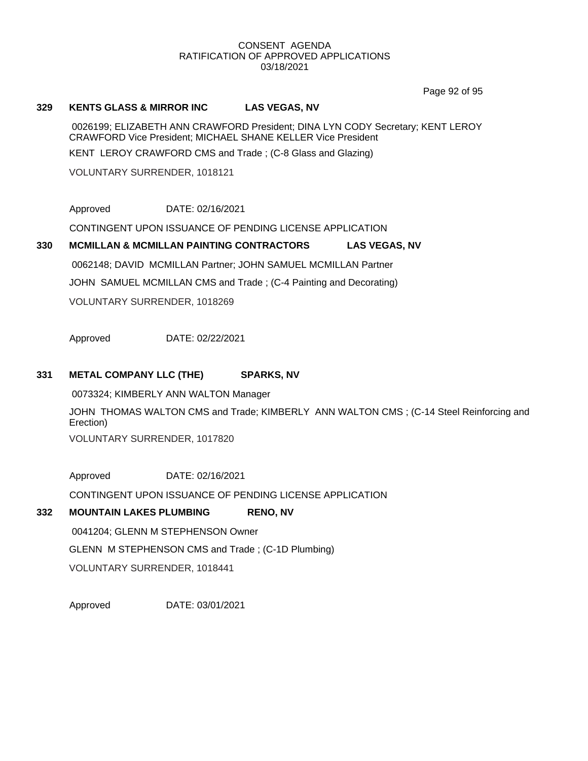Page 92 of 95

# **329 KENTS GLASS & MIRROR INC LAS VEGAS, NV**

0026199; ELIZABETH ANN CRAWFORD President; DINA LYN CODY Secretary; KENT LEROY CRAWFORD Vice President; MICHAEL SHANE KELLER Vice President KENT LEROY CRAWFORD CMS and Trade ; (C-8 Glass and Glazing)

VOLUNTARY SURRENDER, 1018121

Approved DATE: 02/16/2021

CONTINGENT UPON ISSUANCE OF PENDING LICENSE APPLICATION

# **330 MCMILLAN & MCMILLAN PAINTING CONTRACTORS LAS VEGAS, NV** 0062148; DAVID MCMILLAN Partner; JOHN SAMUEL MCMILLAN Partner JOHN SAMUEL MCMILLAN CMS and Trade ; (C-4 Painting and Decorating)

VOLUNTARY SURRENDER, 1018269

Approved DATE: 02/22/2021

# **331 METAL COMPANY LLC (THE) SPARKS, NV**

0073324; KIMBERLY ANN WALTON Manager

JOHN THOMAS WALTON CMS and Trade; KIMBERLY ANN WALTON CMS ; (C-14 Steel Reinforcing and Erection)

VOLUNTARY SURRENDER, 1017820

Approved DATE: 02/16/2021

CONTINGENT UPON ISSUANCE OF PENDING LICENSE APPLICATION

# **332 MOUNTAIN LAKES PLUMBING RENO, NV**

0041204; GLENN M STEPHENSON Owner GLENN M STEPHENSON CMS and Trade ; (C-1D Plumbing) VOLUNTARY SURRENDER, 1018441

Approved DATE: 03/01/2021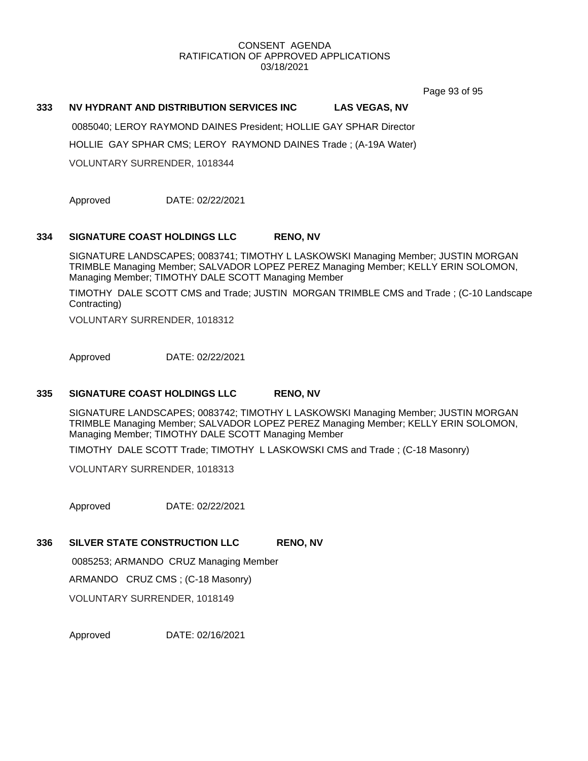Page 93 of 95

# **333 NV HYDRANT AND DISTRIBUTION SERVICES INC LAS VEGAS, NV**

0085040; LEROY RAYMOND DAINES President; HOLLIE GAY SPHAR Director HOLLIE GAY SPHAR CMS; LEROY RAYMOND DAINES Trade ; (A-19A Water) VOLUNTARY SURRENDER, 1018344

Approved DATE: 02/22/2021

# **334 SIGNATURE COAST HOLDINGS LLC RENO, NV**

SIGNATURE LANDSCAPES; 0083741; TIMOTHY L LASKOWSKI Managing Member; JUSTIN MORGAN TRIMBLE Managing Member; SALVADOR LOPEZ PEREZ Managing Member; KELLY ERIN SOLOMON, Managing Member; TIMOTHY DALE SCOTT Managing Member

TIMOTHY DALE SCOTT CMS and Trade; JUSTIN MORGAN TRIMBLE CMS and Trade ; (C-10 Landscape Contracting)

VOLUNTARY SURRENDER, 1018312

Approved DATE: 02/22/2021

# **335 SIGNATURE COAST HOLDINGS LLC RENO, NV**

SIGNATURE LANDSCAPES; 0083742; TIMOTHY L LASKOWSKI Managing Member; JUSTIN MORGAN TRIMBLE Managing Member; SALVADOR LOPEZ PEREZ Managing Member; KELLY ERIN SOLOMON, Managing Member; TIMOTHY DALE SCOTT Managing Member

TIMOTHY DALE SCOTT Trade; TIMOTHY L LASKOWSKI CMS and Trade ; (C-18 Masonry)

VOLUNTARY SURRENDER, 1018313

Approved DATE: 02/22/2021

## **336 SILVER STATE CONSTRUCTION LLC RENO, NV**

0085253; ARMANDO CRUZ Managing Member ARMANDO CRUZ CMS ; (C-18 Masonry) VOLUNTARY SURRENDER, 1018149

Approved DATE: 02/16/2021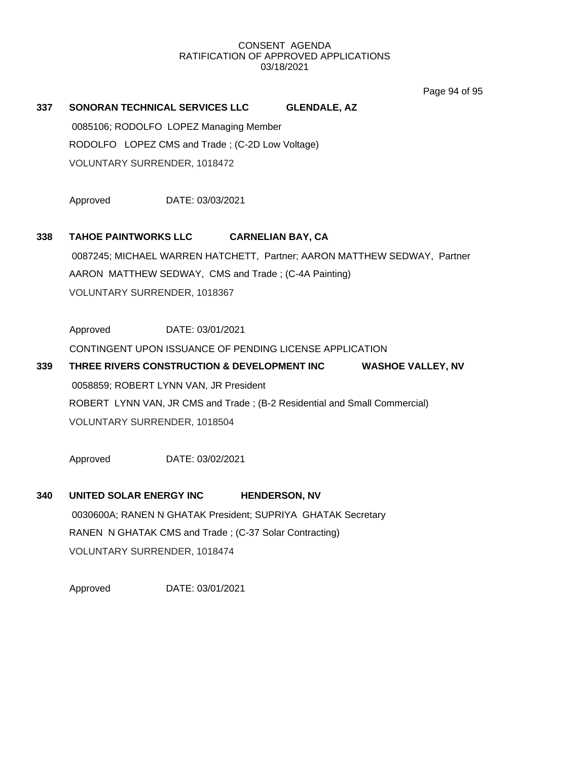Page 94 of 95

# **337 SONORAN TECHNICAL SERVICES LLC GLENDALE, AZ**

0085106; RODOLFO LOPEZ Managing Member RODOLFO LOPEZ CMS and Trade ; (C-2D Low Voltage) VOLUNTARY SURRENDER, 1018472

Approved DATE: 03/03/2021

# **338 TAHOE PAINTWORKS LLC CARNELIAN BAY, CA**

0087245; MICHAEL WARREN HATCHETT, Partner; AARON MATTHEW SEDWAY, Partner AARON MATTHEW SEDWAY, CMS and Trade ; (C-4A Painting) VOLUNTARY SURRENDER, 1018367

Approved DATE: 03/01/2021

CONTINGENT UPON ISSUANCE OF PENDING LICENSE APPLICATION

# **339 THREE RIVERS CONSTRUCTION & DEVELOPMENT INC WASHOE VALLEY, NV** 0058859; ROBERT LYNN VAN, JR President ROBERT LYNN VAN, JR CMS and Trade ; (B-2 Residential and Small Commercial)

VOLUNTARY SURRENDER, 1018504

Approved DATE: 03/02/2021

# **340 UNITED SOLAR ENERGY INC HENDERSON, NV** 0030600A; RANEN N GHATAK President; SUPRIYA GHATAK Secretary

RANEN N GHATAK CMS and Trade ; (C-37 Solar Contracting) VOLUNTARY SURRENDER, 1018474

Approved DATE: 03/01/2021